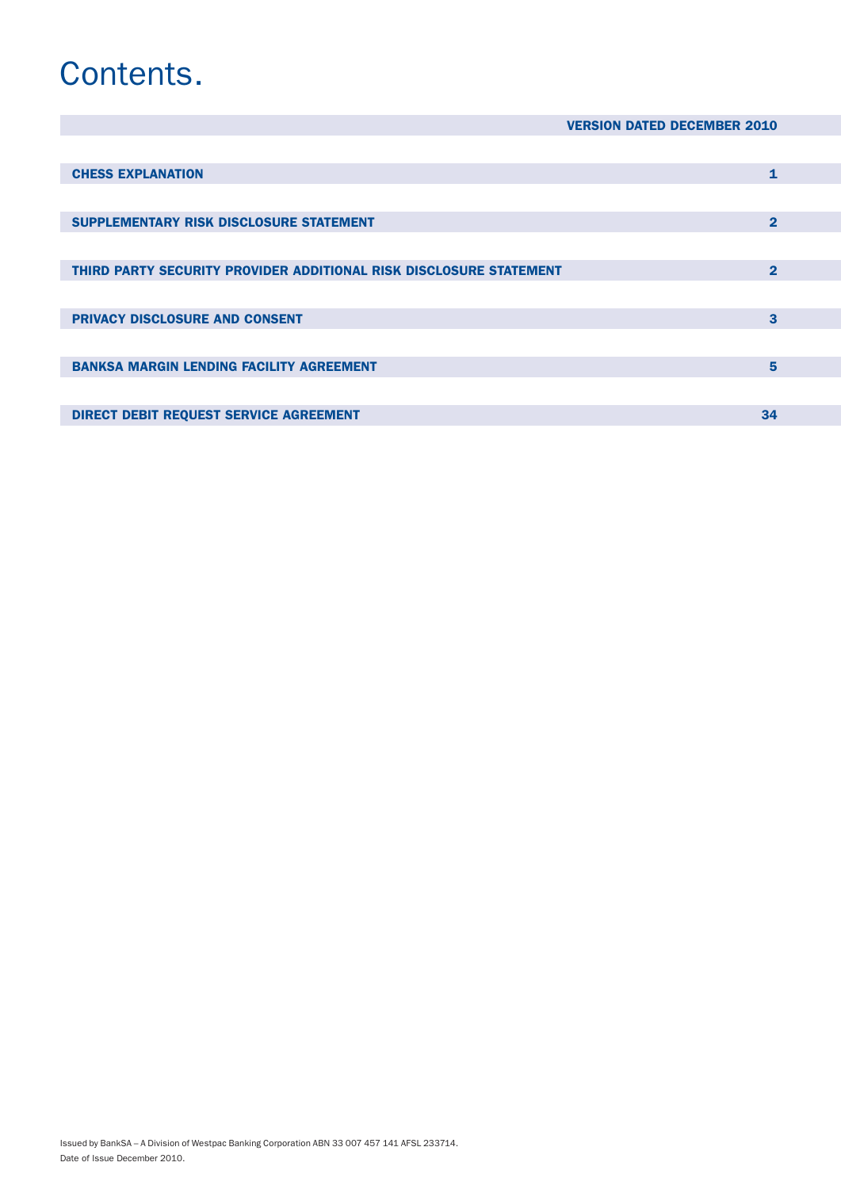# Contents.

|  |  | <b>VERSION DATED DECEMBER 2010</b> |  |
|--|--|------------------------------------|--|
|--|--|------------------------------------|--|

| <b>CHESS EXPLANATION</b>                                           | 1            |
|--------------------------------------------------------------------|--------------|
|                                                                    |              |
| SUPPLEMENTARY RISK DISCLOSURE STATEMENT                            | $\mathbf{2}$ |
|                                                                    |              |
| THIRD PARTY SECURITY PROVIDER ADDITIONAL RISK DISCLOSURE STATEMENT | $\mathbf{2}$ |
|                                                                    |              |
| <b>PRIVACY DISCLOSURE AND CONSENT</b>                              | 3            |
|                                                                    |              |
| <b>BANKSA MARGIN LENDING FACILITY AGREEMENT</b>                    | 5            |
|                                                                    |              |
| <b>DIRECT DEBIT REQUEST SERVICE AGREEMENT</b>                      |              |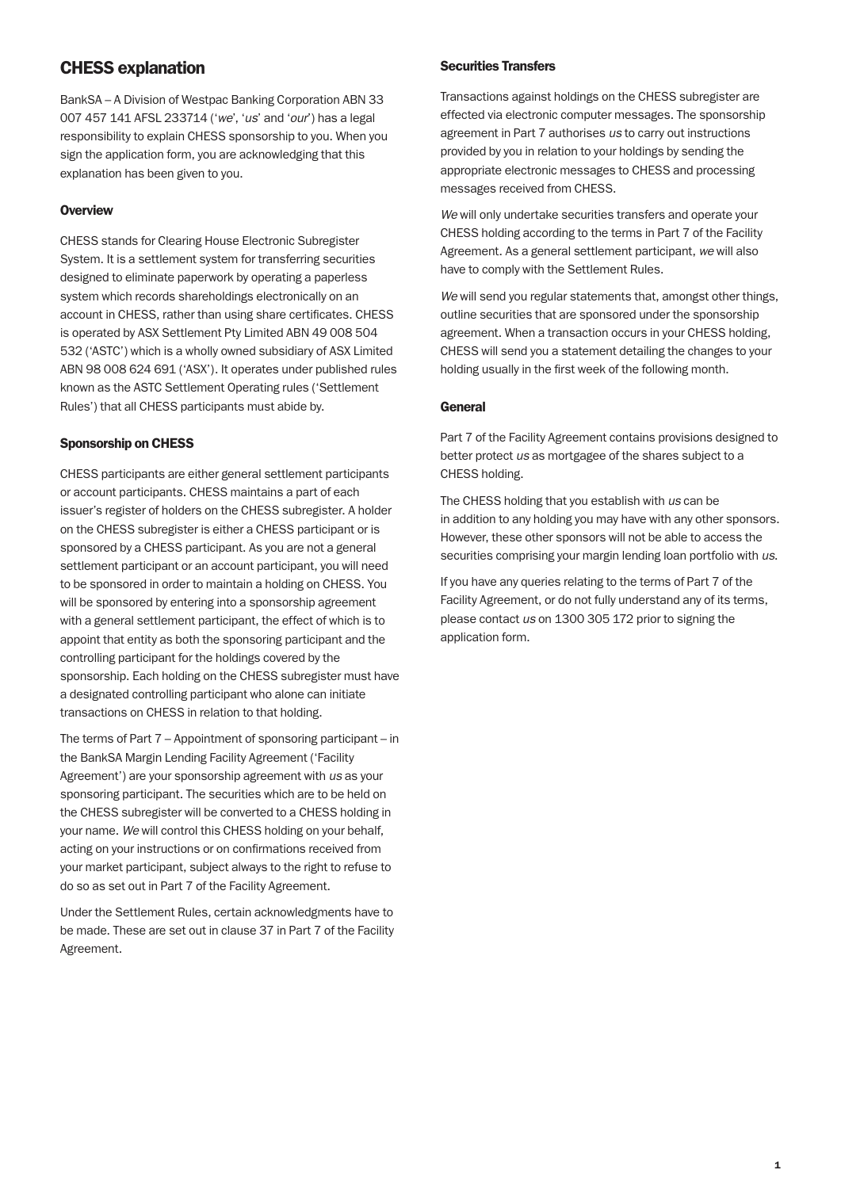# CHESS explanation

BankSA – A Division of Westpac Banking Corporation ABN 33 007 457 141 AFSL 233714 ('*we*', '*us*' and '*our*') has a legal responsibility to explain CHESS sponsorship to you. When you sign the application form, you are acknowledging that this explanation has been given to you.

## **Overview**

CHESS stands for Clearing House Electronic Subregister System. It is a settlement system for transferring securities designed to eliminate paperwork by operating a paperless system which records shareholdings electronically on an account in CHESS, rather than using share certificates. CHESS is operated by ASX Settlement Pty Limited ABN 49 008 504 532 ('ASTC') which is a wholly owned subsidiary of ASX Limited ABN 98 008 624 691 ('ASX'). It operates under published rules known as the ASTC Settlement Operating rules ('Settlement Rules') that all CHESS participants must abide by.

## Sponsorship on CHESS

CHESS participants are either general settlement participants or account participants. CHESS maintains a part of each issuer's register of holders on the CHESS subregister. A holder on the CHESS subregister is either a CHESS participant or is sponsored by a CHESS participant. As you are not a general settlement participant or an account participant, you will need to be sponsored in order to maintain a holding on CHESS. You will be sponsored by entering into a sponsorship agreement with a general settlement participant, the effect of which is to appoint that entity as both the sponsoring participant and the controlling participant for the holdings covered by the sponsorship. Each holding on the CHESS subregister must have a designated controlling participant who alone can initiate transactions on CHESS in relation to that holding.

The terms of Part 7 – Appointment of sponsoring participant – in the BankSA Margin Lending Facility Agreement ('Facility Agreement') are your sponsorship agreement with *us* as your sponsoring participant. The securities which are to be held on the CHESS subregister will be converted to a CHESS holding in your name. *We* will control this CHESS holding on your behalf, acting on your instructions or on confirmations received from your market participant, subject always to the right to refuse to do so as set out in Part 7 of the Facility Agreement.

Under the Settlement Rules, certain acknowledgments have to be made. These are set out in clause 37 in Part 7 of the Facility Agreement.

## Securities Transfers

Transactions against holdings on the CHESS subregister are effected via electronic computer messages. The sponsorship agreement in Part 7 authorises *us* to carry out instructions provided by you in relation to your holdings by sending the appropriate electronic messages to CHESS and processing messages received from CHESS.

*We* will only undertake securities transfers and operate your CHESS holding according to the terms in Part 7 of the Facility Agreement. As a general settlement participant, *we* will also have to comply with the Settlement Rules.

*We* will send you regular statements that, amongst other things, outline securities that are sponsored under the sponsorship agreement. When a transaction occurs in your CHESS holding, CHESS will send you a statement detailing the changes to your holding usually in the first week of the following month.

## General

Part 7 of the Facility Agreement contains provisions designed to better protect *us* as mortgagee of the shares subject to a CHESS holding.

The CHESS holding that you establish with *us* can be in addition to any holding you may have with any other sponsors. However, these other sponsors will not be able to access the securities comprising your margin lending loan portfolio with *us*.

If you have any queries relating to the terms of Part 7 of the Facility Agreement, or do not fully understand any of its terms, please contact *us* on 1300 305 172 prior to signing the application form.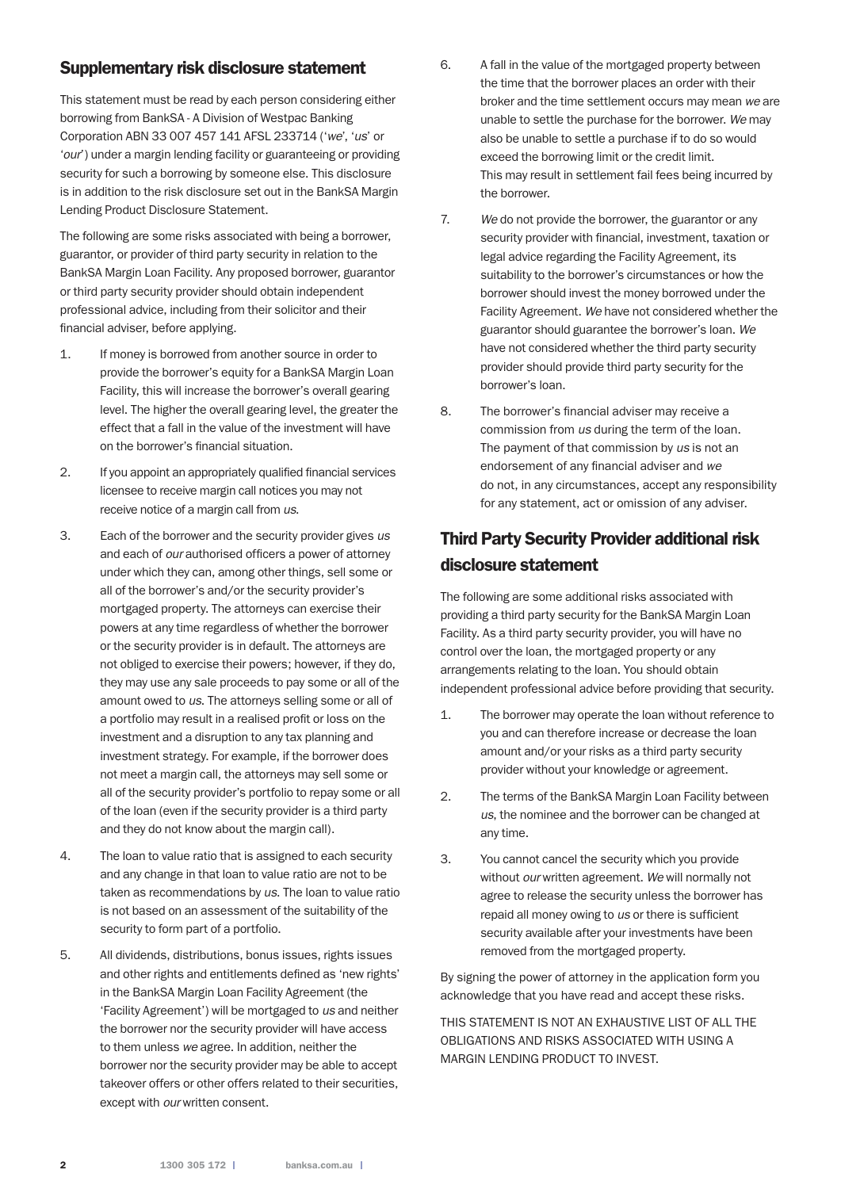## Supplementary risk disclosure statement

This statement must be read by each person considering either borrowing from BankSA - A Division of Westpac Banking Corporation ABN 33 007 457 141 AFSL 233714 ('*we*', '*us*' or '*our*') under a margin lending facility or guaranteeing or providing security for such a borrowing by someone else. This disclosure is in addition to the risk disclosure set out in the BankSA Margin Lending Product Disclosure Statement.

The following are some risks associated with being a borrower, guarantor, or provider of third party security in relation to the BankSA Margin Loan Facility. Any proposed borrower, guarantor or third party security provider should obtain independent professional advice, including from their solicitor and their financial adviser, before applying.

- 1. If money is borrowed from another source in order to provide the borrower's equity for a BankSA Margin Loan Facility, this will increase the borrower's overall gearing level. The higher the overall gearing level, the greater the effect that a fall in the value of the investment will have on the borrower's financial situation.
- 2. If you appoint an appropriately qualified financial services licensee to receive margin call notices you may not receive notice of a margin call from *us*.
- 3. Each of the borrower and the security provider gives *us* and each of *our* authorised officers a power of attorney under which they can, among other things, sell some or all of the borrower's and/or the security provider's mortgaged property. The attorneys can exercise their powers at any time regardless of whether the borrower or the security provider is in default. The attorneys are not obliged to exercise their powers; however, if they do, they may use any sale proceeds to pay some or all of the amount owed to *us*. The attorneys selling some or all of a portfolio may result in a realised profit or loss on the investment and a disruption to any tax planning and investment strategy. For example, if the borrower does not meet a margin call, the attorneys may sell some or all of the security provider's portfolio to repay some or all of the loan (even if the security provider is a third party and they do not know about the margin call).
- 4. The loan to value ratio that is assigned to each security and any change in that loan to value ratio are not to be taken as recommendations by *us*. The loan to value ratio is not based on an assessment of the suitability of the security to form part of a portfolio.
- 5. All dividends, distributions, bonus issues, rights issues and other rights and entitlements defined as 'new rights' in the BankSA Margin Loan Facility Agreement (the 'Facility Agreement') will be mortgaged to *us* and neither the borrower nor the security provider will have access to them unless *we* agree. In addition, neither the borrower nor the security provider may be able to accept takeover offers or other offers related to their securities, except with *our* written consent.
- 6. A fall in the value of the mortgaged property between the time that the borrower places an order with their broker and the time settlement occurs may mean *we* are unable to settle the purchase for the borrower. *We* may also be unable to settle a purchase if to do so would exceed the borrowing limit or the credit limit. This may result in settlement fail fees being incurred by the borrower.
- 7. *We* do not provide the borrower, the guarantor or any security provider with financial, investment, taxation or legal advice regarding the Facility Agreement, its suitability to the borrower's circumstances or how the borrower should invest the money borrowed under the Facility Agreement. *We* have not considered whether the guarantor should guarantee the borrower's loan. *We* have not considered whether the third party security provider should provide third party security for the borrower's loan.
- 8. The borrower's financial adviser may receive a commission from *us* during the term of the loan. The payment of that commission by *us* is not an endorsement of any financial adviser and *we* do not, in any circumstances, accept any responsibility for any statement, act or omission of any adviser.

# Third Party Security Provider additional risk disclosure statement

The following are some additional risks associated with providing a third party security for the BankSA Margin Loan Facility. As a third party security provider, you will have no control over the loan, the mortgaged property or any arrangements relating to the loan. You should obtain independent professional advice before providing that security.

- 1. The borrower may operate the loan without reference to you and can therefore increase or decrease the loan amount and/or your risks as a third party security provider without your knowledge or agreement.
- 2. The terms of the BankSA Margin Loan Facility between *us*, the nominee and the borrower can be changed at any time.
- 3. You cannot cancel the security which you provide without *our* written agreement. *We* will normally not agree to release the security unless the borrower has repaid all money owing to *us* or there is sufficient security available after your investments have been removed from the mortgaged property.

By signing the power of attorney in the application form you acknowledge that you have read and accept these risks.

THIS STATEMENT IS NOT AN EXHAUSTIVE LIST OF ALL THE OBLIGATIONS AND RISKS ASSOCIATED WITH USING A MARGIN LENDING PRODUCT TO INVEST.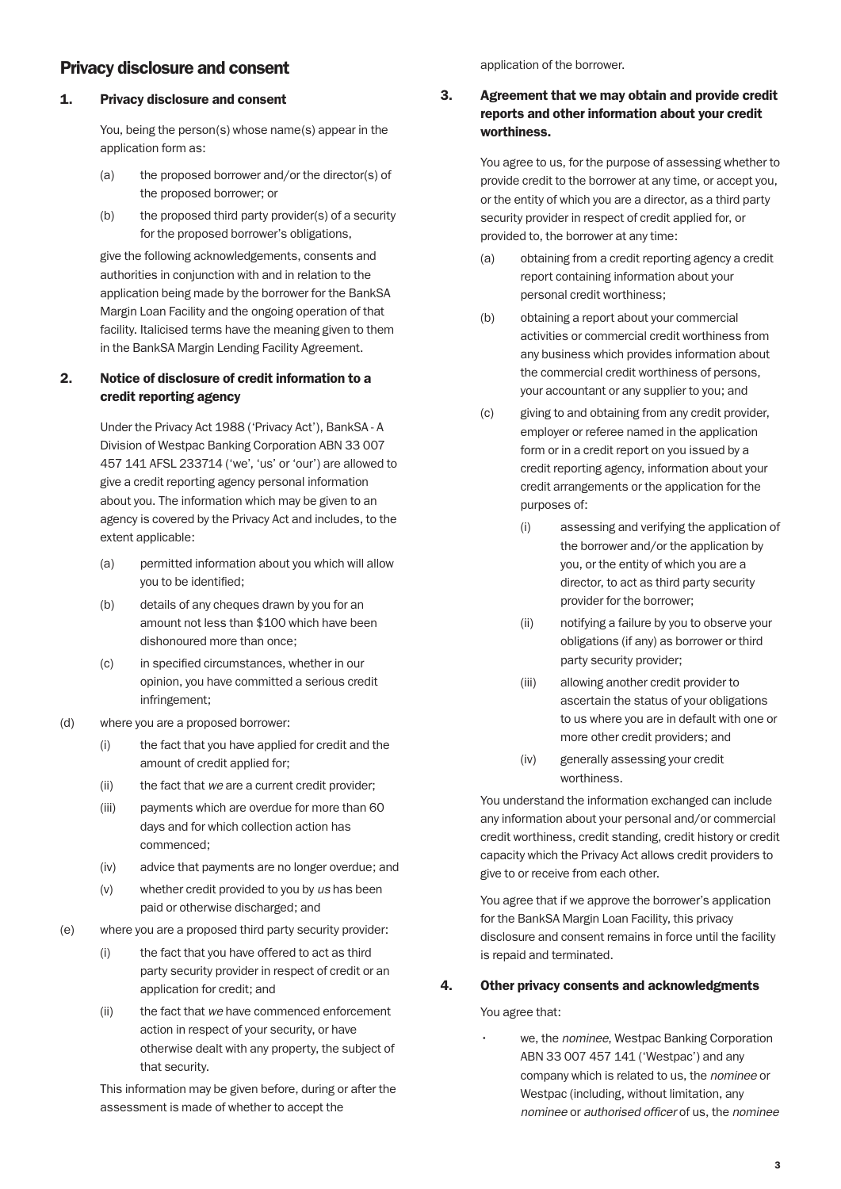# Privacy disclosure and consent

#### 1. Privacy disclosure and consent

 You, being the person(s) whose name(s) appear in the application form as:

- (a) the proposed borrower and/or the director(s) of the proposed borrower; or
- (b) the proposed third party provider(s) of a security for the proposed borrower's obligations,

 give the following acknowledgements, consents and authorities in conjunction with and in relation to the application being made by the borrower for the BankSA Margin Loan Facility and the ongoing operation of that facility. Italicised terms have the meaning given to them in the BankSA Margin Lending Facility Agreement.

## 2. Notice of disclosure of credit information to a credit reporting agency

Under the Privacy Act 1988 ('Privacy Act'), BankSA - A Division of Westpac Banking Corporation ABN 33 007 457 141 AFSL 233714 ('we', 'us' or 'our') are allowed to give a credit reporting agency personal information about you. The information which may be given to an agency is covered by the Privacy Act and includes, to the extent applicable:

- (a) permitted information about you which will allow you to be identified;
- (b) details of any cheques drawn by you for an amount not less than \$100 which have been dishonoured more than once;
- (c) in specified circumstances, whether in our opinion, you have committed a serious credit infringement;
- (d) where you are a proposed borrower:
	- (i) the fact that you have applied for credit and the amount of credit applied for;
	- (ii) the fact that *we* are a current credit provider;
	- (iii) payments which are overdue for more than 60 days and for which collection action has commenced;
	- (iv) advice that payments are no longer overdue; and
	- (v) whether credit provided to you by *us* has been paid or otherwise discharged; and
- (e) where you are a proposed third party security provider:
	- (i) the fact that you have offered to act as third party security provider in respect of credit or an application for credit; and
	- (ii) the fact that *we* have commenced enforcement action in respect of your security, or have otherwise dealt with any property, the subject of that security.

 This information may be given before, during or after the assessment is made of whether to accept the

application of the borrower.

## 3. Agreement that we may obtain and provide credit reports and other information about your credit worthiness.

You agree to us, for the purpose of assessing whether to provide credit to the borrower at any time, or accept you, or the entity of which you are a director, as a third party security provider in respect of credit applied for, or provided to, the borrower at any time:

- (a) obtaining from a credit reporting agency a credit report containing information about your personal credit worthiness;
- (b) obtaining a report about your commercial activities or commercial credit worthiness from any business which provides information about the commercial credit worthiness of persons, your accountant or any supplier to you; and
- (c) giving to and obtaining from any credit provider, employer or referee named in the application form or in a credit report on you issued by a credit reporting agency, information about your credit arrangements or the application for the purposes of:
	- (i) assessing and verifying the application of the borrower and/or the application by you, or the entity of which you are a director, to act as third party security provider for the borrower;
	- (ii) notifying a failure by you to observe your obligations (if any) as borrower or third party security provider;
	- (iii) allowing another credit provider to ascertain the status of your obligations to us where you are in default with one or more other credit providers; and
	- (iv) generally assessing your credit worthiness.

 You understand the information exchanged can include any information about your personal and/or commercial credit worthiness, credit standing, credit history or credit capacity which the Privacy Act allows credit providers to give to or receive from each other.

 You agree that if we approve the borrower's application for the BankSA Margin Loan Facility, this privacy disclosure and consent remains in force until the facility is repaid and terminated.

#### 4. Other privacy consents and acknowledgments

You agree that:

• we, the *nominee*, Westpac Banking Corporation ABN 33 007 457 141 ('Westpac') and any company which is related to us, the *nominee* or Westpac (including, without limitation, any *nominee* or *authorised officer* of us, the *nominee*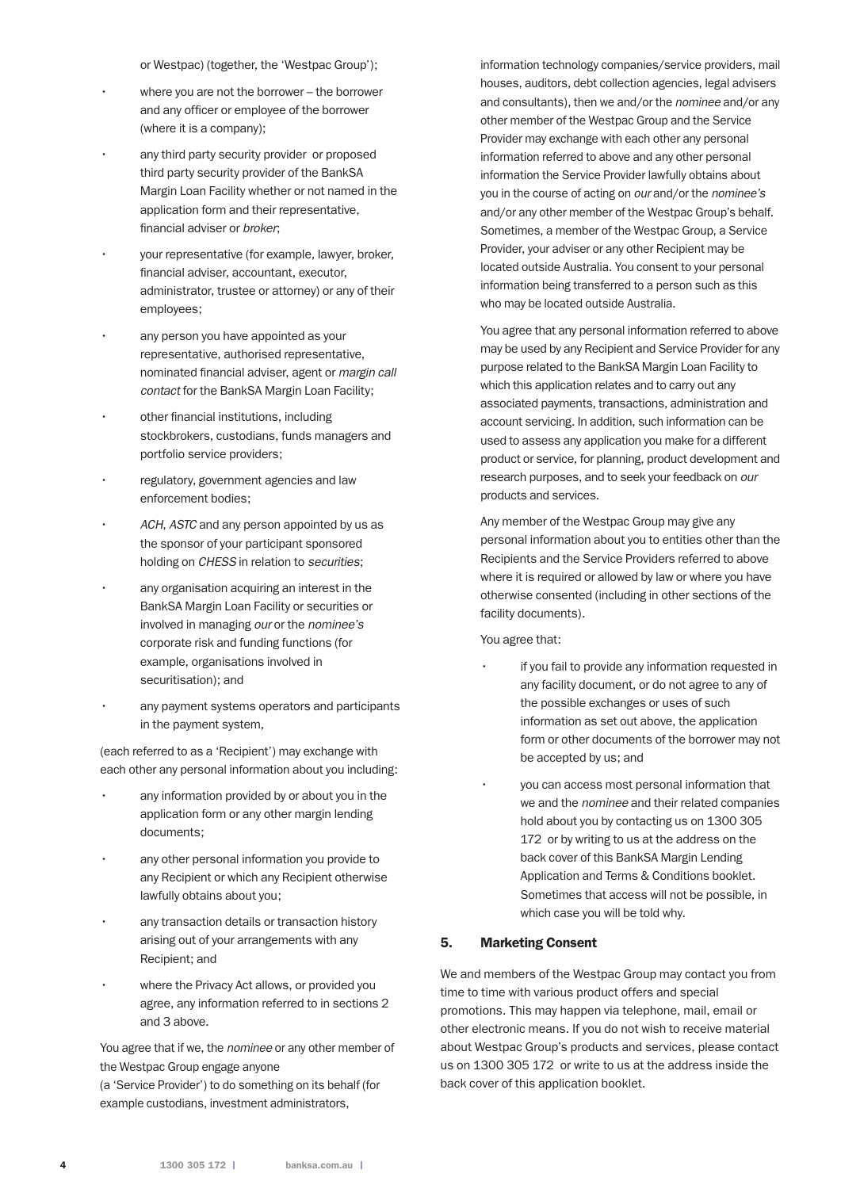or Westpac) (together, the 'Westpac Group');

- where you are not the borrower the borrower and any officer or employee of the borrower (where it is a company);
- any third party security provider or proposed third party security provider of the BankSA Margin Loan Facility whether or not named in the application form and their representative, financial adviser or *broker*;
- your representative (for example, lawyer, broker, financial adviser, accountant, executor, administrator, trustee or attorney) or any of their employees;
- any person you have appointed as your representative, authorised representative, nominated financial adviser, agent or *margin call contact* for the BankSA Margin Loan Facility;
- other financial institutions, including stockbrokers, custodians, funds managers and portfolio service providers;
- regulatory, government agencies and law enforcement bodies;
- *ACH*, *ASTC* and any person appointed by us as the sponsor of your participant sponsored holding on *CHESS* in relation to *securities*;
- any organisation acquiring an interest in the BankSA Margin Loan Facility or securities or involved in managing *our* or the *nominee's* corporate risk and funding functions (for example, organisations involved in securitisation); and
- any payment systems operators and participants in the payment system,

 (each referred to as a 'Recipient') may exchange with each other any personal information about you including:

- any information provided by or about you in the application form or any other margin lending documents;
- any other personal information you provide to any Recipient or which any Recipient otherwise lawfully obtains about you;
- any transaction details or transaction history arising out of your arrangements with any Recipient; and
- where the Privacy Act allows, or provided you agree, any information referred to in sections 2 and 3 above.

 You agree that if we, the *nominee* or any other member of the Westpac Group engage anyone

(a 'Service Provider') to do something on its behalf (for example custodians, investment administrators,

information technology companies/service providers, mail houses, auditors, debt collection agencies, legal advisers and consultants), then we and/or the *nominee* and/or any other member of the Westpac Group and the Service Provider may exchange with each other any personal information referred to above and any other personal information the Service Provider lawfully obtains about you in the course of acting on *our* and/or the *nominee's* and/or any other member of the Westpac Group's behalf. Sometimes, a member of the Westpac Group, a Service Provider, your adviser or any other Recipient may be located outside Australia. You consent to your personal information being transferred to a person such as this who may be located outside Australia.

 You agree that any personal information referred to above may be used by any Recipient and Service Provider for any purpose related to the BankSA Margin Loan Facility to which this application relates and to carry out any associated payments, transactions, administration and account servicing. In addition, such information can be used to assess any application you make for a different product or service, for planning, product development and research purposes, and to seek your feedback on *our* products and services.

 Any member of the Westpac Group may give any personal information about you to entities other than the Recipients and the Service Providers referred to above where it is required or allowed by law or where you have otherwise consented (including in other sections of the facility documents).

You agree that:

- if you fail to provide any information requested in any facility document, or do not agree to any of the possible exchanges or uses of such information as set out above, the application form or other documents of the borrower may not be accepted by us; and
- you can access most personal information that we and the *nominee* and their related companies hold about you by contacting us on 1300 305 172 or by writing to us at the address on the back cover of this BankSA Margin Lending Application and Terms & Conditions booklet. Sometimes that access will not be possible, in which case you will be told why.

#### 5. Marketing Consent

We and members of the Westpac Group may contact you from time to time with various product offers and special promotions. This may happen via telephone, mail, email or other electronic means. If you do not wish to receive material about Westpac Group's products and services, please contact us on 1300 305 172 or write to us at the address inside the back cover of this application booklet.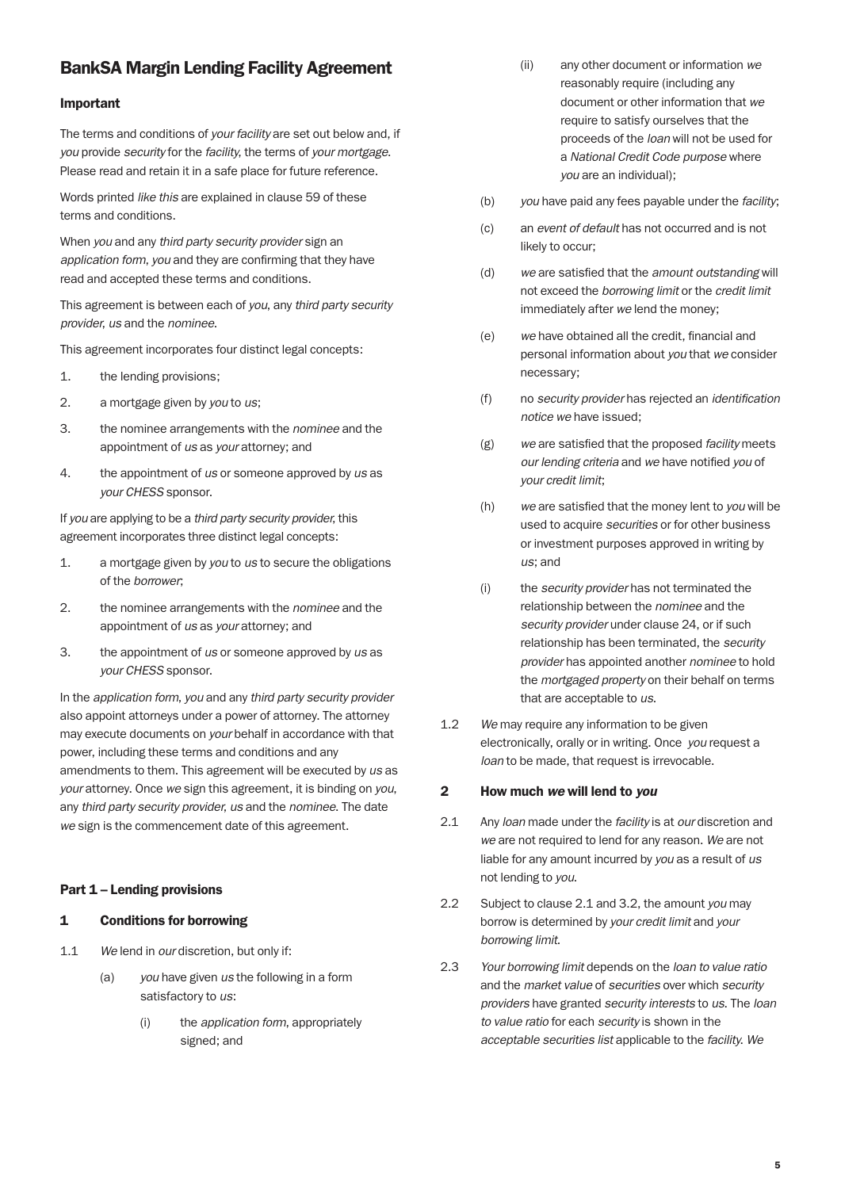# BankSA Margin Lending Facility Agreement

#### Important

The terms and conditions of *your facility* are set out below and, if *you* provide *security* for the *facility*, the terms of *your mortgage*. Please read and retain it in a safe place for future reference.

Words printed *like this* are explained in clause 59 of these terms and conditions.

When *you* and any *third party security provider* sign an *application form*, *you* and they are confirming that they have read and accepted these terms and conditions.

This agreement is between each of *you*, any *third party security provider*, *us* and the *nominee*.

This agreement incorporates four distinct legal concepts:

- 1. the lending provisions;
- 2. a mortgage given by *you* to *us*;
- 3. the nominee arrangements with the *nominee* and the appointment of *us* as *your* attorney; and
- 4. the appointment of *us* or someone approved by *us* as *your CHESS* sponsor.

If *you* are applying to be a *third party security provider*, this agreement incorporates three distinct legal concepts:

- 1. a mortgage given by *you* to *us* to secure the obligations of the *borrower*;
- 2. the nominee arrangements with the *nominee* and the appointment of *us* as *your* attorney; and
- 3. the appointment of *us* or someone approved by *us* as *your CHESS* sponsor.

In the *application form*, *you* and any *third party security provider* also appoint attorneys under a power of attorney. The attorney may execute documents on *your* behalf in accordance with that power, including these terms and conditions and any amendments to them. This agreement will be executed by *us* as *your* attorney. Once *we* sign this agreement, it is binding on *you*, any *third party security provider*, *us* and the *nominee*. The date *we* sign is the commencement date of this agreement.

#### Part 1 – Lending provisions

#### 1 Conditions for borrowing

- 1.1 *We* lend in *our* discretion, but only if:
	- (a) *you* have given *us* the following in a form satisfactory to *us*:
		- (i) the *application form*, appropriately signed; and
- (ii) any other document or information *we* reasonably require (including any document or other information that *we* require to satisfy ourselves that the proceeds of the *loan* will not be used for a *National Credit Code purpose* where *you* are an individual);
- (b) *you* have paid any fees payable under the *facility*;
- (c) an *event of default* has not occurred and is not likely to occur;
- (d) *we* are satisfied that the *amount outstanding* will not exceed the *borrowing limit* or the *credit limit* immediately after *we* lend the money;
- (e) *we* have obtained all the credit, financial and personal information about *you* that *we* consider necessary;
- (f) no *security provider* has rejected an *identification notice we* have issued;
- (g) *we* are satisfied that the proposed *facility* meets *our lending criteria* and *we* have notified *you* of *your credit limit*;
- (h) *we* are satisfied that the money lent to *you* will be used to acquire *securities* or for other business or investment purposes approved in writing by *us*; and
- (i) the *security provider* has not terminated the relationship between the *nominee* and the *security provider* under clause 24, or if such relationship has been terminated, the *security provider* has appointed another *nominee* to hold the *mortgaged property* on their behalf on terms that are acceptable to *us*.
- 1.2 *We* may require any information to be given electronically, orally or in writing. Once *you* request a *loan* to be made, that request is irrevocable.

#### 2 How much *we* will lend to *you*

- 2.1 Any *loan* made under the *facility* is at *our* discretion and *we* are not required to lend for any reason. *We* are not liable for any amount incurred by *you* as a result of *us* not lending to *you*.
- 2.2 Subject to clause 2.1 and 3.2, the amount *you* may borrow is determined by *your credit limit* and *your borrowing limit*.
- 2.3 *Your borrowing limit* depends on the *loan to value ratio* and the *market value* of *securities* over which *security providers* have granted *security interests* to *us*. The *loan to value ratio* for each *security* is shown in the *acceptable securities list* applicable to the *facility*. *We*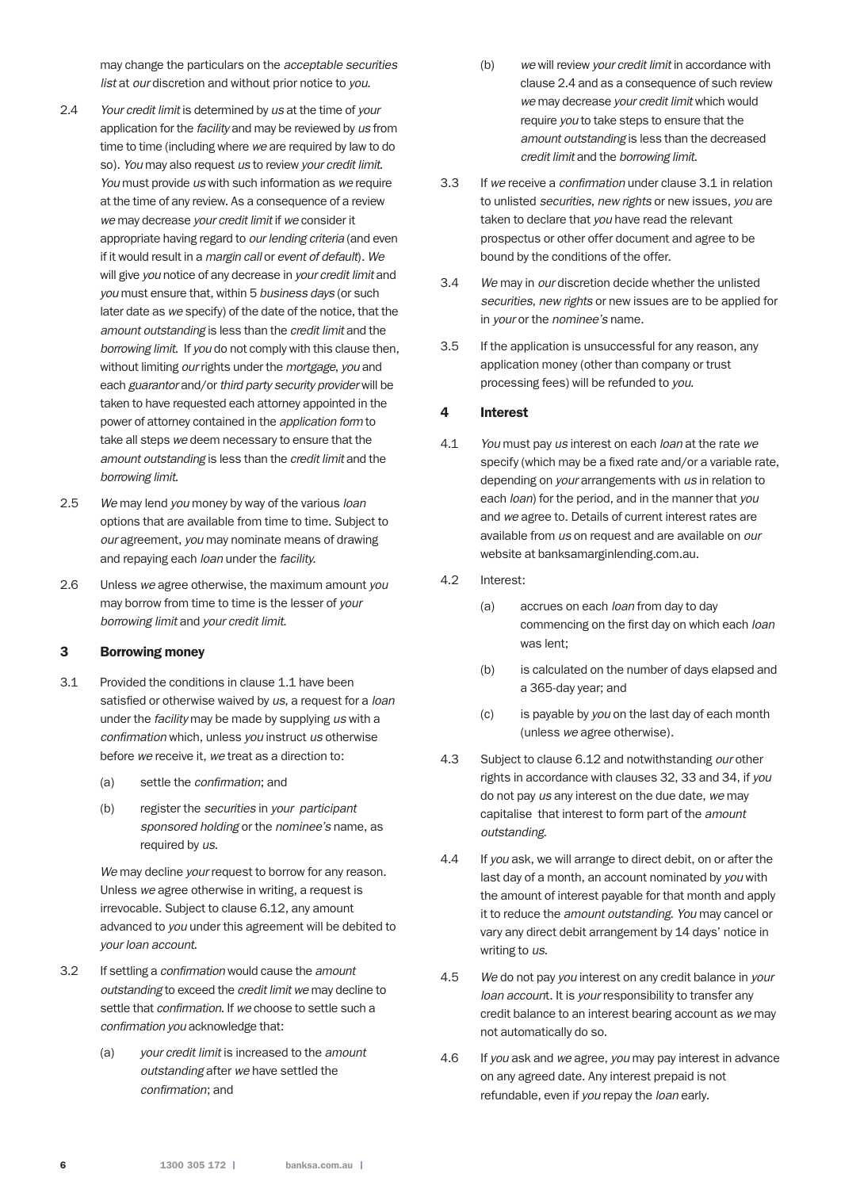may change the particulars on the *acceptable securities list* at *our* discretion and without prior notice to *you*.

- 2.4 *Your credit limit* is determined by *us* at the time of *your* application for the *facility* and may be reviewed by *us* from time to time (including where *we* are required by law to do so). *You* may also request *us* to review *your credit limit*. *You* must provide *us* with such information as *we* require at the time of any review. As a consequence of a review *we* may decrease *your credit limit* if *we* consider it appropriate having regard to *our lending criteria* (and even if it would result in a *margin call* or *event of default*). *We* will give *you* notice of any decrease in *your credit limit* and *you* must ensure that, within 5 *business days* (or such later date as *we* specify) of the date of the notice, that the *amount outstanding* is less than the *credit limit* and the *borrowing limit*. If *you* do not comply with this clause then, without limiting *our* rights under the *mortgage*, *you* and each *guarantor* and/or *third party security provider* will be taken to have requested each attorney appointed in the power of attorney contained in the *application form* to take all steps *we* deem necessary to ensure that the *amount outstanding* is less than the *credit limit* and the *borrowing limit*.
- 2.5 *We* may lend *you* money by way of the various *loan* options that are available from time to time. Subject to *our* agreement, *you* may nominate means of drawing and repaying each *loan* under the *facility*.
- 2.6 Unless *we* agree otherwise, the maximum amount *you* may borrow from time to time is the lesser of *your borrowing limit* and *your credit limit*.

#### 3 Borrowing money

- 3.1 Provided the conditions in clause 1.1 have been satisfied or otherwise waived by *us*, a request for a *loan* under the *facility* may be made by supplying *us* with a *confirmation* which, unless *you* instruct *us* otherwise before *we* receive it, *we* treat as a direction to:
	- (a) settle the *confirmation*; and
	- (b) register the *securities* in *your participant sponsored holding* or the *nominee's* name, as required by *us*.

 *We* may decline *your* request to borrow for any reason. Unless *we* agree otherwise in writing, a request is irrevocable. Subject to clause 6.12, any amount advanced to *you* under this agreement will be debited to *your loan account*.

- 3.2 If settling a *confirmation* would cause the *amount outstanding* to exceed the *credit limit we* may decline to settle that *confirmation*. If *we* choose to settle such a *confirmation you* acknowledge that:
	- (a) *your credit limit* is increased to the *amount outstanding* after *we* have settled the *confirmation*; and
- (b) *we* will review *your credit limit* in accordance with clause 2.4 and as a consequence of such review *we* may decrease *your credit limit* which would require *you* to take steps to ensure that the *amount outstanding* is less than the decreased *credit limit* and the *borrowing limit*.
- 3.3 If *we* receive a *confirmation* under clause 3.1 in relation to unlisted *securities*, *new rights* or new issues, *you* are taken to declare that *you* have read the relevant prospectus or other offer document and agree to be bound by the conditions of the offer.
- 3.4 *We* may in *our* discretion decide whether the unlisted *securities*, *new rights* or new issues are to be applied for in *your* or the *nominee's* name.
- 3.5 If the application is unsuccessful for any reason, any application money (other than company or trust processing fees) will be refunded to *you*.

#### 4 Interest

- 4.1 *You* must pay *us* interest on each *loan* at the rate *we* specify (which may be a fixed rate and/or a variable rate, depending on *your* arrangements with *us* in relation to each *loan*) for the period, and in the manner that *you* and *we* agree to. Details of current interest rates are available from *us* on request and are available on *our* website at banksamarginlending.com.au.
- 4.2 Interest:
	- (a) accrues on each *loan* from day to day commencing on the first day on which each *loan* was lent;
	- (b) is calculated on the number of days elapsed and a 365-day year; and
	- (c) is payable by *you* on the last day of each month (unless *we* agree otherwise).
- 4.3 Subject to clause 6.12 and notwithstanding *our* other rights in accordance with clauses 32, 33 and 34, if *you* do not pay *us* any interest on the due date, *we* may capitalise that interest to form part of the *amount outstanding*.
- 4.4 If *you* ask, we will arrange to direct debit, on or after the last day of a month, an account nominated by *you* with the amount of interest payable for that month and apply it to reduce the *amount outstanding*. *You* may cancel or vary any direct debit arrangement by 14 days' notice in writing to *us*.
- 4.5 *We* do not pay *you* interest on any credit balance in *your loan accoun*t. It is *your* responsibility to transfer any credit balance to an interest bearing account as *we* may not automatically do so.
- 4.6 If *you* ask and *we* agree, *you* may pay interest in advance on any agreed date. Any interest prepaid is not refundable, even if *you* repay the *loan* early.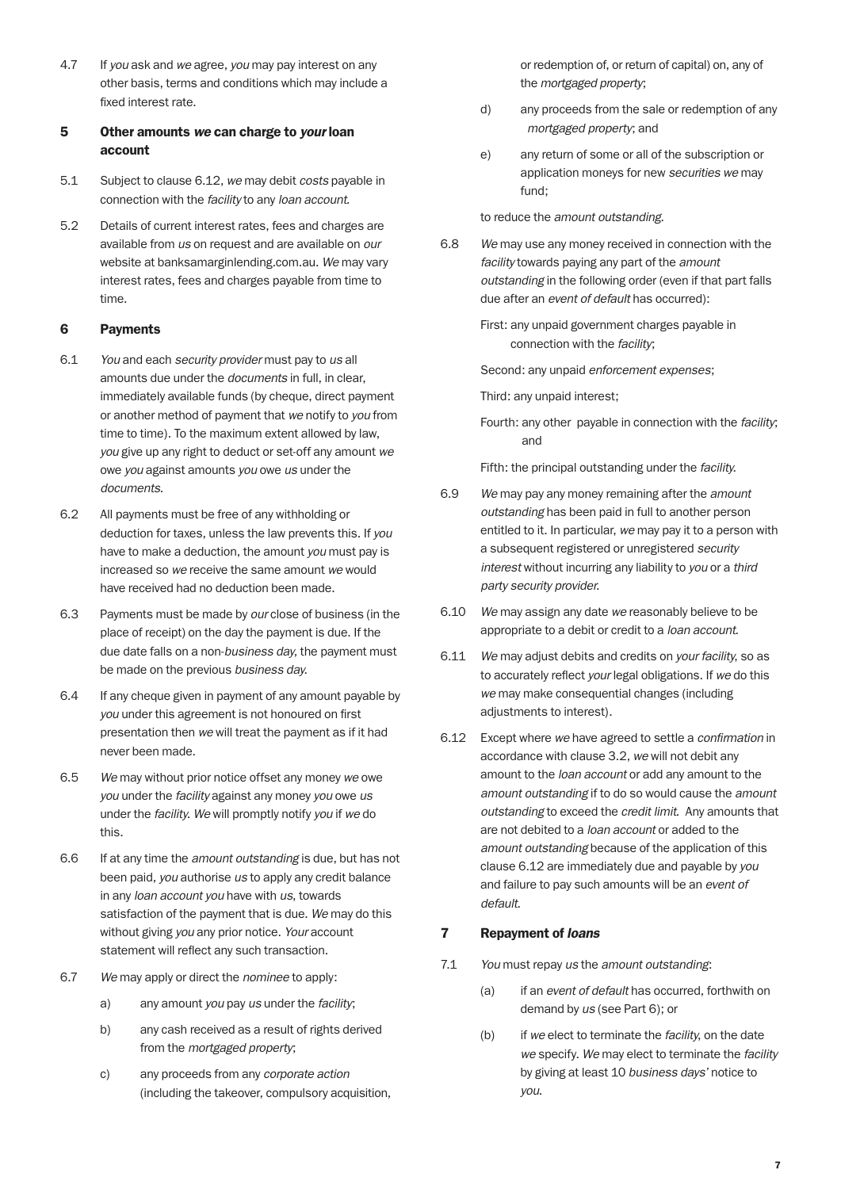4.7 If *you* ask and *we* agree, *you* may pay interest on any other basis, terms and conditions which may include a fixed interest rate.

## 5 Other amounts *we* can charge to *your* loan account

- 5.1 Subject to clause 6.12, *we* may debit *costs* payable in connection with the *facility* to any *loan account*.
- 5.2 Details of current interest rates, fees and charges are available from *us* on request and are available on *our* website at banksamarginlending.com.au. *We* may vary interest rates, fees and charges payable from time to time.

#### 6 Payments

- 6.1 *You* and each *security provider* must pay to *us* all amounts due under the *documents* in full, in clear, immediately available funds (by cheque, direct payment or another method of payment that *we* notify to *you* from time to time). To the maximum extent allowed by law, *you* give up any right to deduct or set-off any amount *we* owe *you* against amounts *you* owe *us* under the *documents*.
- 6.2 All payments must be free of any withholding or deduction for taxes, unless the law prevents this. If *you* have to make a deduction, the amount *you* must pay is increased so *we* receive the same amount *we* would have received had no deduction been made.
- 6.3 Payments must be made by *our* close of business (in the place of receipt) on the day the payment is due. If the due date falls on a non-*business day*, the payment must be made on the previous *business day*.
- 6.4 If any cheque given in payment of any amount payable by *you* under this agreement is not honoured on first presentation then *we* will treat the payment as if it had never been made.
- 6.5 *We* may without prior notice offset any money *we* owe *you* under the *facility* against any money *you* owe *us* under the *facility*. *We* will promptly notify *you* if *we* do this.
- 6.6 If at any time the *amount outstanding* is due, but has not been paid, *you* authorise *us* to apply any credit balance in any *loan account you* have with *us*, towards satisfaction of the payment that is due. *We* may do this without giving *you* any prior notice. *Your* account statement will reflect any such transaction.
- 6.7 *We* may apply or direct the *nominee* to apply:
	- a) any amount *you* pay *us* under the *facility*;
	- b) any cash received as a result of rights derived from the *mortgaged property*;
	- c) any proceeds from any *corporate action* (including the takeover, compulsory acquisition,

or redemption of, or return of capital) on, any of the *mortgaged property*;

- d) any proceeds from the sale or redemption of any *mortgaged property*; and
- e) any return of some or all of the subscription or application moneys for new *securities we* may fund;

to reduce the *amount outstanding*.

6.8 *We* may use any money received in connection with the *facility* towards paying any part of the *amount outstanding* in the following order (even if that part falls due after an *event of default* has occurred):

> First: any unpaid government charges payable in connection with the *facility*;

Second: any unpaid *enforcement expenses*;

Third: any unpaid interest;

 Fourth: any other payable in connection with the *facility*; and

Fifth: the principal outstanding under the *facility*.

- 6.9 *We* may pay any money remaining after the *amount outstanding* has been paid in full to another person entitled to it. In particular, *we* may pay it to a person with a subsequent registered or unregistered *security interest* without incurring any liability to *you* or a *third party security provider*.
- 6.10 *We* may assign any date *we* reasonably believe to be appropriate to a debit or credit to a *loan account*.
- 6.11 *We* may adjust debits and credits on *your facility*, so as to accurately reflect *your* legal obligations. If *we* do this *we* may make consequential changes (including adjustments to interest).
- 6.12 Except where *we* have agreed to settle a *confirmation* in accordance with clause 3.2, *we* will not debit any amount to the *loan account* or add any amount to the *amount outstanding* if to do so would cause the *amount outstanding* to exceed the *credit limit*. Any amounts that are not debited to a *loan account* or added to the *amount outstanding* because of the application of this clause 6.12 are immediately due and payable by *you* and failure to pay such amounts will be an *event of default*.

#### 7 Repayment of *loans*

- 7.1 *You* must repay *us* the *amount outstanding*:
	- (a) if an *event of default* has occurred, forthwith on demand by *us* (see Part 6); or
	- (b) if *we* elect to terminate the *facility*, on the date *we* specify. *We* may elect to terminate the *facility* by giving at least 10 *business days'* notice to *you*.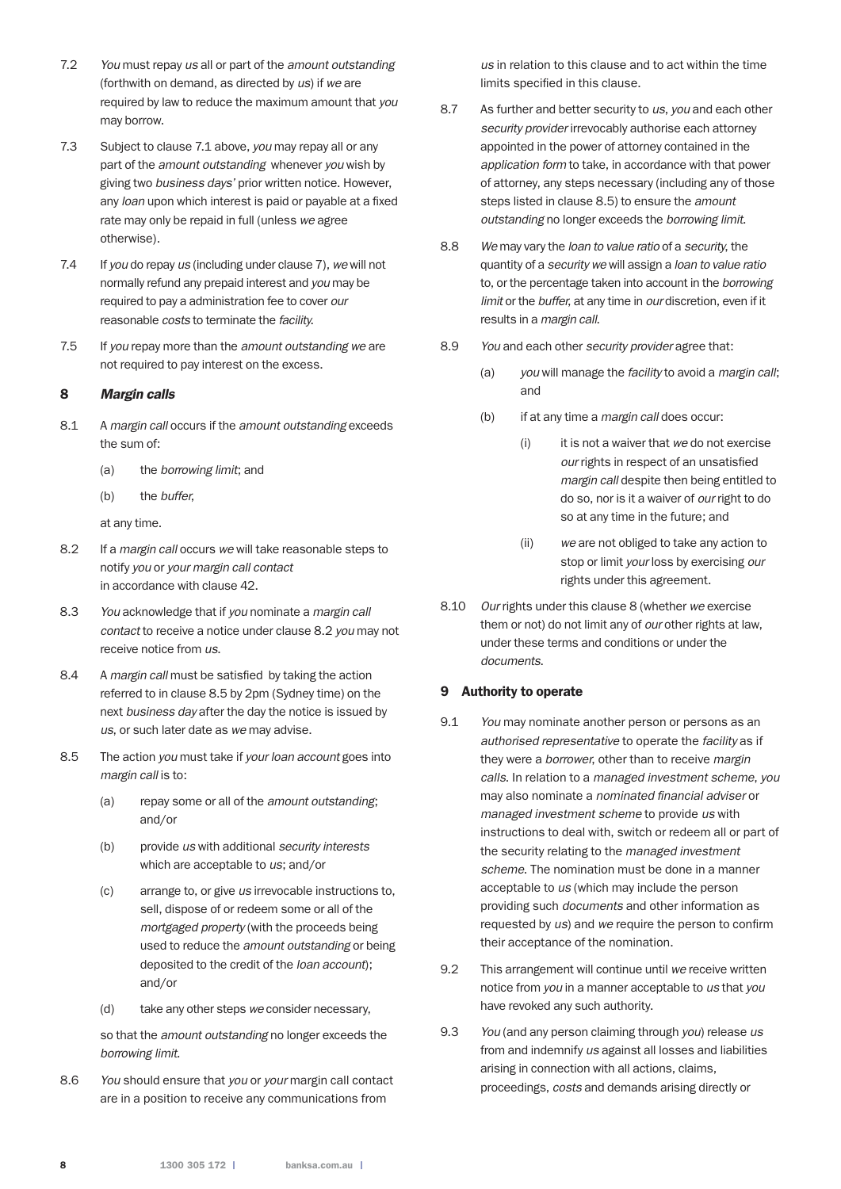- 7.2 *You* must repay *us* all or part of the *amount outstanding* (forthwith on demand, as directed by *us*) if *we* are required by law to reduce the maximum amount that *you* may borrow.
- 7.3 Subject to clause 7.1 above, *you* may repay all or any part of the *amount outstanding* whenever *you* wish by giving two *business days'* prior written notice. However, any *loan* upon which interest is paid or payable at a fixed rate may only be repaid in full (unless *we* agree otherwise).
- 7.4 If *you* do repay *us* (including under clause 7), *we* will not normally refund any prepaid interest and *you* may be required to pay a administration fee to cover *our* reasonable *costs* to terminate the *facility*.
- 7.5 If *you* repay more than the *amount outstanding we* are not required to pay interest on the excess.

## 8 *Margin calls*

- 8.1 A *margin call* occurs if the *amount outstanding* exceeds the sum of:
	- (a) the *borrowing limit*; and
	- (b) the *buffer*,

at any time.

- 8.2 If a *margin call* occurs *we* will take reasonable steps to notify *you* or *your margin call contact* in accordance with clause 42.
- 8.3 *You* acknowledge that if *you* nominate a *margin call contact* to receive a notice under clause 8.2 *you* may not receive notice from *us*.
- 8.4 A *margin call* must be satisfied by taking the action referred to in clause 8.5 by 2pm (Sydney time) on the next *business day* after the day the notice is issued by *us*, or such later date as *we* may advise.
- 8.5 The action *you* must take if *your loan account* goes into *margin call* is to:
	- (a) repay some or all of the *amount outstanding*; and/or
	- (b) provide *us* with additional *security interests* which are acceptable to *us*; and/or
	- (c) arrange to, or give *us* irrevocable instructions to, sell, dispose of or redeem some or all of the *mortgaged property* (with the proceeds being used to reduce the *amount outstanding* or being deposited to the credit of the *loan account*); and/or
	- (d) take any other steps *we* consider necessary,

 so that the *amount outstanding* no longer exceeds the *borrowing limit*.

8.6 *You* should ensure that *you* or *your* margin call contact are in a position to receive any communications from

*us* in relation to this clause and to act within the time limits specified in this clause.

- 8.7 As further and better security to *us*, *you* and each other *security provider* irrevocably authorise each attorney appointed in the power of attorney contained in the *application form* to take, in accordance with that power of attorney, any steps necessary (including any of those steps listed in clause 8.5) to ensure the *amount outstanding* no longer exceeds the *borrowing limit*.
- 8.8 *We* may vary the *loan to value ratio* of a *security*, the quantity of a *security we* will assign a *loan to value ratio* to, or the percentage taken into account in the *borrowing limit* or the *buffer*, at any time in *our* discretion, even if it results in a *margin call*.
- 8.9 *You* and each other *security provider* agree that:
	- (a) *you* will manage the *facility* to avoid a *margin call*; and
	- (b) if at any time a *margin call* does occur:
		- (i) it is not a waiver that *we* do not exercise *our* rights in respect of an unsatisfied *margin call* despite then being entitled to do so, nor is it a waiver of *our* right to do so at any time in the future; and
		- (ii) *we* are not obliged to take any action to stop or limit *your* loss by exercising *our* rights under this agreement.
- 8.10 *Our* rights under this clause 8 (whether *we* exercise them or not) do not limit any of *our* other rights at law, under these terms and conditions or under the *documents*.

#### 9 Authority to operate

- 9.1 *You* may nominate another person or persons as an *authorised representative* to operate the *facility* as if they were a *borrower*, other than to receive *margin calls*. In relation to a *managed investment scheme*, *you* may also nominate a *nominated financial adviser* or *managed investment scheme* to provide *us* with instructions to deal with, switch or redeem all or part of the security relating to the *managed investment scheme*. The nomination must be done in a manner acceptable to *us* (which may include the person providing such *documents* and other information as requested by *us*) and *we* require the person to confirm their acceptance of the nomination.
- 9.2 This arrangement will continue until *we* receive written notice from *you* in a manner acceptable to *us* that *you* have revoked any such authority.
- 9.3 *You* (and any person claiming through *you*) release *us* from and indemnify *us* against all losses and liabilities arising in connection with all actions, claims, proceedings, *costs* and demands arising directly or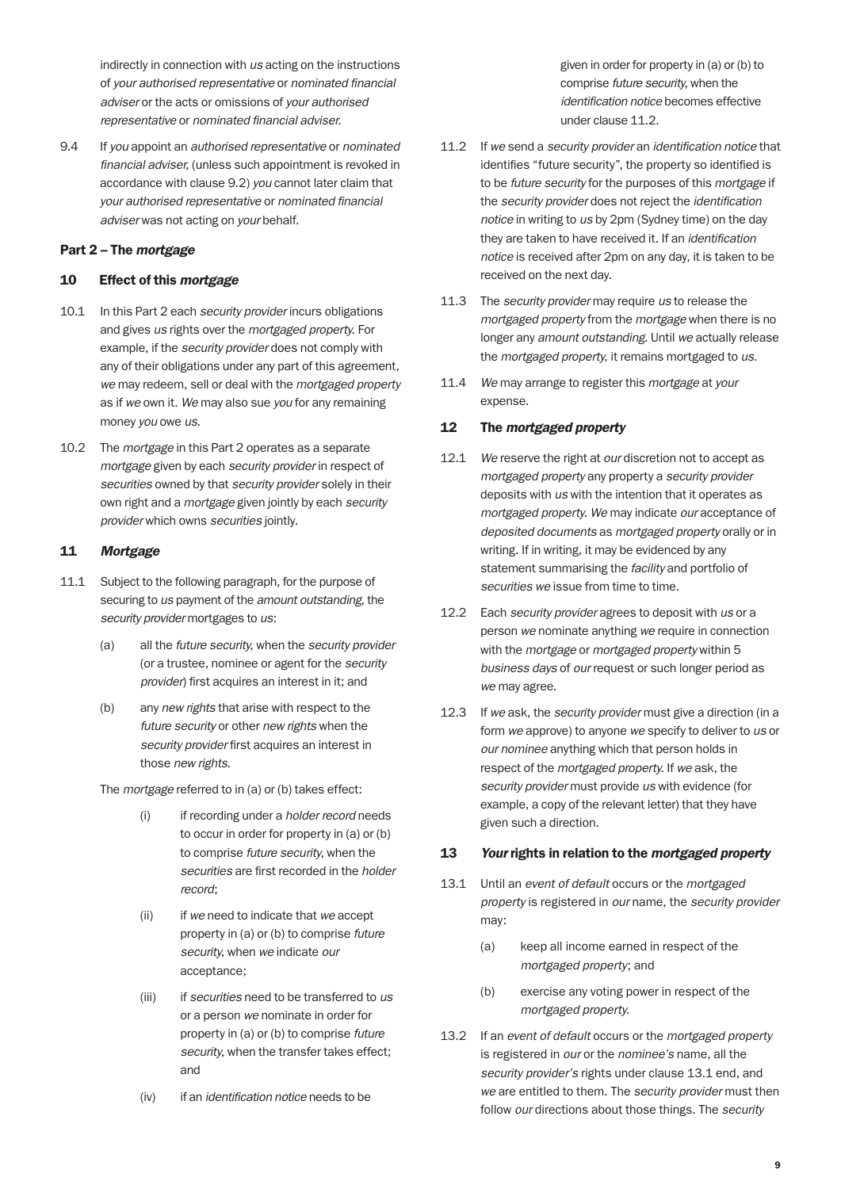indirectly in connection with *us* acting on the instructions of *your authorised representative* or *nominated financial adviser* or the acts or omissions of *your authorised representative* or *nominated financial adviser*.

9.4 If *you* appoint an *authorised representative* or *nominated financial adviser*, (unless such appointment is revoked in accordance with clause 9.2) *you* cannot later claim that *your authorised representative* or *nominated financial adviser* was not acting on *your* behalf.

## Part 2 – The *mortgage*

#### 10 Effect of this *mortgage*

- 10.1 In this Part 2 each *security provider* incurs obligations and gives *us* rights over the *mortgaged property*. For example, if the *security provider* does not comply with any of their obligations under any part of this agreement, *we* may redeem, sell or deal with the *mortgaged property* as if *we* own it. *We* may also sue *you* for any remaining money *you* owe *us*.
- 10.2 The *mortgage* in this Part 2 operates as a separate *mortgage* given by each *security provider* in respect of *securities* owned by that *security provider* solely in their own right and a *mortgage* given jointly by each *security provider* which owns *securities* jointly.

## 11 *Mortgage*

- 11.1 Subject to the following paragraph, for the purpose of securing to *us* payment of the *amount outstanding*, the *security provider* mortgages to *us*:
	- (a) all the *future security*, when the *security provider* (or a trustee, nominee or agent for the *security provider*) first acquires an interest in it; and
	- (b) any *new rights* that arise with respect to the *future security* or other *new rights* when the *security provider* first acquires an interest in those *new rights*.

The *mortgage* referred to in (a) or (b) takes effect:

- (i) if recording under a *holder record* needs to occur in order for property in (a) or (b) to comprise *future security*, when the *securities* are first recorded in the *holder record*;
- (ii) if *we* need to indicate that *we* accept property in (a) or (b) to comprise *future security*, when *we* indicate *our* acceptance;
- (iii) if *securities* need to be transferred to *us* or a person *we* nominate in order for property in (a) or (b) to comprise *future security*, when the transfer takes effect; and
- (iv) if an *identification notice* needs to be

given in order for property in (a) or (b) to comprise *future security*, when the *identification notice* becomes effective under clause 11.2.

- 11.2 If *we* send a *security provider* an *identification notice* that identifies "future security", the property so identified is to be *future security* for the purposes of this *mortgage* if the *security provider* does not reject the *identification notice* in writing to *us* by 2pm (Sydney time) on the day they are taken to have received it. If an *identification notice* is received after 2pm on any day, it is taken to be received on the next day.
- 11.3 The *security provider* may require *us* to release the *mortgaged property* from the *mortgage* when there is no longer any *amount outstanding*. Until *we* actually release the *mortgaged property*, it remains mortgaged to *us*.
- 11.4 *We* may arrange to register this *mortgage* at *your* expense.

## 12 The *mortgaged property*

- 12.1 *We* reserve the right at *our* discretion not to accept as *mortgaged property* any property a *security provider* deposits with *us* with the intention that it operates as *mortgaged property*. *We* may indicate *our* acceptance of *deposited documents* as *mortgaged property* orally or in writing. If in writing, it may be evidenced by any statement summarising the *facility* and portfolio of *securities we* issue from time to time.
- 12.2 Each *security provider* agrees to deposit with *us* or a person *we* nominate anything *we* require in connection with the *mortgage* or *mortgaged property* within 5 *business days* of *our* request or such longer period as *we* may agree.
- 12.3 If *we* ask, the *security provider* must give a direction (in a form *we* approve) to anyone *we* specify to deliver to *us* or *our nominee* anything which that person holds in respect of the *mortgaged property*. If *we* ask, the *security provider* must provide *us* with evidence (for example, a copy of the relevant letter) that they have given such a direction.

#### 13 *Your* rights in relation to the *mortgaged property*

- 13.1 Until an *event of default* occurs or the *mortgaged property* is registered in *our* name, the *security provider* may:
	- (a) keep all income earned in respect of the *mortgaged property*; and
	- (b) exercise any voting power in respect of the *mortgaged property*.
- 13.2 If an *event of default* occurs or the *mortgaged property* is registered in *our* or the *nominee's* name, all the *security provider's* rights under clause 13.1 end, and *we* are entitled to them. The *security provider* must then follow *our* directions about those things. The *security*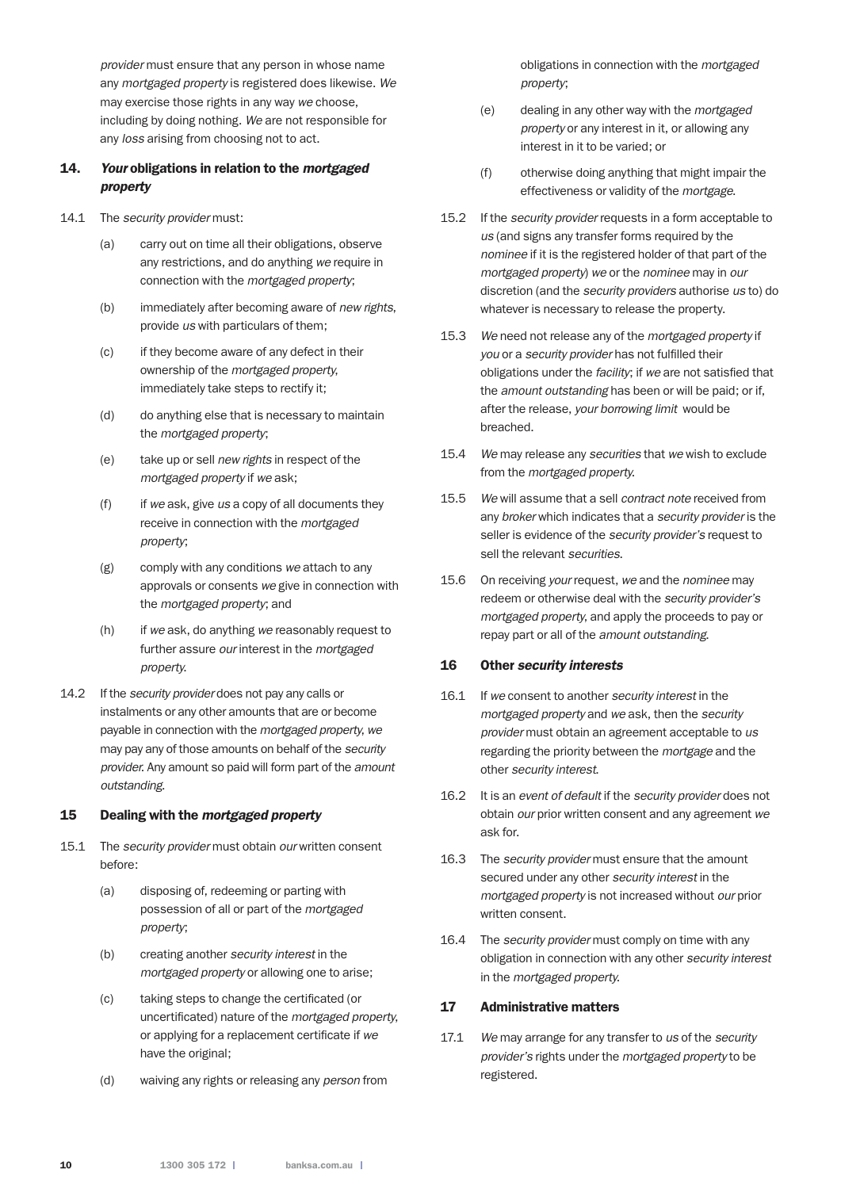*provider* must ensure that any person in whose name any *mortgaged property* is registered does likewise. *We* may exercise those rights in any way *we* choose, including by doing nothing. *We* are not responsible for any *loss* arising from choosing not to act.

## 14. *Your* obligations in relation to the *mortgaged property*

- 14.1 The *security provider* must:
	- (a) carry out on time all their obligations, observe any restrictions, and do anything *we* require in connection with the *mortgaged property*;
	- (b) immediately after becoming aware of *new rights*, provide *us* with particulars of them;
	- (c) if they become aware of any defect in their ownership of the *mortgaged property*, immediately take steps to rectify it;
	- (d) do anything else that is necessary to maintain the *mortgaged property*;
	- (e) take up or sell *new rights* in respect of the *mortgaged property* if *we* ask;
	- (f) if *we* ask, give *us* a copy of all documents they receive in connection with the *mortgaged property*;
	- (g) comply with any conditions *we* attach to any approvals or consents *we* give in connection with the *mortgaged property*; and
	- (h) if *we* ask, do anything *we* reasonably request to further assure *our* interest in the *mortgaged property*.
- 14.2 If the *security provider* does not pay any calls or instalments or any other amounts that are or become payable in connection with the *mortgaged property*, *we* may pay any of those amounts on behalf of the *security provider*. Any amount so paid will form part of the *amount outstanding*.

## 15 Dealing with the *mortgaged property*

- 15.1 The *security provider* must obtain *our* written consent before:
	- (a) disposing of, redeeming or parting with possession of all or part of the *mortgaged property*;
	- (b) creating another *security interest* in the *mortgaged property* or allowing one to arise;
	- (c) taking steps to change the certificated (or uncertificated) nature of the *mortgaged property*, or applying for a replacement certificate if *we* have the original;
	- (d) waiving any rights or releasing any *person* from

obligations in connection with the *mortgaged property*;

- (e) dealing in any other way with the *mortgaged property* or any interest in it, or allowing any interest in it to be varied; or
- (f) otherwise doing anything that might impair the effectiveness or validity of the *mortgage*.
- 15.2 If the *security provider* requests in a form acceptable to *us* (and signs any transfer forms required by the *nominee* if it is the registered holder of that part of the *mortgaged property*) *we* or the *nominee* may in *our* discretion (and the *security providers* authorise *us* to) do whatever is necessary to release the property.
- 15.3 *We* need not release any of the *mortgaged property* if *you* or a *security provider* has not fulfilled their obligations under the *facility*; if *we* are not satisfied that the *amount outstanding* has been or will be paid; or if, after the release, *your borrowing limit* would be breached.
- 15.4 *We* may release any *securities* that *we* wish to exclude from the *mortgaged property*.
- 15.5 *We* will assume that a sell *contract note* received from any *broker* which indicates that a *security provider* is the seller is evidence of the *security provider's* request to sell the relevant *securities*.
- 15.6 On receiving *your* request, *we* and the *nominee* may redeem or otherwise deal with the *security provider's mortgaged property*, and apply the proceeds to pay or repay part or all of the *amount outstanding*.

#### 16 Other *security interests*

- 16.1 If *we* consent to another *security interest* in the *mortgaged property* and *we* ask, then the *security provider* must obtain an agreement acceptable to *us* regarding the priority between the *mortgage* and the other *security interest*.
- 16.2 It is an *event of default* if the *security provider* does not obtain *our* prior written consent and any agreement *we* ask for.
- 16.3 The *security provider* must ensure that the amount secured under any other *security interest* in the *mortgaged property* is not increased without *our* prior written consent.
- 16.4 The *security provider* must comply on time with any obligation in connection with any other *security interest* in the *mortgaged property*.

## 17 Administrative matters

17.1 *We* may arrange for any transfer to *us* of the *security provider's* rights under the *mortgaged property* to be registered.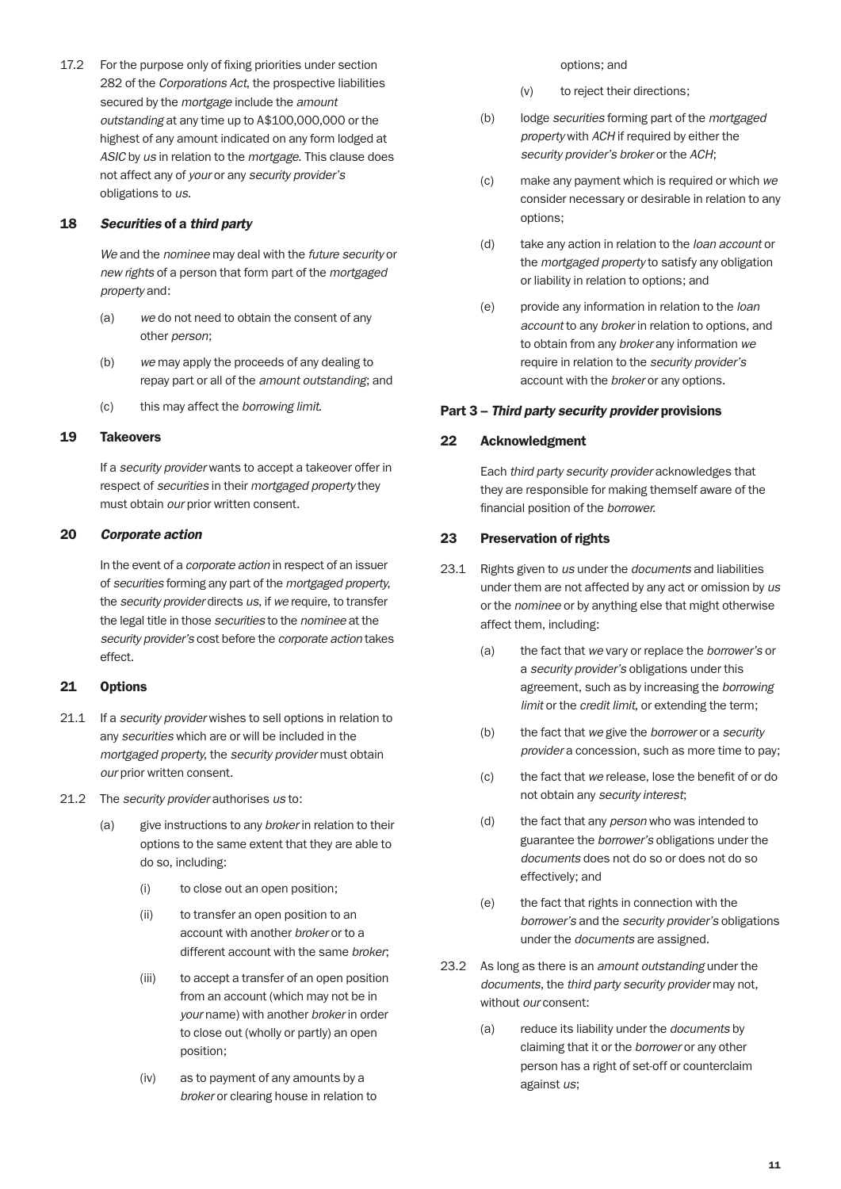17.2 For the purpose only of fixing priorities under section 282 of the *Corporations Act*, the prospective liabilities secured by the *mortgage* include the *amount outstanding* at any time up to A\$100,000,000 or the highest of any amount indicated on any form lodged at *ASIC* by *us* in relation to the *mortgage*. This clause does not affect any of *your* or any *security provider's* obligations to *us*.

#### 18 *Securities* of a *third party*

 *We* and the *nominee* may deal with the *future security* or *new rights* of a person that form part of the *mortgaged property* and:

- (a) *we* do not need to obtain the consent of any other *person*;
- (b) *we* may apply the proceeds of any dealing to repay part or all of the *amount outstanding*; and
- (c) this may affect the *borrowing limit*.

#### 19 Takeovers

 If a *security provider* wants to accept a takeover offer in respect of *securities* in their *mortgaged property* they must obtain *our* prior written consent.

#### 20 *Corporate action*

 In the event of a *corporate action* in respect of an issuer of *securities* forming any part of the *mortgaged property*, the *security provider* directs *us*, if *we* require, to transfer the legal title in those *securities* to the *nominee* at the *security provider's* cost before the *corporate action* takes effect.

#### 21 Options

- 21.1 If a *security provider* wishes to sell options in relation to any *securities* which are or will be included in the *mortgaged property*, the *security provider* must obtain *our* prior written consent.
- 21.2 The *security provider* authorises *us* to:
	- (a) give instructions to any *broker* in relation to their options to the same extent that they are able to do so, including:
		- (i) to close out an open position;
		- (ii) to transfer an open position to an account with another *broker* or to a different account with the same *broker*;
		- (iii) to accept a transfer of an open position from an account (which may not be in *your* name) with another *broker* in order to close out (wholly or partly) an open position;
		- (iv) as to payment of any amounts by a *broker* or clearing house in relation to

options; and

- (v) to reject their directions;
- (b) lodge *securities* forming part of the *mortgaged property* with *ACH* if required by either the *security provider's broker* or the *ACH*;
- (c) make any payment which is required or which *we* consider necessary or desirable in relation to any options;
- (d) take any action in relation to the *loan account* or the *mortgaged property* to satisfy any obligation or liability in relation to options; and
- (e) provide any information in relation to the *loan account* to any *broker* in relation to options, and to obtain from any *broker* any information *we* require in relation to the *security provider's* account with the *broker* or any options.

#### Part 3 – *Third party security provider* provisions

#### 22 Acknowledgment

 Each *third party security provider* acknowledges that they are responsible for making themself aware of the financial position of the *borrower*.

#### 23 Preservation of rights

- 23.1 Rights given to *us* under the *documents* and liabilities under them are not affected by any act or omission by *us* or the *nominee* or by anything else that might otherwise affect them, including:
	- (a) the fact that *we* vary or replace the *borrower's* or a *security provider's* obligations under this agreement, such as by increasing the *borrowing limit* or the *credit limit*, or extending the term;
	- (b) the fact that *we* give the *borrower* or a *security provider* a concession, such as more time to pay;
	- (c) the fact that *we* release, lose the benefit of or do not obtain any *security interest*;
	- (d) the fact that any *person* who was intended to guarantee the *borrower's* obligations under the *documents* does not do so or does not do so effectively; and
	- (e) the fact that rights in connection with the *borrower's* and the *security provider's* obligations under the *documents* are assigned.
- 23.2 As long as there is an *amount outstanding* under the *documents*, the *third party security provider* may not, without *our* consent:
	- (a) reduce its liability under the *documents* by claiming that it or the *borrower* or any other person has a right of set-off or counterclaim against *us*;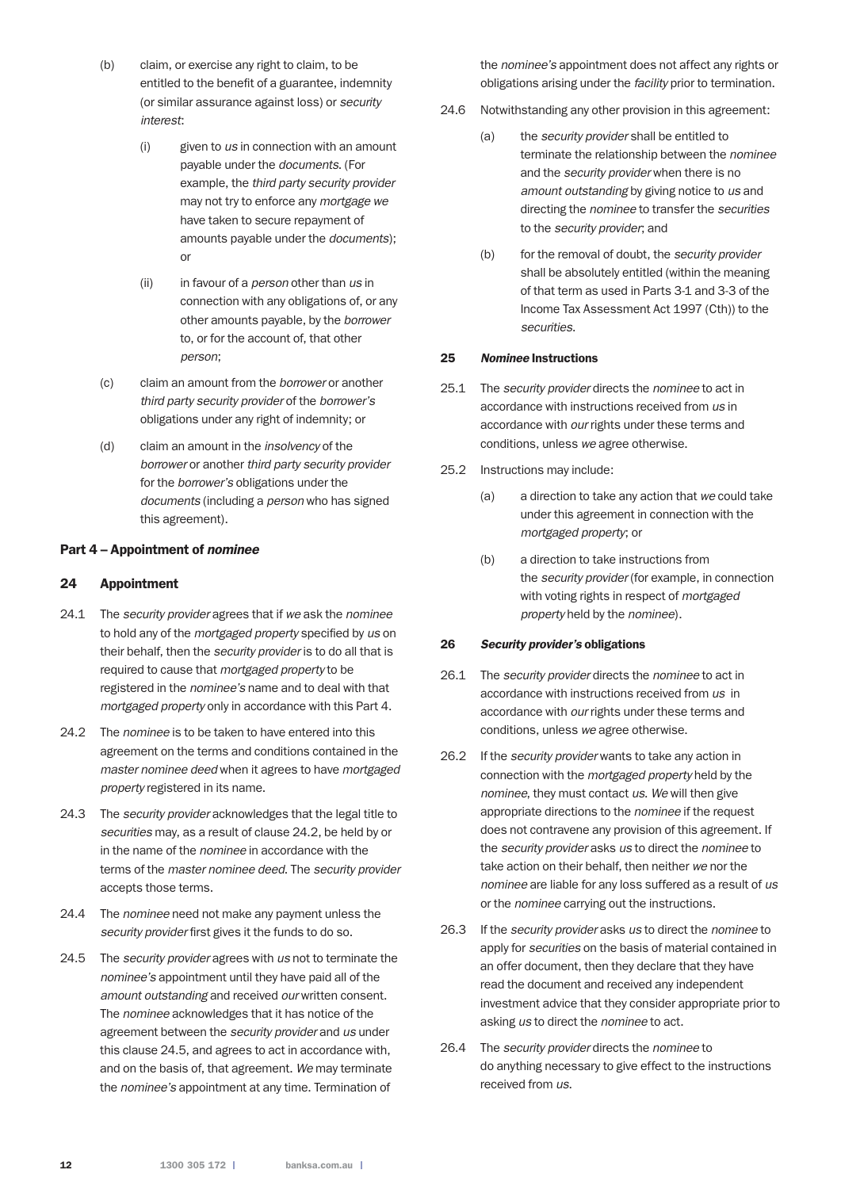- (b) claim, or exercise any right to claim, to be entitled to the benefit of a guarantee, indemnity (or similar assurance against loss) or *security interest*:
	- (i) given to *us* in connection with an amount payable under the *documents*. (For example, the *third party security provider* may not try to enforce any *mortgage we* have taken to secure repayment of amounts payable under the *documents*); or
	- (ii) in favour of a *person* other than *us* in connection with any obligations of, or any other amounts payable, by the *borrower* to, or for the account of, that other *person*;
- (c) claim an amount from the *borrower* or another *third party security provider* of the *borrower's* obligations under any right of indemnity; or
- (d) claim an amount in the *insolvency* of the *borrower* or another *third party security provider* for the *borrower's* obligations under the *documents* (including a *person* who has signed this agreement).

#### Part 4 – Appointment of *nominee*

#### 24 Appointment

- 24.1 The *security provider* agrees that if *we* ask the *nominee* to hold any of the *mortgaged property* specified by *us* on their behalf, then the *security provider* is to do all that is required to cause that *mortgaged property* to be registered in the *nominee's* name and to deal with that *mortgaged property* only in accordance with this Part 4.
- 24.2 The *nominee* is to be taken to have entered into this agreement on the terms and conditions contained in the *master nominee deed* when it agrees to have *mortgaged property* registered in its name.
- 24.3 The *security provider* acknowledges that the legal title to *securities* may, as a result of clause 24.2, be held by or in the name of the *nominee* in accordance with the terms of the *master nominee deed*. The *security provider* accepts those terms.
- 24.4 The *nominee* need not make any payment unless the *security provider* first gives it the funds to do so.
- 24.5 The *security provider* agrees with *us* not to terminate the *nominee's* appointment until they have paid all of the *amount outstanding* and received *our* written consent. The *nominee* acknowledges that it has notice of the agreement between the *security provider* and *us* under this clause 24.5, and agrees to act in accordance with, and on the basis of, that agreement. *We* may terminate the *nominee's* appointment at any time. Termination of

the *nominee's* appointment does not affect any rights or obligations arising under the *facility* prior to termination.

- 24.6 Notwithstanding any other provision in this agreement:
	- (a) the *security provider* shall be entitled to terminate the relationship between the *nominee* and the *security provider* when there is no *amount outstanding* by giving notice to *us* and directing the *nominee* to transfer the *securities* to the *security provider*; and
	- (b) for the removal of doubt, the *security provider* shall be absolutely entitled (within the meaning of that term as used in Parts 3-1 and 3-3 of the Income Tax Assessment Act 1997 (Cth)) to the *securities*.

#### 25 *Nominee* Instructions

- 25.1 The *security provider* directs the *nominee* to act in accordance with instructions received from *us* in accordance with *our* rights under these terms and conditions, unless *we* agree otherwise.
- 25.2 Instructions may include:
	- (a) a direction to take any action that *we* could take under this agreement in connection with the *mortgaged property*; or
	- (b) a direction to take instructions from the *security provider* (for example, in connection with voting rights in respect of *mortgaged property* held by the *nominee*).

#### 26 *Security provider's* obligations

- 26.1 The *security provider* directs the *nominee* to act in accordance with instructions received from *us* in accordance with *our* rights under these terms and conditions, unless *we* agree otherwise.
- 26.2 If the *security provider* wants to take any action in connection with the *mortgaged property* held by the *nominee*, they must contact *us*. *We* will then give appropriate directions to the *nominee* if the request does not contravene any provision of this agreement. If the *security provider* asks *us* to direct the *nominee* to take action on their behalf, then neither *we* nor the *nominee* are liable for any loss suffered as a result of *us* or the *nominee* carrying out the instructions.
- 26.3 If the *security provider* asks *us* to direct the *nominee* to apply for *securities* on the basis of material contained in an offer document, then they declare that they have read the document and received any independent investment advice that they consider appropriate prior to asking *us* to direct the *nominee* to act.
- 26.4 The *security provider* directs the *nominee* to do anything necessary to give effect to the instructions received from *us*.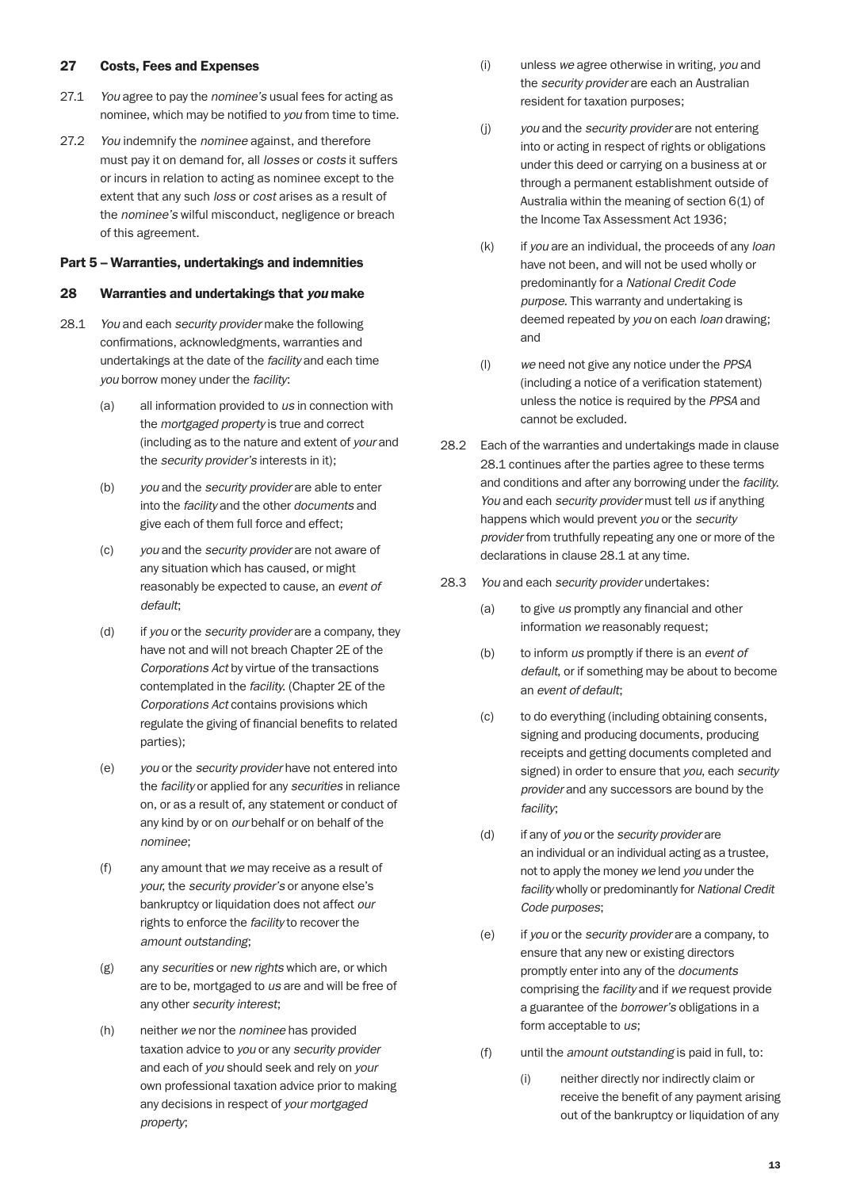#### 27 Costs, Fees and Expenses

- 27.1 *You* agree to pay the *nominee's* usual fees for acting as nominee, which may be notified to *you* from time to time.
- 27.2 *You* indemnify the *nominee* against, and therefore must pay it on demand for, all *losses* or *costs* it suffers or incurs in relation to acting as nominee except to the extent that any such *loss* or *cost* arises as a result of the *nominee's* wilful misconduct, negligence or breach of this agreement.

#### Part 5 – Warranties, undertakings and indemnities

#### 28 Warranties and undertakings that *you* make

- 28.1 *You* and each *security provider* make the following confirmations, acknowledgments, warranties and undertakings at the date of the *facility* and each time *you* borrow money under the *facility*:
	- (a) all information provided to *us* in connection with the *mortgaged property* is true and correct (including as to the nature and extent of *your* and the *security provider's* interests in it);
	- (b) *you* and the *security provider* are able to enter into the *facility* and the other *documents* and give each of them full force and effect;
	- (c) *you* and the *security provider* are not aware of any situation which has caused, or might reasonably be expected to cause, an *event of default*;
	- (d) if *you* or the *security provider* are a company, they have not and will not breach Chapter 2E of the *Corporations Act* by virtue of the transactions contemplated in the *facility*. (Chapter 2E of the *Corporations Act* contains provisions which regulate the giving of financial benefits to related parties);
	- (e) *you* or the *security provider* have not entered into the *facility* or applied for any *securities* in reliance on, or as a result of, any statement or conduct of any kind by or on *our* behalf or on behalf of the *nominee*;
	- (f) any amount that *we* may receive as a result of *your*, the *security provider's* or anyone else's bankruptcy or liquidation does not affect *our* rights to enforce the *facility* to recover the *amount outstanding*;
	- (g) any *securities* or *new rights* which are, or which are to be, mortgaged to *us* are and will be free of any other *security interest*;
	- (h) neither *we* nor the *nominee* has provided taxation advice to *you* or any *security provider* and each of *you* should seek and rely on *your* own professional taxation advice prior to making any decisions in respect of *your mortgaged property*;
- (i) unless *we* agree otherwise in writing, *you* and the *security provider* are each an Australian resident for taxation purposes;
- (j) *you* and the *security provider* are not entering into or acting in respect of rights or obligations under this deed or carrying on a business at or through a permanent establishment outside of Australia within the meaning of section 6(1) of the Income Tax Assessment Act 1936;
- (k) if *you* are an individual, the proceeds of any *loan* have not been, and will not be used wholly or predominantly for a *National Credit Code purpose*. This warranty and undertaking is deemed repeated by *you* on each *loan* drawing; and
- (l) *we* need not give any notice under the *PPSA* (including a notice of a verification statement) unless the notice is required by the *PPSA* and cannot be excluded.
- 28.2 Each of the warranties and undertakings made in clause 28.1 continues after the parties agree to these terms and conditions and after any borrowing under the *facility*. *You* and each *security provider* must tell *us* if anything happens which would prevent *you* or the *security provider* from truthfully repeating any one or more of the declarations in clause 28.1 at any time.
- 28.3 *You* and each *security provider* undertakes:
	- (a) to give *us* promptly any financial and other information *we* reasonably request;
	- (b) to inform *us* promptly if there is an *event of default*, or if something may be about to become an *event of default*;
	- (c) to do everything (including obtaining consents, signing and producing documents, producing receipts and getting documents completed and signed) in order to ensure that *you*, each *security provider* and any successors are bound by the *facility*;
	- (d) if any of *you* or the *security provider* are an individual or an individual acting as a trustee, not to apply the money *we* lend *you* under the *facility* wholly or predominantly for *National Credit Code purposes*;
	- (e) if *you* or the *security provider* are a company, to ensure that any new or existing directors promptly enter into any of the *documents* comprising the *facility* and if *we* request provide a guarantee of the *borrower's* obligations in a form acceptable to *us*;
	- (f) until the *amount outstanding* is paid in full, to:
		- (i) neither directly nor indirectly claim or receive the benefit of any payment arising out of the bankruptcy or liquidation of any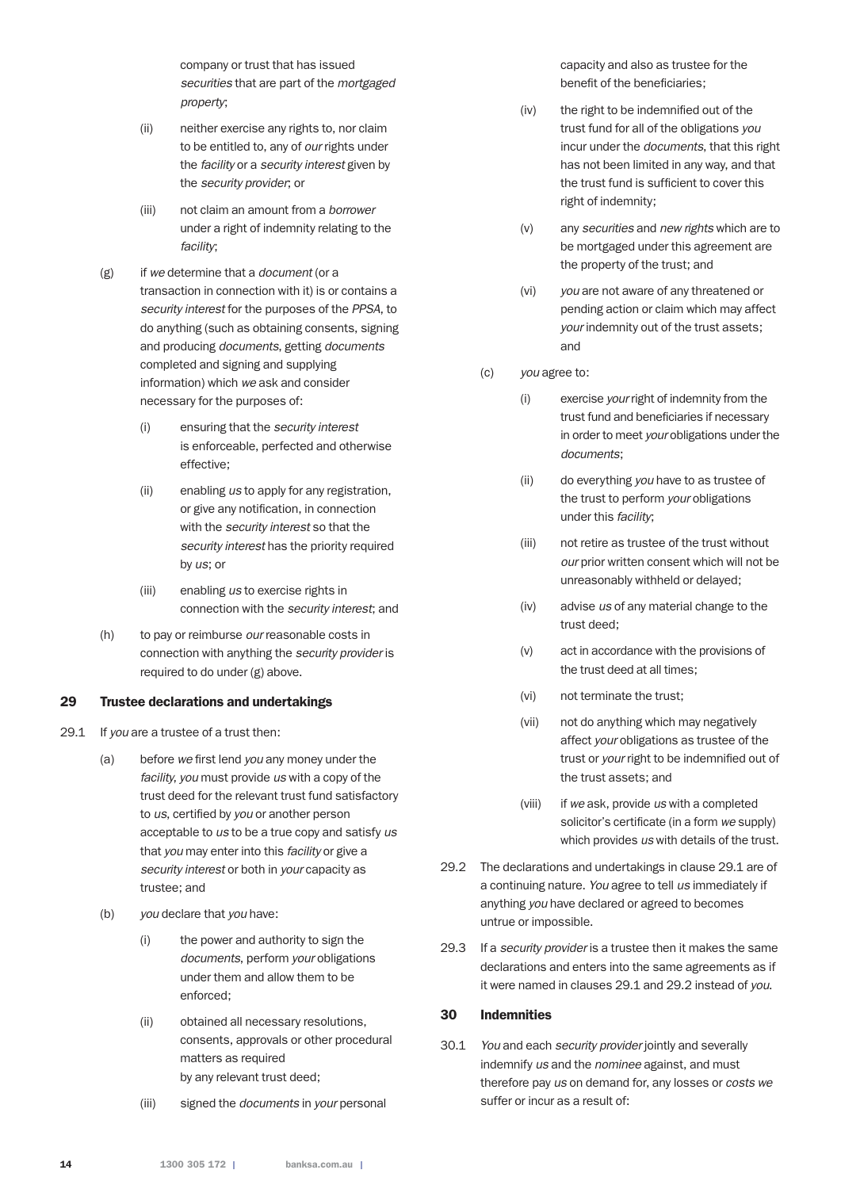company or trust that has issued *securities* that are part of the *mortgaged property*;

- (ii) neither exercise any rights to, nor claim to be entitled to, any of *our* rights under the *facility* or a *security interest* given by the *security provider*; or
- (iii) not claim an amount from a *borrower* under a right of indemnity relating to the *facility*;
- (g) if *we* determine that a *document* (or a transaction in connection with it) is or contains a *security interest* for the purposes of the *PPSA*, to do anything (such as obtaining consents, signing and producing *documents*, getting *documents* completed and signing and supplying information) which *we* ask and consider necessary for the purposes of:
	- (i) ensuring that the *security interest* is enforceable, perfected and otherwise effective;
	- (ii) enabling *us* to apply for any registration, or give any notification, in connection with the *security interest* so that the *security interest* has the priority required by *us*; or
	- (iii) enabling *us* to exercise rights in connection with the *security interest*; and
- (h) to pay or reimburse *our* reasonable costs in connection with anything the *security provider* is required to do under (g) above.

#### 29 Trustee declarations and undertakings

- 29.1 If *you* are a trustee of a trust then:
	- (a) before *we* first lend *you* any money under the *facility*, *you* must provide *us* with a copy of the trust deed for the relevant trust fund satisfactory to *us*, certified by *you* or another person acceptable to *us* to be a true copy and satisfy *us* that *you* may enter into this *facility* or give a *security interest* or both in *your* capacity as trustee; and
	- (b) *you* declare that *you* have:
		- (i) the power and authority to sign the *documents*, perform *your* obligations under them and allow them to be enforced;
		- (ii) obtained all necessary resolutions, consents, approvals or other procedural matters as required by any relevant trust deed;
		- (iii) signed the *documents* in *your* personal

capacity and also as trustee for the benefit of the beneficiaries;

- (iv) the right to be indemnified out of the trust fund for all of the obligations *you* incur under the *documents*, that this right has not been limited in any way, and that the trust fund is sufficient to cover this right of indemnity;
- (v) any *securities* and *new rights* which are to be mortgaged under this agreement are the property of the trust; and
- (vi) *you* are not aware of any threatened or pending action or claim which may affect *your* indemnity out of the trust assets; and

#### (c) *you* agree to:

- (i) exercise *your* right of indemnity from the trust fund and beneficiaries if necessary in order to meet *your* obligations under the *documents*;
- (ii) do everything *you* have to as trustee of the trust to perform *your* obligations under this *facility*;
- (iii) not retire as trustee of the trust without *our* prior written consent which will not be unreasonably withheld or delayed;
- (iv) advise *us* of any material change to the trust deed;
- (v) act in accordance with the provisions of the trust deed at all times;
- (vi) not terminate the trust;
- (vii) not do anything which may negatively affect *your* obligations as trustee of the trust or *your* right to be indemnified out of the trust assets; and
- (viii) if *we* ask, provide *us* with a completed solicitor's certificate (in a form *we* supply) which provides *us* with details of the trust.
- 29.2 The declarations and undertakings in clause 29.1 are of a continuing nature. *You* agree to tell *us* immediately if anything *you* have declared or agreed to becomes untrue or impossible.
- 29.3 If a *security provider* is a trustee then it makes the same declarations and enters into the same agreements as if it were named in clauses 29.1 and 29.2 instead of *you*.

## 30 Indemnities

30.1 *You* and each *security provider* jointly and severally indemnify *us* and the *nominee* against, and must therefore pay *us* on demand for, any losses or *costs we* suffer or incur as a result of: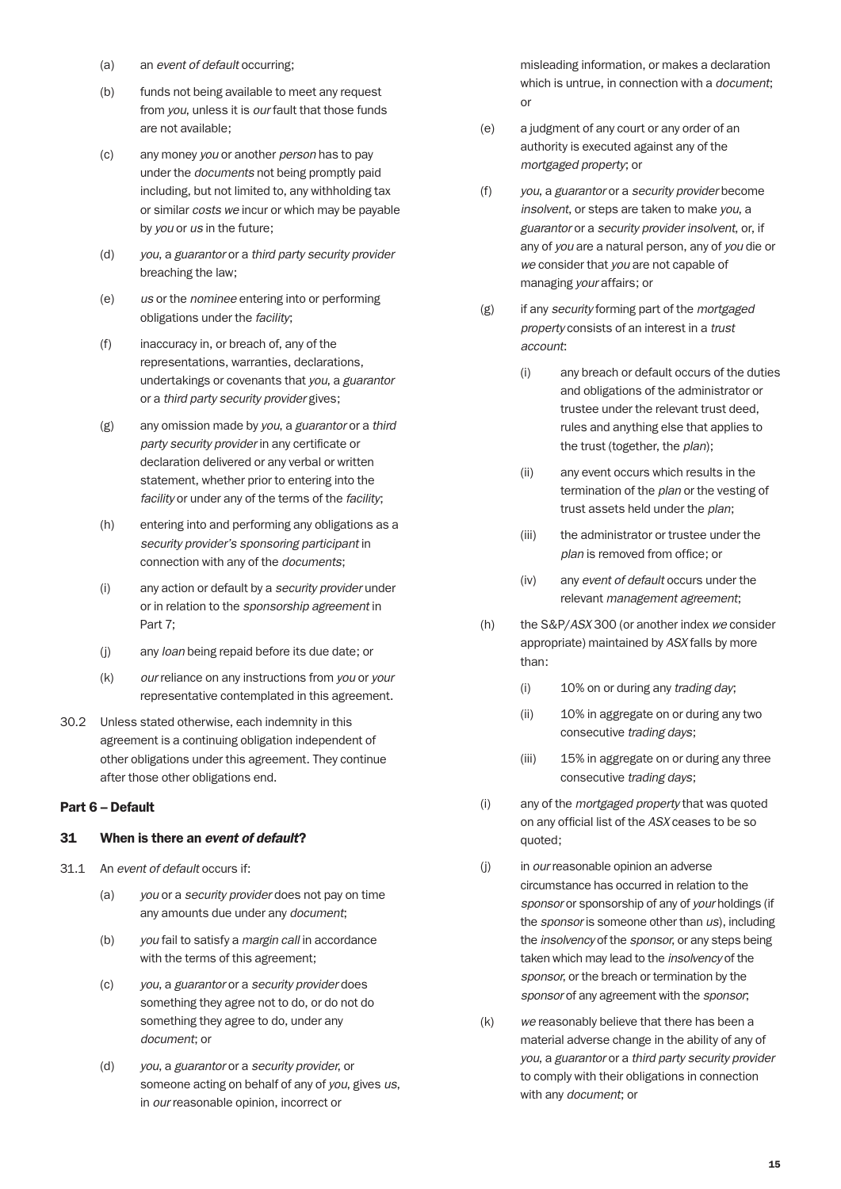- (a) an *event of default* occurring;
- (b) funds not being available to meet any request from *you*, unless it is *our* fault that those funds are not available;
- (c) any money *you* or another *person* has to pay under the *documents* not being promptly paid including, but not limited to, any withholding tax or similar *costs we* incur or which may be payable by *you* or *us* in the future;
- (d) *you*, a *guarantor* or a *third party security provider* breaching the law;
- (e) *us* or the *nominee* entering into or performing obligations under the *facility*;
- (f) inaccuracy in, or breach of, any of the representations, warranties, declarations, undertakings or covenants that *you*, a *guarantor* or a *third party security provider* gives;
- (g) any omission made by *you*, a *guarantor* or a *third party security provider* in any certificate or declaration delivered or any verbal or written statement, whether prior to entering into the *facility* or under any of the terms of the *facility*;
- (h) entering into and performing any obligations as a *security provider's sponsoring participant* in connection with any of the *documents*;
- (i) any action or default by a *security provider* under or in relation to the *sponsorship agreement* in Part 7;
- (j) any *loan* being repaid before its due date; or
- (k) *our* reliance on any instructions from *you* or *your* representative contemplated in this agreement.
- 30.2 Unless stated otherwise, each indemnity in this agreement is a continuing obligation independent of other obligations under this agreement. They continue after those other obligations end.

## Part 6 – Default

#### 31 When is there an *event of default*?

- 31.1 An *event of default* occurs if:
	- (a) *you* or a *security provider* does not pay on time any amounts due under any *document*;
	- (b) *you* fail to satisfy a *margin call* in accordance with the terms of this agreement;
	- (c) *you*, a *guarantor* or a *security provider* does something they agree not to do, or do not do something they agree to do, under any *document*; or
	- (d) *you*, a *guarantor* or a *security provider*, or someone acting on behalf of any of *you*, gives *us*, in *our* reasonable opinion, incorrect or

misleading information, or makes a declaration which is untrue, in connection with a *document*; or

- (e) a judgment of any court or any order of an authority is executed against any of the *mortgaged property*; or
- (f) *you*, a *guarantor* or a *security provider* become *insolvent*, or steps are taken to make *you*, a *guarantor* or a *security provider insolvent*, or, if any of *you* are a natural person, any of *you* die or *we* consider that *you* are not capable of managing *your* affairs; or
- (g) if any *security* forming part of the *mortgaged property* consists of an interest in a *trust account*:
	- (i) any breach or default occurs of the duties and obligations of the administrator or trustee under the relevant trust deed, rules and anything else that applies to the trust (together, the *plan*);
	- (ii) any event occurs which results in the termination of the *plan* or the vesting of trust assets held under the *plan*;
	- (iii) the administrator or trustee under the *plan* is removed from office; or
	- (iv) any *event of default* occurs under the relevant *management agreement*;
- (h) the S&P/*ASX* 300 (or another index *we* consider appropriate) maintained by *ASX* falls by more than:
	- (i) 10% on or during any *trading day*;
	- (ii) 10% in aggregate on or during any two consecutive *trading days*;
	- (iii) 15% in aggregate on or during any three consecutive *trading days*;
- (i) any of the *mortgaged property* that was quoted on any official list of the *ASX* ceases to be so quoted;
- (j) in *our* reasonable opinion an adverse circumstance has occurred in relation to the *sponsor* or sponsorship of any of *your* holdings (if the *sponsor* is someone other than *us*), including the *insolvency* of the *sponsor*, or any steps being taken which may lead to the *insolvency* of the *sponsor*, or the breach or termination by the *sponsor* of any agreement with the *sponsor*;
- (k) *we* reasonably believe that there has been a material adverse change in the ability of any of *you*, a *guarantor* or a *third party security provider* to comply with their obligations in connection with any *document*; or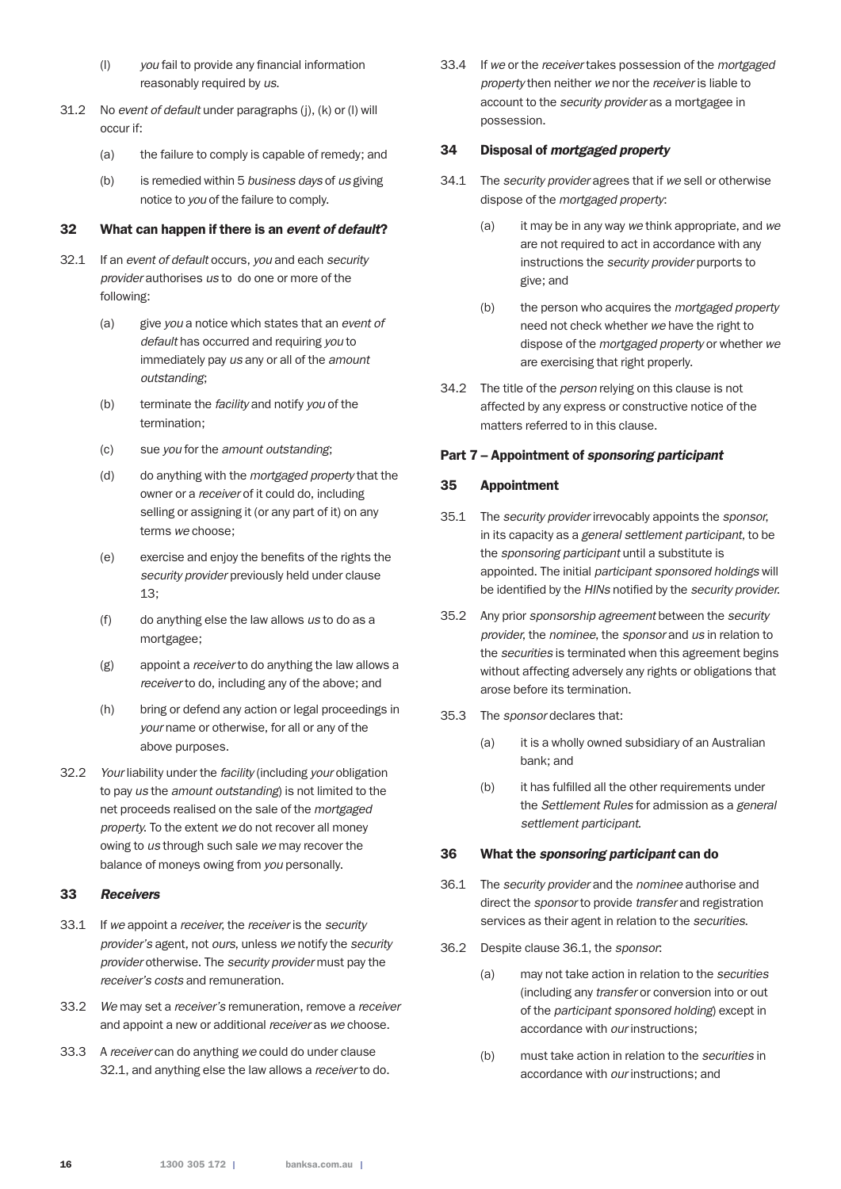- (l) *you* fail to provide any financial information reasonably required by *us*.
- 31.2 No *event of default* under paragraphs (j), (k) or (l) will occur if:
	- (a) the failure to comply is capable of remedy; and
	- (b) is remedied within 5 *business days* of *us* giving notice to *you* of the failure to comply.

#### 32 What can happen if there is an *event of default*?

- 32.1 If an *event of default* occurs, *you* and each *security provider* authorises *us* to do one or more of the following:
	- (a) give *you* a notice which states that an *event of default* has occurred and requiring *you* to immediately pay *us* any or all of the *amount outstanding*;
	- (b) terminate the *facility* and notify *you* of the termination;
	- (c) sue *you* for the *amount outstanding*;
	- (d) do anything with the *mortgaged property* that the owner or a *receiver* of it could do, including selling or assigning it (or any part of it) on any terms *we* choose;
	- (e) exercise and enjoy the benefits of the rights the *security provider* previously held under clause 13;
	- (f) do anything else the law allows *us* to do as a mortgagee;
	- (g) appoint a *receiver* to do anything the law allows a *receiver* to do, including any of the above; and
	- (h) bring or defend any action or legal proceedings in *your* name or otherwise, for all or any of the above purposes.
- 32.2 *Your* liability under the *facility* (including *your* obligation to pay *us* the *amount outstanding*) is not limited to the net proceeds realised on the sale of the *mortgaged property*. To the extent *we* do not recover all money owing to *us* through such sale *we* may recover the balance of moneys owing from *you* personally.

## 33 *Receivers*

- 33.1 If *we* appoint a *receiver*, the *receiver* is the *security provider's* agent, not *ours*, unless *we* notify the *security provider* otherwise. The *security provider* must pay the *receiver's costs* and remuneration.
- 33.2 *We* may set a *receiver's* remuneration, remove a *receiver* and appoint a new or additional *receiver* as *we* choose.
- 33.3 A *receiver* can do anything *we* could do under clause 32.1, and anything else the law allows a *receiver* to do.

33.4 If *we* or the *receiver* takes possession of the *mortgaged property* then neither *we* nor the *receiver* is liable to account to the *security provider* as a mortgagee in possession.

#### 34 Disposal of *mortgaged property*

- 34.1 The *security provider* agrees that if *we* sell or otherwise dispose of the *mortgaged property*:
	- (a) it may be in any way *we* think appropriate, and *we* are not required to act in accordance with any instructions the *security provider* purports to give; and
	- (b) the person who acquires the *mortgaged property* need not check whether *we* have the right to dispose of the *mortgaged property* or whether *we* are exercising that right properly.
- 34.2 The title of the *person* relying on this clause is not affected by any express or constructive notice of the matters referred to in this clause.

## Part 7 – Appointment of *sponsoring participant*

#### 35 Appointment

- 35.1 The *security provider* irrevocably appoints the *sponsor*, in its capacity as a *general settlement participant*, to be the *sponsoring participant* until a substitute is appointed. The initial *participant sponsored holdings* will be identified by the *HINs* notified by the *security provider*.
- 35.2 Any prior *sponsorship agreement* between the *security provider*, the *nominee*, the *sponsor* and *us* in relation to the *securities* is terminated when this agreement begins without affecting adversely any rights or obligations that arose before its termination.
- 35.3 The *sponsor* declares that:
	- (a) it is a wholly owned subsidiary of an Australian bank; and
	- (b) it has fulfilled all the other requirements under the *Settlement Rules* for admission as a *general settlement participant*.

#### 36 What the *sponsoring participant* can do

- 36.1 The *security provider* and the *nominee* authorise and direct the *sponsor* to provide *transfer* and registration services as their agent in relation to the *securities*.
- 36.2 Despite clause 36.1, the *sponsor*:
	- (a) may not take action in relation to the *securities* (including any *transfer* or conversion into or out of the *participant sponsored holding*) except in accordance with *our* instructions;
	- (b) must take action in relation to the *securities* in accordance with *our* instructions; and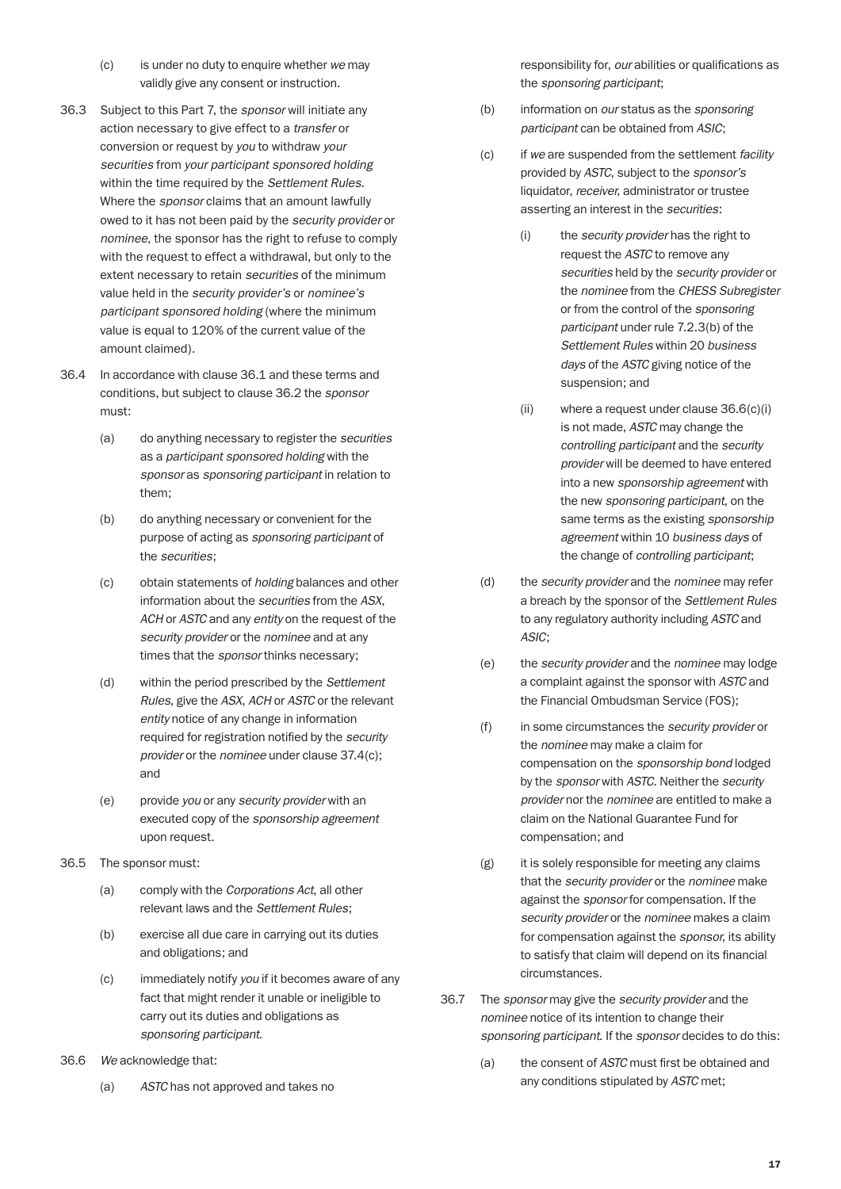- (c) is under no duty to enquire whether *we* may validly give any consent or instruction.
- 36.3 Subject to this Part 7, the *sponsor* will initiate any action necessary to give effect to a *transfer* or conversion or request by *you* to withdraw *your securities* from *your participant sponsored holding* within the time required by the *Settlement Rules*. Where the *sponsor* claims that an amount lawfully owed to it has not been paid by the *security provider* or *nominee*, the sponsor has the right to refuse to comply with the request to effect a withdrawal, but only to the extent necessary to retain *securities* of the minimum value held in the *security provider's* or *nominee's participant sponsored holding* (where the minimum value is equal to 120% of the current value of the amount claimed).
- 36.4 In accordance with clause 36.1 and these terms and conditions, but subject to clause 36.2 the *sponsor* must:
	- (a) do anything necessary to register the *securities* as a *participant sponsored holding* with the *sponsor* as *sponsoring participant* in relation to them;
	- (b) do anything necessary or convenient for the purpose of acting as *sponsoring participant* of the *securities*;
	- (c) obtain statements of *holding* balances and other information about the *securities* from the *ASX*, *ACH* or *ASTC* and any *entity* on the request of the *security provider* or the *nominee* and at any times that the *sponsor* thinks necessary;
	- (d) within the period prescribed by the *Settlement Rules*, give the *ASX*, *ACH* or *ASTC* or the relevant *entity* notice of any change in information required for registration notified by the *security provider* or the *nominee* under clause 37.4(c); and
	- (e) provide *you* or any *security provider* with an executed copy of the *sponsorship agreement* upon request.
- 36.5 The sponsor must:
	- (a) comply with the *Corporations Act*, all other relevant laws and the *Settlement Rules*;
	- (b) exercise all due care in carrying out its duties and obligations; and
	- (c) immediately notify *you* if it becomes aware of any fact that might render it unable or ineligible to carry out its duties and obligations as *sponsoring participant*.
- 36.6 *We* acknowledge that:
	- (a) *ASTC* has not approved and takes no

responsibility for, *our* abilities or qualifications as the *sponsoring participant*;

- (b) information on *our* status as the *sponsoring participant* can be obtained from *ASIC*;
- (c) if *we* are suspended from the settlement *facility* provided by *ASTC*, subject to the *sponsor's* liquidator, *receiver*, administrator or trustee asserting an interest in the *securities*:
	- (i) the *security provider* has the right to request the *ASTC* to remove any *securities* held by the *security provider* or the *nominee* from the *CHESS Subregister* or from the control of the *sponsoring participant* under rule 7.2.3(b) of the *Settlement Rules* within 20 *business days* of the *ASTC* giving notice of the suspension; and
	- (ii) where a request under clause 36.6(c)(i) is not made, *ASTC* may change the *controlling participant* and the *security provider* will be deemed to have entered into a new *sponsorship agreement* with the new *sponsoring participant*, on the same terms as the existing *sponsorship agreement* within 10 *business days* of the change of *controlling participant*;
- (d) the *security provider* and the *nominee* may refer a breach by the sponsor of the *Settlement Rules* to any regulatory authority including *ASTC* and *ASIC*;
- (e) the *security provider* and the *nominee* may lodge a complaint against the sponsor with *ASTC* and the Financial Ombudsman Service (FOS);
- (f) in some circumstances the *security provider* or the *nominee* may make a claim for compensation on the *sponsorship bond* lodged by the *sponsor* with *ASTC*. Neither the *security provider* nor the *nominee* are entitled to make a claim on the National Guarantee Fund for compensation; and
- (g) it is solely responsible for meeting any claims that the *security provider* or the *nominee* make against the *sponsor* for compensation. If the *security provider* or the *nominee* makes a claim for compensation against the *sponsor*, its ability to satisfy that claim will depend on its financial circumstances.
- 36.7 The *sponsor* may give the *security provider* and the *nominee* notice of its intention to change their *sponsoring participant*. If the *sponsor* decides to do this:
	- (a) the consent of *ASTC* must first be obtained and any conditions stipulated by *ASTC* met;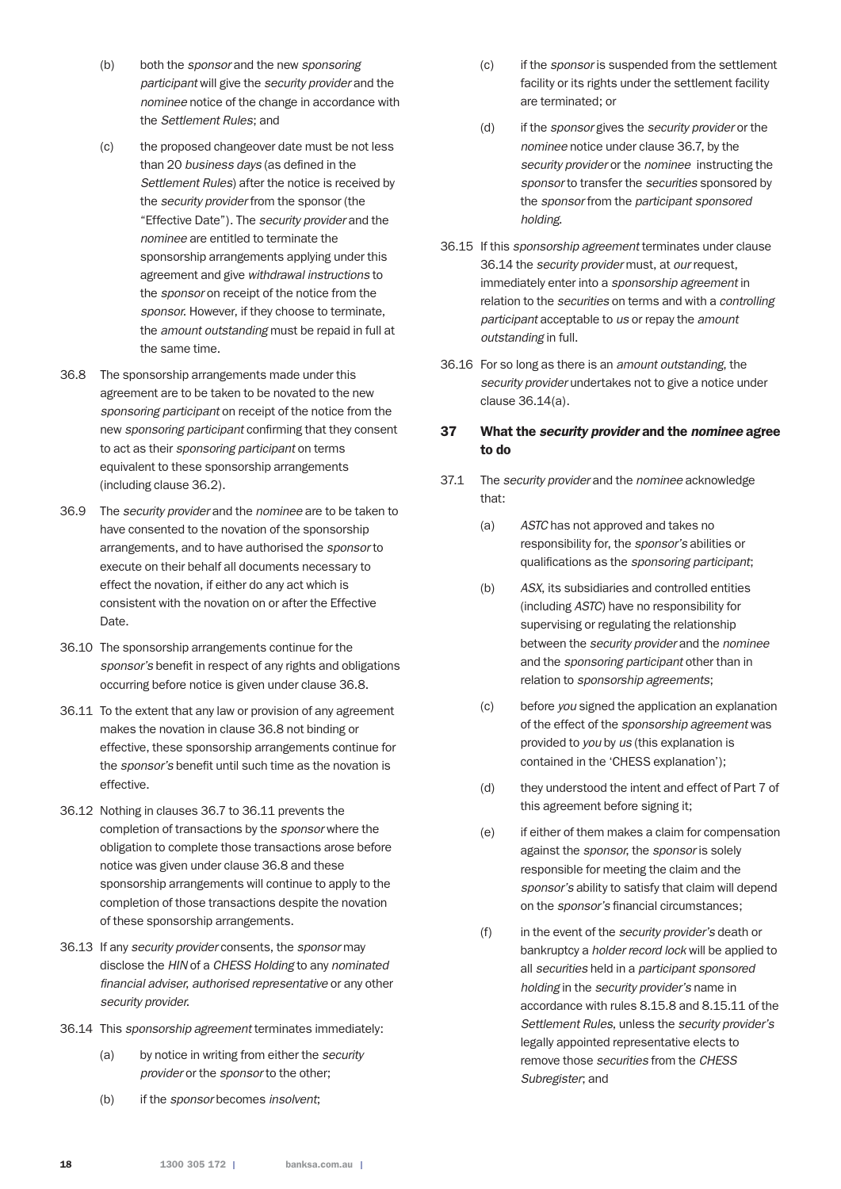- (b) both the *sponsor* and the new *sponsoring participant* will give the *security provider* and the *nominee* notice of the change in accordance with the *Settlement Rules*; and
- (c) the proposed changeover date must be not less than 20 *business days* (as defined in the *Settlement Rules*) after the notice is received by the *security provider* from the sponsor (the "Effective Date"). The *security provider* and the *nominee* are entitled to terminate the sponsorship arrangements applying under this agreement and give *withdrawal instructions* to the *sponsor* on receipt of the notice from the *sponsor*. However, if they choose to terminate, the *amount outstanding* must be repaid in full at the same time.
- 36.8 The sponsorship arrangements made under this agreement are to be taken to be novated to the new *sponsoring participant* on receipt of the notice from the new *sponsoring participant* confirming that they consent to act as their *sponsoring participant* on terms equivalent to these sponsorship arrangements (including clause 36.2).
- 36.9 The *security provider* and the *nominee* are to be taken to have consented to the novation of the sponsorship arrangements, and to have authorised the *sponsor* to execute on their behalf all documents necessary to effect the novation, if either do any act which is consistent with the novation on or after the Effective Date.
- 36.10 The sponsorship arrangements continue for the *sponsor's* benefit in respect of any rights and obligations occurring before notice is given under clause 36.8.
- 36.11 To the extent that any law or provision of any agreement makes the novation in clause 36.8 not binding or effective, these sponsorship arrangements continue for the *sponsor's* benefit until such time as the novation is effective.
- 36.12 Nothing in clauses 36.7 to 36.11 prevents the completion of transactions by the *sponsor* where the obligation to complete those transactions arose before notice was given under clause 36.8 and these sponsorship arrangements will continue to apply to the completion of those transactions despite the novation of these sponsorship arrangements.
- 36.13 If any *security provider* consents, the *sponsor* may disclose the *HIN* of a *CHESS Holding* to any *nominated financial adviser*, *authorised representative* or any other *security provider*.
- 36.14 This *sponsorship agreement* terminates immediately:
	- (a) by notice in writing from either the *security provider* or the *sponsor* to the other;
	- (b) if the *sponsor* becomes *insolvent*;
- (c) if the *sponsor* is suspended from the settlement facility or its rights under the settlement facility are terminated; or
- (d) if the *sponsor* gives the *security provider* or the *nominee* notice under clause 36.7, by the *security provider* or the *nominee* instructing the *sponsor* to transfer the *securities* sponsored by the *sponsor* from the *participant sponsored holding*.
- 36.15 If this *sponsorship agreement* terminates under clause 36.14 the *security provider* must, at *our* request, immediately enter into a *sponsorship agreement* in relation to the *securities* on terms and with a *controlling participant* acceptable to *us* or repay the *amount outstanding* in full.
- 36.16 For so long as there is an *amount outstanding*, the *security provider* undertakes not to give a notice under clause 36.14(a).

#### 37 What the *security provider* and the *nominee* agree to do

- 37.1 The *security provider* and the *nominee* acknowledge that:
	- (a) *ASTC* has not approved and takes no responsibility for, the *sponsor's* abilities or qualifications as the *sponsoring participant*;
	- (b) *ASX*, its subsidiaries and controlled entities (including *ASTC*) have no responsibility for supervising or regulating the relationship between the *security provider* and the *nominee* and the *sponsoring participant* other than in relation to *sponsorship agreements*;
	- (c) before *you* signed the application an explanation of the effect of the *sponsorship agreement* was provided to *you* by *us* (this explanation is contained in the 'CHESS explanation');
	- (d) they understood the intent and effect of Part 7 of this agreement before signing it;
	- (e) if either of them makes a claim for compensation against the *sponsor*, the *sponsor* is solely responsible for meeting the claim and the *sponsor's* ability to satisfy that claim will depend on the *sponsor's* financial circumstances;
	- (f) in the event of the *security provider's* death or bankruptcy a *holder record lock* will be applied to all *securities* held in a *participant sponsored holding* in the *security provider's* name in accordance with rules 8.15.8 and 8.15.11 of the *Settlement Rules*, unless the *security provider's*  legally appointed representative elects to remove those *securities* from the *CHESS Subregister*; and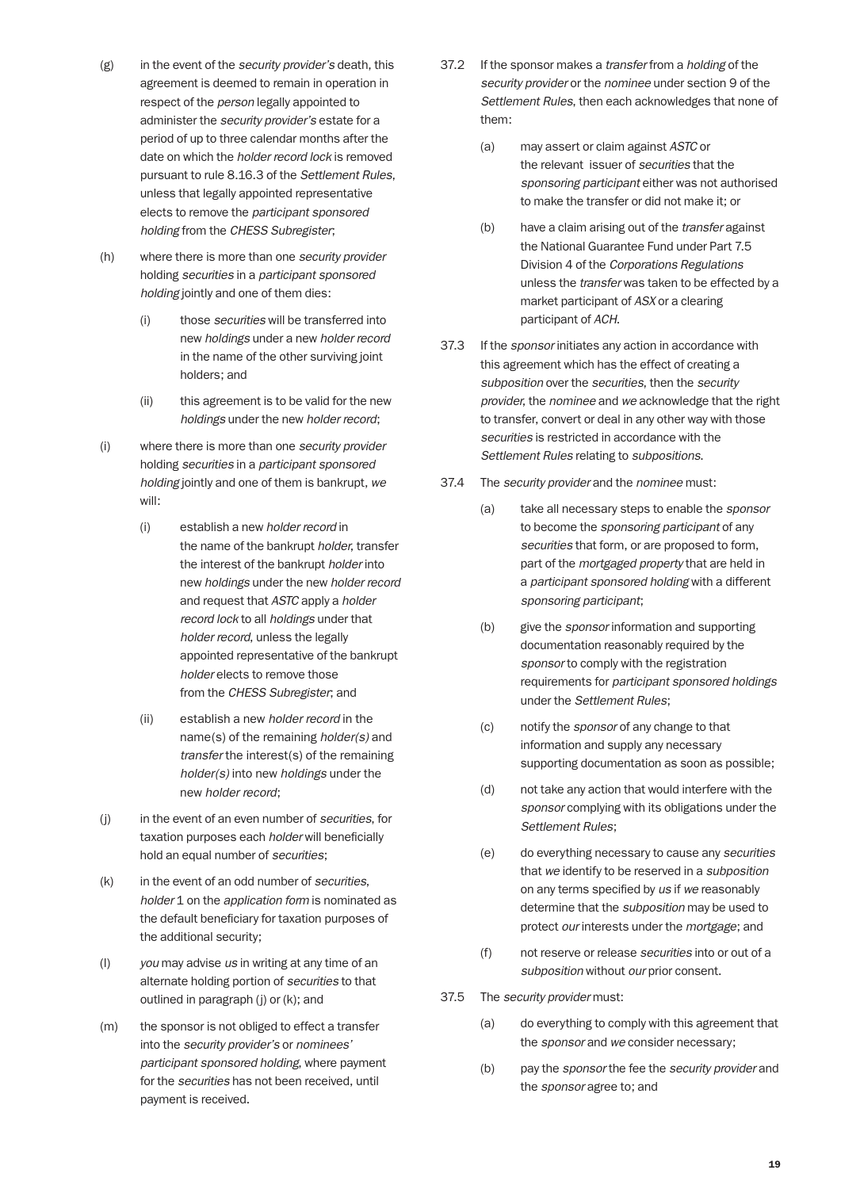- (g) in the event of the *security provider's* death, this agreement is deemed to remain in operation in respect of the *person* legally appointed to administer the *security provider's* estate for a period of up to three calendar months after the date on which the *holder record lock* is removed pursuant to rule 8.16.3 of the *Settlement Rules*, unless that legally appointed representative elects to remove the *participant sponsored holding* from the *CHESS Subregister*;
- (h) where there is more than one *security provider* holding *securities* in a *participant sponsored holding* jointly and one of them dies:
	- (i) those *securities* will be transferred into new *holdings* under a new *holder record* in the name of the other surviving joint holders; and
	- (ii) this agreement is to be valid for the new *holdings* under the new *holder record*;
- (i) where there is more than one *security provider* holding *securities* in a *participant sponsored holding* jointly and one of them is bankrupt, *we* will:
	- (i) establish a new *holder record* in the name of the bankrupt *holder*, transfer the interest of the bankrupt *holder* into new *holdings* under the new *holder record* and request that *ASTC* apply a *holder record lock* to all *holdings* under that *holder record*, unless the legally appointed representative of the bankrupt *holder* elects to remove those from the *CHESS Subregister*; and
	- (ii) establish a new *holder record* in the name(s) of the remaining *holder(s)* and *transfer* the interest(s) of the remaining *holder(s)* into new *holdings* under the new *holder record*;
- (j) in the event of an even number of *securities*, for taxation purposes each *holder* will beneficially hold an equal number of *securities*;
- (k) in the event of an odd number of *securities*, *holder* 1 on the *application form* is nominated as the default beneficiary for taxation purposes of the additional security;
- (l) *you* may advise *us* in writing at any time of an alternate holding portion of *securities* to that outlined in paragraph (j) or (k); and
- (m) the sponsor is not obliged to effect a transfer into the *security provider's* or *nominees' participant sponsored holding*, where payment for the *securities* has not been received, until payment is received.
- 37.2 If the sponsor makes a *transfer* from a *holding* of the *security provider* or the *nominee* under section 9 of the *Settlement Rules*, then each acknowledges that none of them:
	- (a) may assert or claim against *ASTC* or the relevant issuer of *securities* that the *sponsoring participant* either was not authorised to make the transfer or did not make it; or
	- (b) have a claim arising out of the *transfer* against the National Guarantee Fund under Part 7.5 Division 4 of the *Corporations Regulations* unless the *transfer* was taken to be effected by a market participant of *ASX* or a clearing participant of *ACH*.
- 37.3 If the *sponsor* initiates any action in accordance with this agreement which has the effect of creating a *subposition* over the *securities*, then the *security provider*, the *nominee* and *we* acknowledge that the right to transfer, convert or deal in any other way with those *securities* is restricted in accordance with the *Settlement Rules* relating to *subpositions*.
- 37.4 The *security provider* and the *nominee* must:
	- (a) take all necessary steps to enable the *sponsor* to become the *sponsoring participant* of any *securities* that form, or are proposed to form, part of the *mortgaged property* that are held in a *participant sponsored holding* with a different *sponsoring participant*;
	- (b) give the *sponsor* information and supporting documentation reasonably required by the *sponsor* to comply with the registration requirements for *participant sponsored holdings* under the *Settlement Rules*;
	- (c) notify the *sponsor* of any change to that information and supply any necessary supporting documentation as soon as possible;
	- (d) not take any action that would interfere with the *sponsor* complying with its obligations under the *Settlement Rules*;
	- (e) do everything necessary to cause any *securities* that *we* identify to be reserved in a *subposition* on any terms specified by *us* if *we* reasonably determine that the *subposition* may be used to protect *our* interests under the *mortgage*; and
	- (f) not reserve or release *securities* into or out of a *subposition* without *our* prior consent.
- 37.5 The *security provider* must:
	- (a) do everything to comply with this agreement that the *sponsor* and *we* consider necessary;
	- (b) pay the *sponsor* the fee the *security provider* and the *sponsor* agree to; and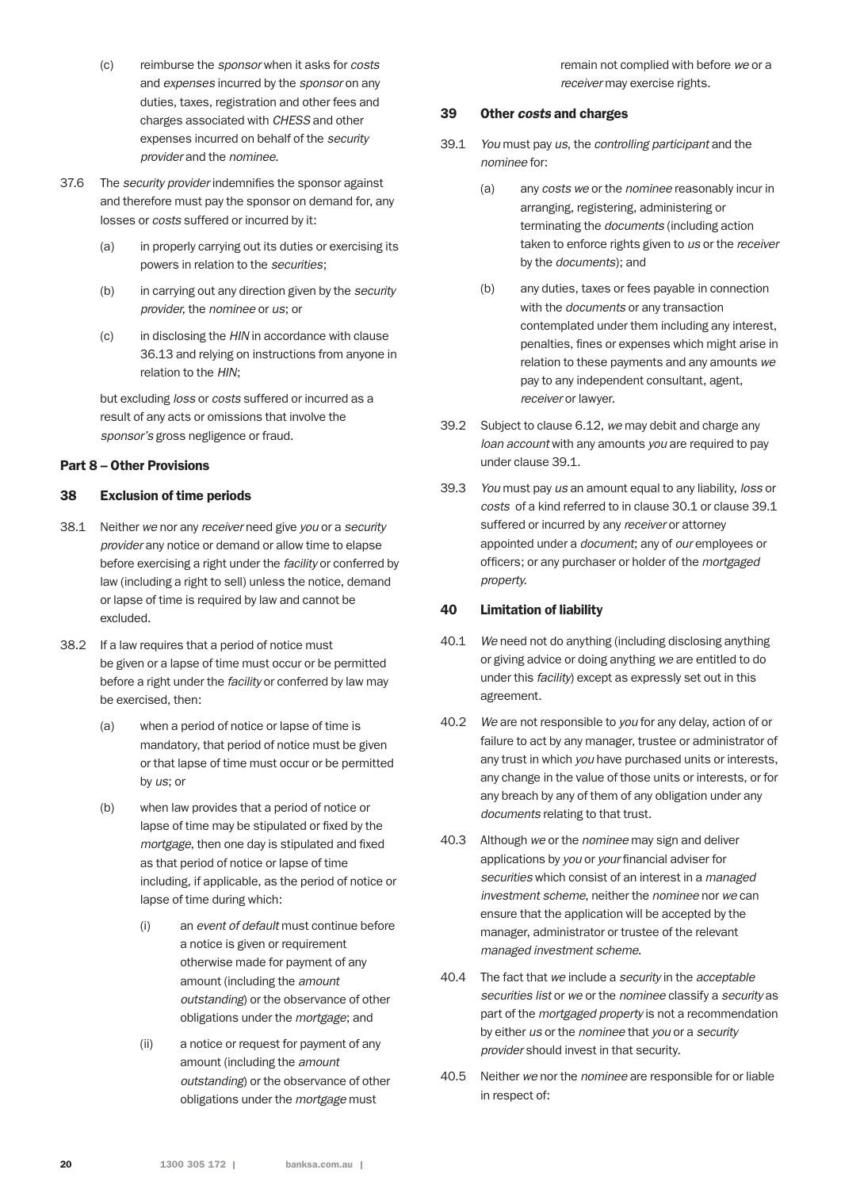- (c) reimburse the *sponsor* when it asks for *costs* and *expenses* incurred by the *sponsor* on any duties, taxes, registration and other fees and charges associated with *CHESS* and other expenses incurred on behalf of the *security provider* and the *nominee*.
- 37.6 The *security provider* indemnifies the sponsor against and therefore must pay the sponsor on demand for, any losses or *costs* suffered or incurred by it:
	- (a) in properly carrying out its duties or exercising its powers in relation to the *securities*;
	- (b) in carrying out any direction given by the *security provider*, the *nominee* or *us*; or
	- (c) in disclosing the *HIN* in accordance with clause 36.13 and relying on instructions from anyone in relation to the *HIN*;

 but excluding *loss* or *costs* suffered or incurred as a result of any acts or omissions that involve the *sponsor's* gross negligence or fraud.

#### Part 8 – Other Provisions

#### 38 Exclusion of time periods

- 38.1 Neither *we* nor any *receiver* need give *you* or a *security provider* any notice or demand or allow time to elapse before exercising a right under the *facility* or conferred by law (including a right to sell) unless the notice, demand or lapse of time is required by law and cannot be excluded.
- 38.2 If a law requires that a period of notice must be given or a lapse of time must occur or be permitted before a right under the *facility* or conferred by law may be exercised, then:
	- (a) when a period of notice or lapse of time is mandatory, that period of notice must be given or that lapse of time must occur or be permitted by *us*; or
	- (b) when law provides that a period of notice or lapse of time may be stipulated or fixed by the *mortgage*, then one day is stipulated and fixed as that period of notice or lapse of time including, if applicable, as the period of notice or lapse of time during which:
		- (i) an *event of default* must continue before a notice is given or requirement otherwise made for payment of any amount (including the *amount outstanding*) or the observance of other obligations under the *mortgage*; and
		- (ii) a notice or request for payment of any amount (including the *amount outstanding*) or the observance of other obligations under the *mortgage* must

remain not complied with before *we* or a *receiver* may exercise rights.

## 39 Other *costs* and charges

- 39.1 *You* must pay *us*, the *controlling participant* and the *nominee* for:
	- (a) any *costs we* or the *nominee* reasonably incur in arranging, registering, administering or terminating the *documents* (including action taken to enforce rights given to *us* or the *receiver* by the *documents*); and
	- (b) any duties, taxes or fees payable in connection with the *documents* or any transaction contemplated under them including any interest, penalties, fines or expenses which might arise in relation to these payments and any amounts *we* pay to any independent consultant, agent, *receiver* or lawyer.
- 39.2 Subject to clause 6.12, *we* may debit and charge any *loan account* with any amounts *you* are required to pay under clause 39.1.
- 39.3 *You* must pay *us* an amount equal to any liability, *loss* or *costs* of a kind referred to in clause 30.1 or clause 39.1 suffered or incurred by any *receiver* or attorney appointed under a *document*; any of *our* employees or officers; or any purchaser or holder of the *mortgaged property*.

## 40 Limitation of liability

- 40.1 *We* need not do anything (including disclosing anything or giving advice or doing anything *we* are entitled to do under this *facility*) except as expressly set out in this agreement.
- 40.2 *We* are not responsible to *you* for any delay, action of or failure to act by any manager, trustee or administrator of any trust in which *you* have purchased units or interests, any change in the value of those units or interests, or for any breach by any of them of any obligation under any *documents* relating to that trust.
- 40.3 Although *we* or the *nominee* may sign and deliver applications by *you* or *your* financial adviser for *securities* which consist of an interest in a *managed investment scheme*, neither the *nominee* nor *we* can ensure that the application will be accepted by the manager, administrator or trustee of the relevant *managed investment scheme*.
- 40.4 The fact that *we* include a *security* in the *acceptable securities list* or *we* or the *nominee* classify a *security* as part of the *mortgaged property* is not a recommendation by either *us* or the *nominee* that *you* or a *security provider* should invest in that security.
- 40.5 Neither *we* nor the *nominee* are responsible for or liable in respect of: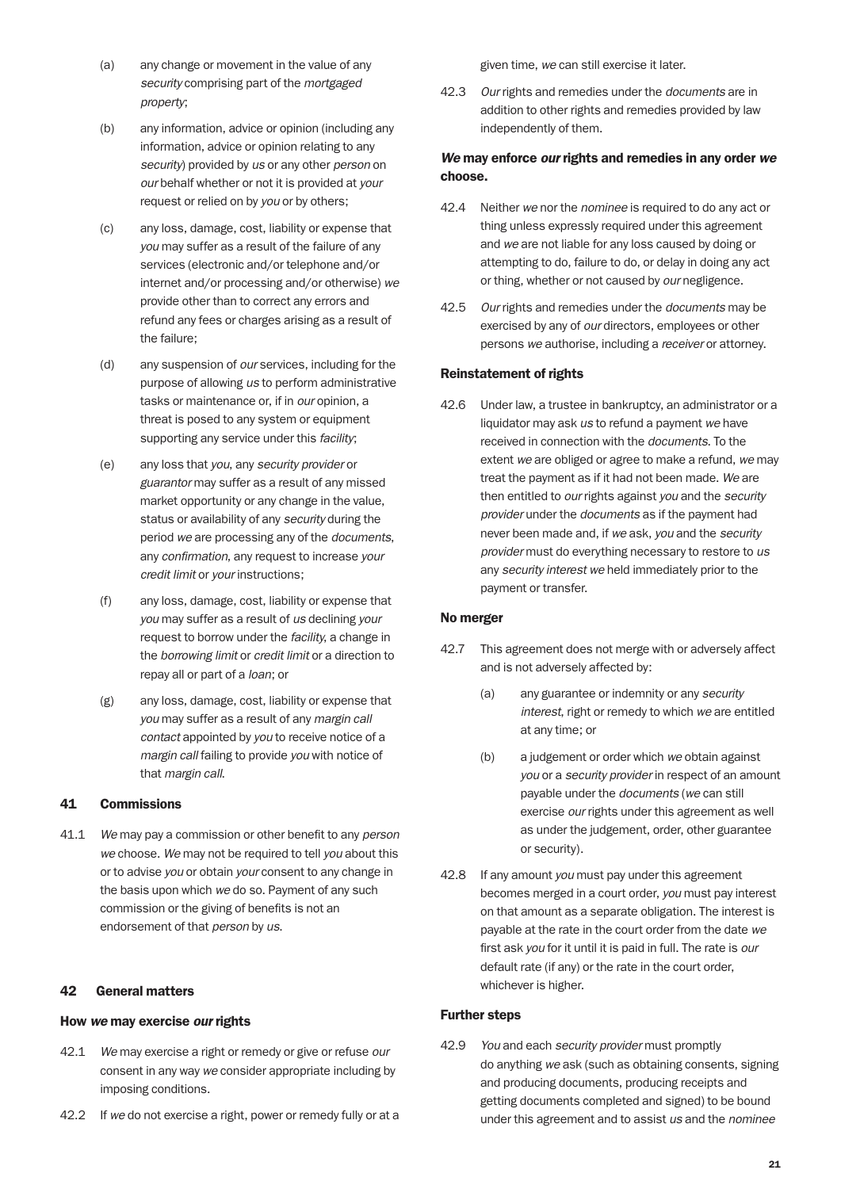- (a) any change or movement in the value of any *security* comprising part of the *mortgaged property*;
- (b) any information, advice or opinion (including any information, advice or opinion relating to any *security*) provided by *us* or any other *person* on *our* behalf whether or not it is provided at *your* request or relied on by *you* or by others;
- (c) any loss, damage, cost, liability or expense that *you* may suffer as a result of the failure of any services (electronic and/or telephone and/or internet and/or processing and/or otherwise) *we* provide other than to correct any errors and refund any fees or charges arising as a result of the failure;
- (d) any suspension of *our* services, including for the purpose of allowing *us* to perform administrative tasks or maintenance or, if in *our* opinion, a threat is posed to any system or equipment supporting any service under this *facility*;
- (e) any loss that *you*, any *security provider* or *guarantor* may suffer as a result of any missed market opportunity or any change in the value, status or availability of any *security* during the period *we* are processing any of the *documents*, any *confirmation*, any request to increase *your credit limit* or *your* instructions;
- (f) any loss, damage, cost, liability or expense that *you* may suffer as a result of *us* declining *your* request to borrow under the *facility*, a change in the *borrowing limit* or *credit limit* or a direction to repay all or part of a *loan*; or
- (g) any loss, damage, cost, liability or expense that *you* may suffer as a result of any *margin call contact* appointed by *you* to receive notice of a *margin call* failing to provide *you* with notice of that *margin call*.

#### 41 Commissions

41.1 *We* may pay a commission or other benefit to any *person we* choose. *We* may not be required to tell *you* about this or to advise *you* or obtain *your* consent to any change in the basis upon which *we* do so. Payment of any such commission or the giving of benefits is not an endorsement of that *person* by *us*.

#### 42 General matters

#### How *we* may exercise *our* rights

- 42.1 *We* may exercise a right or remedy or give or refuse *our* consent in any way *we* consider appropriate including by imposing conditions.
- 42.2 If *we* do not exercise a right, power or remedy fully or at a

given time, *we* can still exercise it later.

42.3 *Our* rights and remedies under the *documents* are in addition to other rights and remedies provided by law independently of them.

## *We* may enforce *our* rights and remedies in any order *we* choose.

- 42.4 Neither *we* nor the *nominee* is required to do any act or thing unless expressly required under this agreement and *we* are not liable for any loss caused by doing or attempting to do, failure to do, or delay in doing any act or thing, whether or not caused by *our* negligence.
- 42.5 *Our* rights and remedies under the *documents* may be exercised by any of *our* directors, employees or other persons *we* authorise, including a *receiver* or attorney.

#### Reinstatement of rights

42.6 Under law, a trustee in bankruptcy, an administrator or a liquidator may ask *us* to refund a payment *we* have received in connection with the *documents*. To the extent *we* are obliged or agree to make a refund, *we* may treat the payment as if it had not been made. *We* are then entitled to *our* rights against *you* and the *security provider* under the *documents* as if the payment had never been made and, if *we* ask, *you* and the *security provider* must do everything necessary to restore to *us* any *security interest we* held immediately prior to the payment or transfer.

#### No merger

- 42.7 This agreement does not merge with or adversely affect and is not adversely affected by:
	- (a) any guarantee or indemnity or any *security interest*, right or remedy to which *we* are entitled at any time; or
	- (b) a judgement or order which *we* obtain against *you* or a *security provider* in respect of an amount payable under the *documents* (*we* can still exercise *our* rights under this agreement as well as under the judgement, order, other guarantee or security).
- 42.8 If any amount *you* must pay under this agreement becomes merged in a court order, *you* must pay interest on that amount as a separate obligation. The interest is payable at the rate in the court order from the date *we* first ask *you* for it until it is paid in full. The rate is *our* default rate (if any) or the rate in the court order, whichever is higher.

## Further steps

42.9 *You* and each *security provider* must promptly do anything *we* ask (such as obtaining consents, signing and producing documents, producing receipts and getting documents completed and signed) to be bound under this agreement and to assist *us* and the *nominee*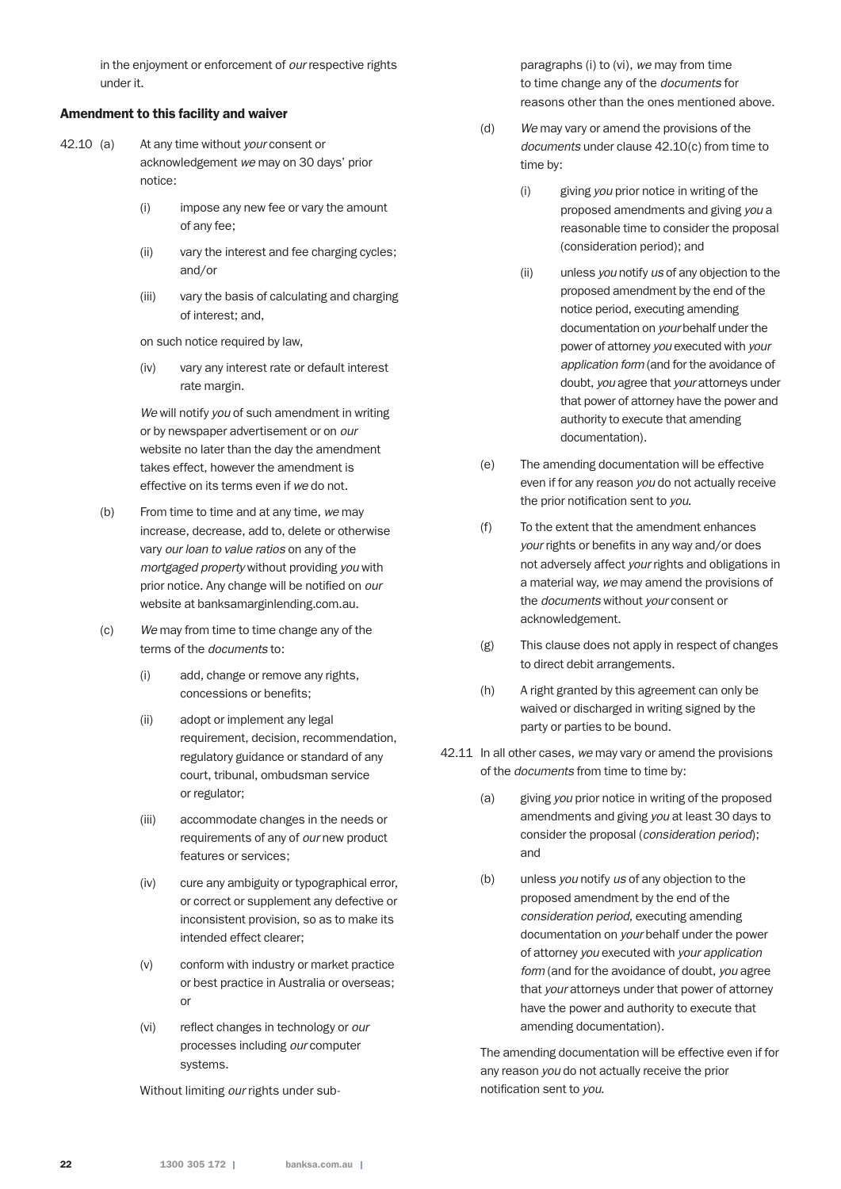in the enjoyment or enforcement of *our* respective rights under it.

#### Amendment to this facility and waiver

- 42.10 (a) At any time without *your* consent or acknowledgement *we* may on 30 days' prior notice:
	- (i) impose any new fee or vary the amount of any fee;
	- (ii) vary the interest and fee charging cycles; and/or
	- (iii) vary the basis of calculating and charging of interest; and,

on such notice required by law,

 (iv) vary any interest rate or default interest rate margin.

 *We* will notify *you* of such amendment in writing or by newspaper advertisement or on *our* website no later than the day the amendment takes effect, however the amendment is effective on its terms even if *we* do not.

- (b) From time to time and at any time, *we* may increase, decrease, add to, delete or otherwise vary *our loan to value ratios* on any of the *mortgaged property* without providing *you* with prior notice. Any change will be notified on *our* website at banksamarginlending.com.au.
- (c) *We* may from time to time change any of the terms of the *documents* to:
	- (i) add, change or remove any rights, concessions or benefits;
	- (ii) adopt or implement any legal requirement, decision, recommendation, regulatory guidance or standard of any court, tribunal, ombudsman service or regulator;
	- (iii) accommodate changes in the needs or requirements of any of *our* new product features or services;
	- (iv) cure any ambiguity or typographical error, or correct or supplement any defective or inconsistent provision, so as to make its intended effect clearer;
	- (v) conform with industry or market practice or best practice in Australia or overseas; or
	- (vi) reflect changes in technology or *our* processes including *our* computer systems.

Without limiting *our* rights under sub-

paragraphs (i) to (vi), *we* may from time to time change any of the *documents* for reasons other than the ones mentioned above.

- (d) *We* may vary or amend the provisions of the *documents* under clause 42.10(c) from time to time by:
	- (i) giving *you* prior notice in writing of the proposed amendments and giving *you* a reasonable time to consider the proposal (consideration period); and
	- (ii) unless *you* notify *us* of any objection to the proposed amendment by the end of the notice period, executing amending documentation on *your* behalf under the power of attorney *you* executed with *your application form* (and for the avoidance of doubt, *you* agree that *your* attorneys under that power of attorney have the power and authority to execute that amending documentation).
- (e) The amending documentation will be effective even if for any reason *you* do not actually receive the prior notification sent to *you*.
- (f) To the extent that the amendment enhances *your* rights or benefits in any way and/or does not adversely affect *your* rights and obligations in a material way, *we* may amend the provisions of the *documents* without *your* consent or acknowledgement.
- (g) This clause does not apply in respect of changes to direct debit arrangements.
- (h) A right granted by this agreement can only be waived or discharged in writing signed by the party or parties to be bound.
- 42.11 In all other cases, *we* may vary or amend the provisions of the *documents* from time to time by:
	- (a) giving *you* prior notice in writing of the proposed amendments and giving *you* at least 30 days to consider the proposal (*consideration period*); and
	- (b) unless *you* notify *us* of any objection to the proposed amendment by the end of the *consideration period*, executing amending documentation on *your* behalf under the power of attorney *you* executed with *your application form* (and for the avoidance of doubt, *you* agree that *your* attorneys under that power of attorney have the power and authority to execute that amending documentation).

 The amending documentation will be effective even if for any reason *you* do not actually receive the prior notification sent to *you*.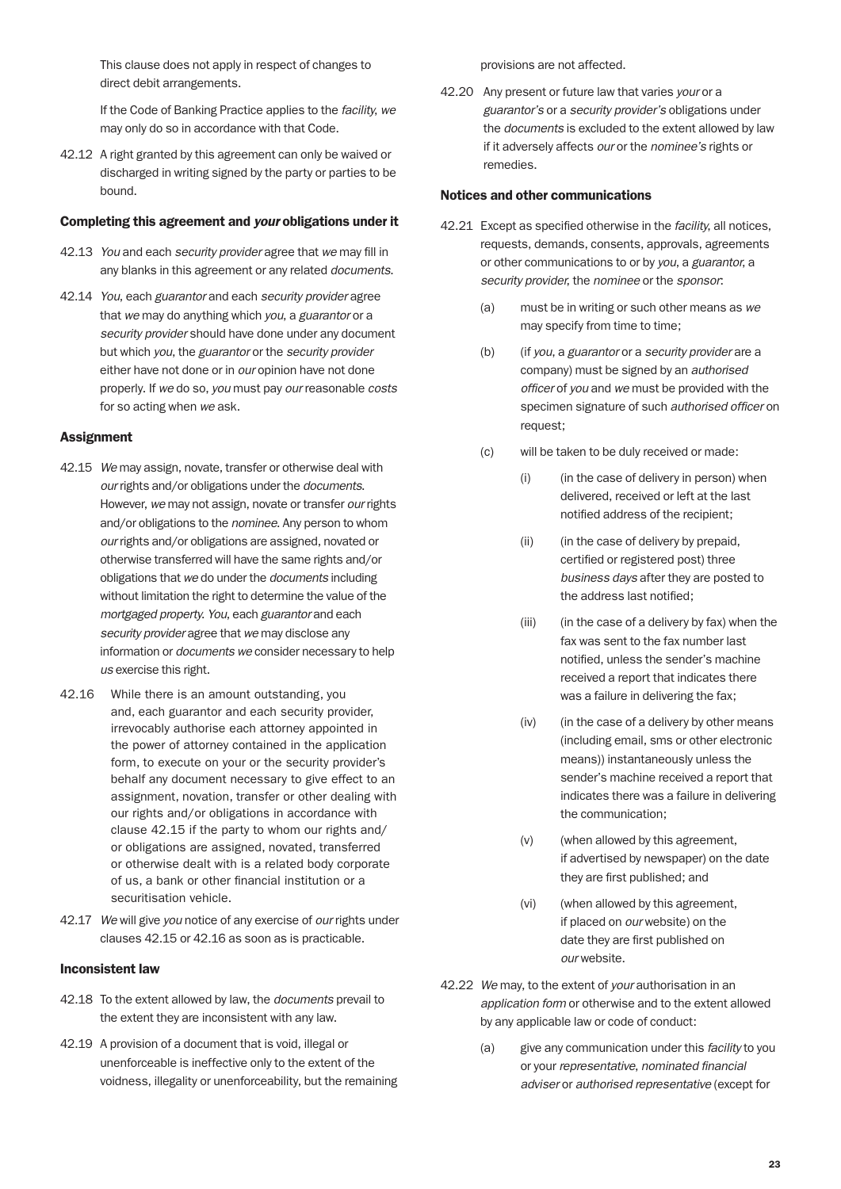This clause does not apply in respect of changes to direct debit arrangements.

 If the Code of Banking Practice applies to the *facility*, *we* may only do so in accordance with that Code.

42.12 A right granted by this agreement can only be waived or discharged in writing signed by the party or parties to be bound.

#### Completing this agreement and *your* obligations under it

- 42.13 *You* and each *security provider* agree that *we* may fill in any blanks in this agreement or any related *documents*.
- 42.14 *You*, each *guarantor* and each *security provider* agree that *we* may do anything which *you*, a *guarantor* or a *security provider* should have done under any document but which *you*, the *guarantor* or the *security provider* either have not done or in *our* opinion have not done properly. If *we* do so, *you* must pay *our* reasonable *costs* for so acting when *we* ask.

#### **Assignment**

- 42.15 *We* may assign, novate, transfer or otherwise deal with *our* rights and/or obligations under the *documents*. However, *we* may not assign, novate or transfer *our* rights and/or obligations to the *nominee*. Any person to whom *our* rights and/or obligations are assigned, novated or otherwise transferred will have the same rights and/or obligations that *we* do under the *documents* including without limitation the right to determine the value of the *mortgaged property*. *You*, each *guarantor* and each *security provider* agree that *we* may disclose any information or *documents we* consider necessary to help *us* exercise this right.
- 42.16 While there is an amount outstanding, you and, each guarantor and each security provider, irrevocably authorise each attorney appointed in the power of attorney contained in the application form, to execute on your or the security provider's behalf any document necessary to give effect to an assignment, novation, transfer or other dealing with our rights and/or obligations in accordance with clause 42.15 if the party to whom our rights and/ or obligations are assigned, novated, transferred or otherwise dealt with is a related body corporate of us, a bank or other financial institution or a securitisation vehicle.
- 42.17 *We* will give *you* notice of any exercise of *our* rights under clauses 42.15 or 42.16 as soon as is practicable.

#### Inconsistent law

- 42.18 To the extent allowed by law, the *documents* prevail to the extent they are inconsistent with any law.
- 42.19 A provision of a document that is void, illegal or unenforceable is ineffective only to the extent of the voidness, illegality or unenforceability, but the remaining

provisions are not affected.

42.20 Any present or future law that varies *your* or a *guarantor's* or a *security provider's* obligations under the *documents* is excluded to the extent allowed by law if it adversely affects *our* or the *nominee's* rights or remedies.

#### Notices and other communications

- 42.21 Except as specified otherwise in the *facility*, all notices, requests, demands, consents, approvals, agreements or other communications to or by *you*, a *guarantor*, a *security provider*, the *nominee* or the *sponsor*:
	- (a) must be in writing or such other means as *we* may specify from time to time;
	- (b) (if *you*, a *guarantor* or a *security provider* are a company) must be signed by an *authorised officer* of *you* and *we* must be provided with the specimen signature of such *authorised officer* on request;
	- (c) will be taken to be duly received or made:
		- (i) (in the case of delivery in person) when delivered, received or left at the last notified address of the recipient;
		- (ii) (in the case of delivery by prepaid, certified or registered post) three *business days* after they are posted to the address last notified;
		- (iii) (in the case of a delivery by fax) when the fax was sent to the fax number last notified, unless the sender's machine received a report that indicates there was a failure in delivering the fax;
		- (iv) (in the case of a delivery by other means (including email, sms or other electronic means)) instantaneously unless the sender's machine received a report that indicates there was a failure in delivering the communication;
		- (v) (when allowed by this agreement, if advertised by newspaper) on the date they are first published; and
		- (vi) (when allowed by this agreement, if placed on *our* website) on the date they are first published on *our* website.
- 42.22 *We* may, to the extent of *your* authorisation in an *application form* or otherwise and to the extent allowed by any applicable law or code of conduct:
	- (a) give any communication under this *facility* to you or your *representative*, *nominated financial adviser* or *authorised representative* (except for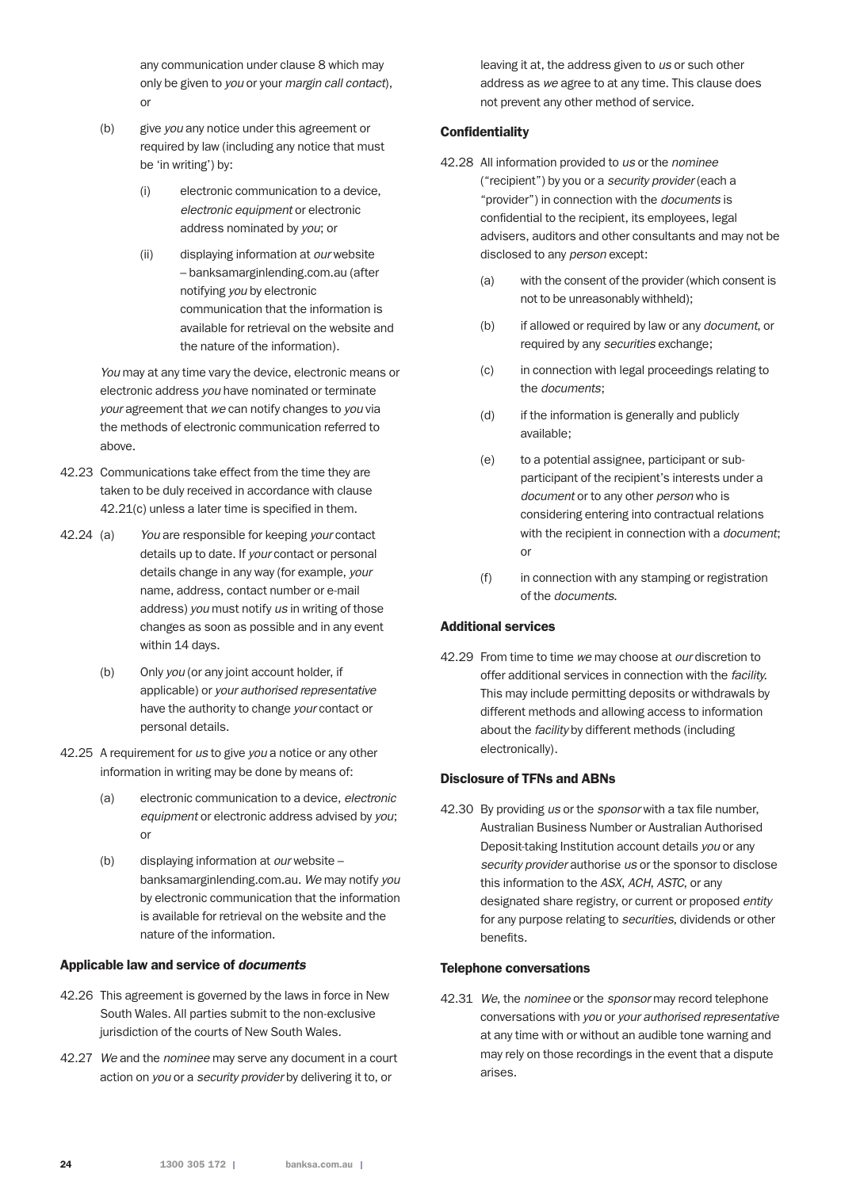any communication under clause 8 which may only be given to *you* or your *margin call contact*), or

- (b) give *you* any notice under this agreement or required by law (including any notice that must be 'in writing') by:
	- (i) electronic communication to a device, *electronic equipment* or electronic address nominated by *you*; or
	- (ii) displaying information at *our* website – banksamarginlending.com.au (after notifying *you* by electronic communication that the information is available for retrieval on the website and the nature of the information).

*You* may at any time vary the device, electronic means or electronic address *you* have nominated or terminate *your* agreement that *we* can notify changes to *you* via the methods of electronic communication referred to above.

- 42.23 Communications take effect from the time they are taken to be duly received in accordance with clause 42.21(c) unless a later time is specified in them.
- 42.24 (a) *You* are responsible for keeping *your* contact details up to date. If *your* contact or personal details change in any way (for example, *your* name, address, contact number or e-mail address) *you* must notify *us* in writing of those changes as soon as possible and in any event within 14 days.
	- (b) Only *you* (or any joint account holder, if applicable) or *your authorised representative* have the authority to change *your* contact or personal details.
- 42.25 A requirement for *us* to give *you* a notice or any other information in writing may be done by means of:
	- (a) electronic communication to a device, *electronic equipment* or electronic address advised by *you*; or
	- (b) displaying information at *our* website banksamarginlending.com.au. *We* may notify *you* by electronic communication that the information is available for retrieval on the website and the nature of the information.

#### Applicable law and service of *documents*

- 42.26 This agreement is governed by the laws in force in New South Wales. All parties submit to the non-exclusive jurisdiction of the courts of New South Wales.
- 42.27 *We* and the *nominee* may serve any document in a court action on *you* or a *security provider* by delivering it to, or

leaving it at, the address given to *us* or such other address as *we* agree to at any time. This clause does not prevent any other method of service.

## **Confidentiality**

- 42.28 All information provided to *us* or the *nominee* ("recipient") by you or a *security provider* (each a "provider") in connection with the *documents* is confidential to the recipient, its employees, legal advisers, auditors and other consultants and may not be disclosed to any *person* except:
	- (a) with the consent of the provider (which consent is not to be unreasonably withheld);
	- (b) if allowed or required by law or any *document*, or required by any *securities* exchange;
	- (c) in connection with legal proceedings relating to the *documents*;
	- (d) if the information is generally and publicly available;
	- (e) to a potential assignee, participant or subparticipant of the recipient's interests under a *document* or to any other *person* who is considering entering into contractual relations with the recipient in connection with a *document*; or
	- (f) in connection with any stamping or registration of the *documents*.

## Additional services

42.29 From time to time *we* may choose at *our* discretion to offer additional services in connection with the *facility*. This may include permitting deposits or withdrawals by different methods and allowing access to information about the *facility* by different methods (including electronically).

#### Disclosure of TFNs and ABNs

42.30 By providing *us* or the *sponsor* with a tax file number, Australian Business Number or Australian Authorised Deposit-taking Institution account details *you* or any *security provider* authorise *us* or the sponsor to disclose this information to the *ASX*, *ACH*, *ASTC*, or any designated share registry, or current or proposed *entity* for any purpose relating to *securities*, dividends or other benefits.

#### Telephone conversations

42.31 *We*, the *nominee* or the *sponsor* may record telephone conversations with *you* or *your authorised representative* at any time with or without an audible tone warning and may rely on those recordings in the event that a dispute arises.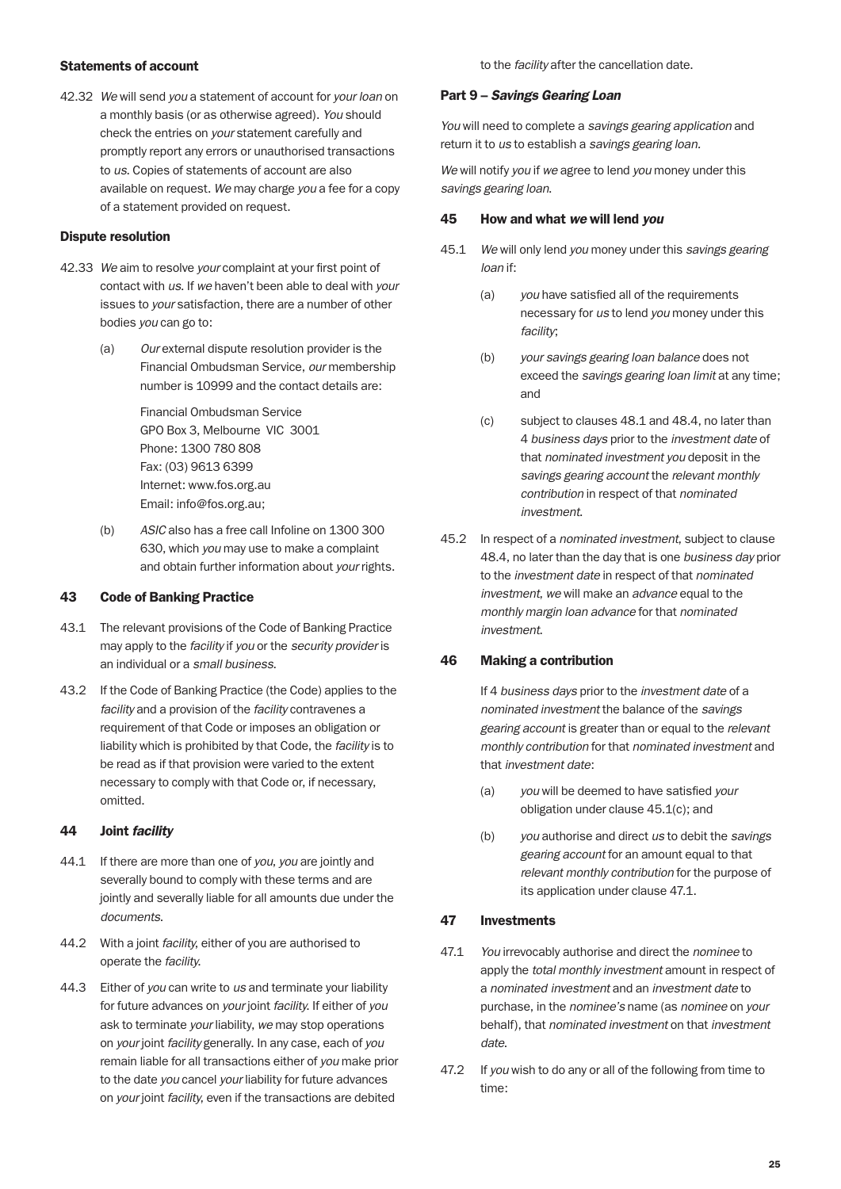#### Statements of account

42.32 *We* will send *you* a statement of account for *your loan* on a monthly basis (or as otherwise agreed). *You* should check the entries on *your* statement carefully and promptly report any errors or unauthorised transactions to *us*. Copies of statements of account are also available on request. *We* may charge *you* a fee for a copy of a statement provided on request.

#### Dispute resolution

- 42.33 *We* aim to resolve *your* complaint at your first point of contact with *us*. If *we* haven't been able to deal with *your* issues to *your* satisfaction, there are a number of other bodies *you* can go to:
	- (a) *Our* external dispute resolution provider is the Financial Ombudsman Service, *our* membership number is 10999 and the contact details are:

 Financial Ombudsman Service GPO Box 3, Melbourne VIC 3001 Phone: 1300 780 808 Fax: (03) 9613 6399 Internet: www.fos.org.au Email: info@fos.org.au;

(b) *ASIC* also has a free call Infoline on 1300 300 630, which *you* may use to make a complaint and obtain further information about *your* rights.

#### 43 Code of Banking Practice

- 43.1 The relevant provisions of the Code of Banking Practice may apply to the *facility* if *you* or the *security provider* is an individual or a *small business*.
- 43.2 If the Code of Banking Practice (the Code) applies to the *facility* and a provision of the *facility* contravenes a requirement of that Code or imposes an obligation or liability which is prohibited by that Code, the *facility* is to be read as if that provision were varied to the extent necessary to comply with that Code or, if necessary, omitted.

#### 44 Joint *facility*

- 44.1 If there are more than one of *you*, *you* are jointly and severally bound to comply with these terms and are jointly and severally liable for all amounts due under the *documents*.
- 44.2 With a joint *facility*, either of you are authorised to operate the *facility*.
- 44.3 Either of *you* can write to *us* and terminate your liability for future advances on *your* joint *facility*. If either of *you* ask to terminate *your* liability, *we* may stop operations on *your* joint *facility* generally. In any case, each of *you* remain liable for all transactions either of *you* make prior to the date *you* cancel *your* liability for future advances on *your* joint *facility*, even if the transactions are debited

to the *facility* after the cancellation date.

#### Part 9 – *Savings Gearing Loan*

*You* will need to complete a *savings gearing application* and return it to *us* to establish a *savings gearing loan.*

*We* will notify *you* if *we* agree to lend *you* money under this *savings gearing loan*.

#### 45 How and what *we* will lend *you*

- 45.1 *We* will only lend *you* money under this *savings gearing loan* if:
	- (a) *you* have satisfied all of the requirements necessary for *us* to lend *you* money under this *facility*;
	- (b) *your savings gearing loan balance* does not exceed the *savings gearing loan limit* at any time; and
	- (c) subject to clauses 48.1 and 48.4, no later than 4 *business days* prior to the *investment date* of that *nominated investment you* deposit in the *savings gearing account* the *relevant monthly contribution* in respect of that *nominated investment*.
- 45.2 In respect of a *nominated investment*, subject to clause 48.4, no later than the day that is one *business day* prior to the *investment date* in respect of that *nominated investment*, *we* will make an *advance* equal to the *monthly margin loan advance* for that *nominated investment*.

## 46 Making a contribution

 If 4 *business days* prior to the *investment date* of a *nominated investment* the balance of the *savings gearing account* is greater than or equal to the *relevant monthly contribution* for that *nominated investment* and that *investment date*:

- (a) *you* will be deemed to have satisfied *your* obligation under clause 45.1(c); and
- (b) *you* authorise and direct *us* to debit the *savings gearing account* for an amount equal to that *relevant monthly contribution* for the purpose of its application under clause 47.1.

#### 47 Investments

- 47.1 *You* irrevocably authorise and direct the *nominee* to apply the *total monthly investment* amount in respect of a *nominated investment* and an *investment date* to purchase, in the *nominee's* name (as *nominee* on *your* behalf), that *nominated investment* on that *investment date*.
- 47.2 If *you* wish to do any or all of the following from time to time: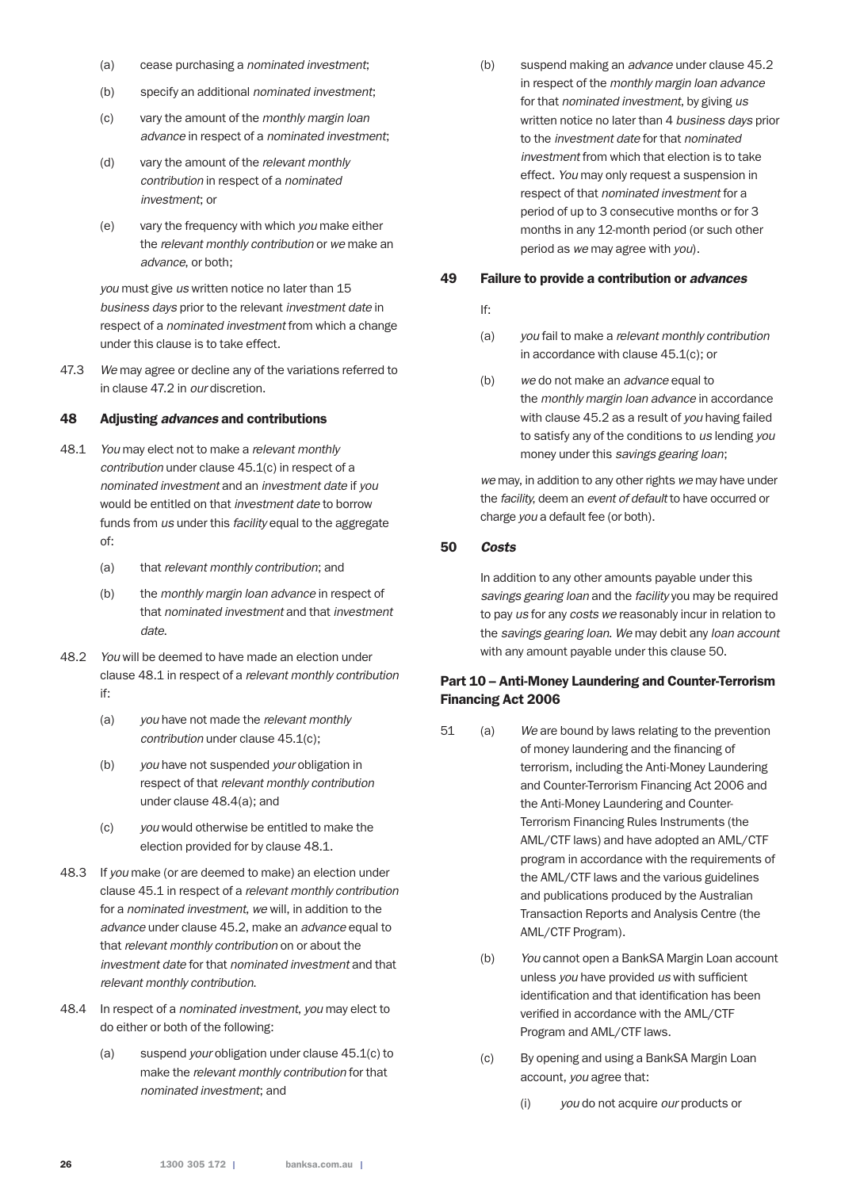- (a) cease purchasing a *nominated investment*;
- (b) specify an additional *nominated investment*;
- (c) vary the amount of the *monthly margin loan advance* in respect of a *nominated investment*;
- (d) vary the amount of the *relevant monthly contribution* in respect of a *nominated investment*; or
- (e) vary the frequency with which *you* make either the *relevant monthly contribution* or *we* make an *advance*, or both;

 *you* must give *us* written notice no later than 15 *business days* prior to the relevant *investment date* in respect of a *nominated investment* from which a change under this clause is to take effect.

47.3 *We* may agree or decline any of the variations referred to in clause 47.2 in *our* discretion.

#### 48 Adjusting *advances* and contributions

- 48.1 *You* may elect not to make a *relevant monthly contribution* under clause 45.1(c) in respect of a *nominated investment* and an *investment date* if *you* would be entitled on that *investment date* to borrow funds from *us* under this *facility* equal to the aggregate of:
	- (a) that *relevant monthly contribution*; and
	- (b) the *monthly margin loan advance* in respect of that *nominated investment* and that *investment date*.
- 48.2 *You* will be deemed to have made an election under clause 48.1 in respect of a *relevant monthly contribution* if:
	- (a) *you* have not made the *relevant monthly contribution* under clause 45.1(c);
	- (b) *you* have not suspended *your* obligation in respect of that *relevant monthly contribution* under clause 48.4(a); and
	- (c) *you* would otherwise be entitled to make the election provided for by clause 48.1.
- 48.3 If *you* make (or are deemed to make) an election under clause 45.1 in respect of a *relevant monthly contribution* for a *nominated investment*, *we* will, in addition to the *advance* under clause 45.2, make an *advance* equal to that *relevant monthly contribution* on or about the *investment date* for that *nominated investment* and that *relevant monthly contribution*.
- 48.4 In respect of a *nominated investment*, *you* may elect to do either or both of the following:
	- (a) suspend *your* obligation under clause 45.1(c) to make the *relevant monthly contribution* for that *nominated investment*; and

(b) suspend making an *advance* under clause 45.2 in respect of the *monthly margin loan advance* for that *nominated investment*, by giving *us* written notice no later than 4 *business days* prior to the *investment date* for that *nominated investment* from which that election is to take effect. *You* may only request a suspension in respect of that *nominated investment* for a period of up to 3 consecutive months or for 3 months in any 12-month period (or such other period as *we* may agree with *you*).

#### 49 Failure to provide a contribution or *advances*

#### If:

- (a) *you* fail to make a *relevant monthly contribution* in accordance with clause 45.1(c); or
- (b) *we* do not make an *advance* equal to the *monthly margin loan advance* in accordance with clause 45.2 as a result of *you* having failed to satisfy any of the conditions to *us* lending *you* money under this *savings gearing loan*;

 *we* may, in addition to any other rights *we* may have under the *facility*, deem an *event of default* to have occurred or charge *you* a default fee (or both).

#### 50 *Costs*

In addition to any other amounts payable under this *savings gearing loan* and the *facility* you may be required to pay *us* for any *costs we* reasonably incur in relation to the *savings gearing loan*. *We* may debit any *loan account* with any amount payable under this clause 50.

## Part 10 – Anti-Money Laundering and Counter-Terrorism Financing Act 2006

- 51 (a) *We* are bound by laws relating to the prevention of money laundering and the financing of terrorism, including the Anti-Money Laundering and Counter-Terrorism Financing Act 2006 and the Anti-Money Laundering and Counter-Terrorism Financing Rules Instruments (the AML/CTF laws) and have adopted an AML/CTF program in accordance with the requirements of the AML/CTF laws and the various guidelines and publications produced by the Australian Transaction Reports and Analysis Centre (the AML/CTF Program).
	- (b) *You* cannot open a BankSA Margin Loan account unless *you* have provided *us* with sufficient identification and that identification has been verified in accordance with the AML/CTF Program and AML/CTF laws.
	- (c) By opening and using a BankSA Margin Loan account, *you* agree that:
		- (i) *you* do not acquire *our* products or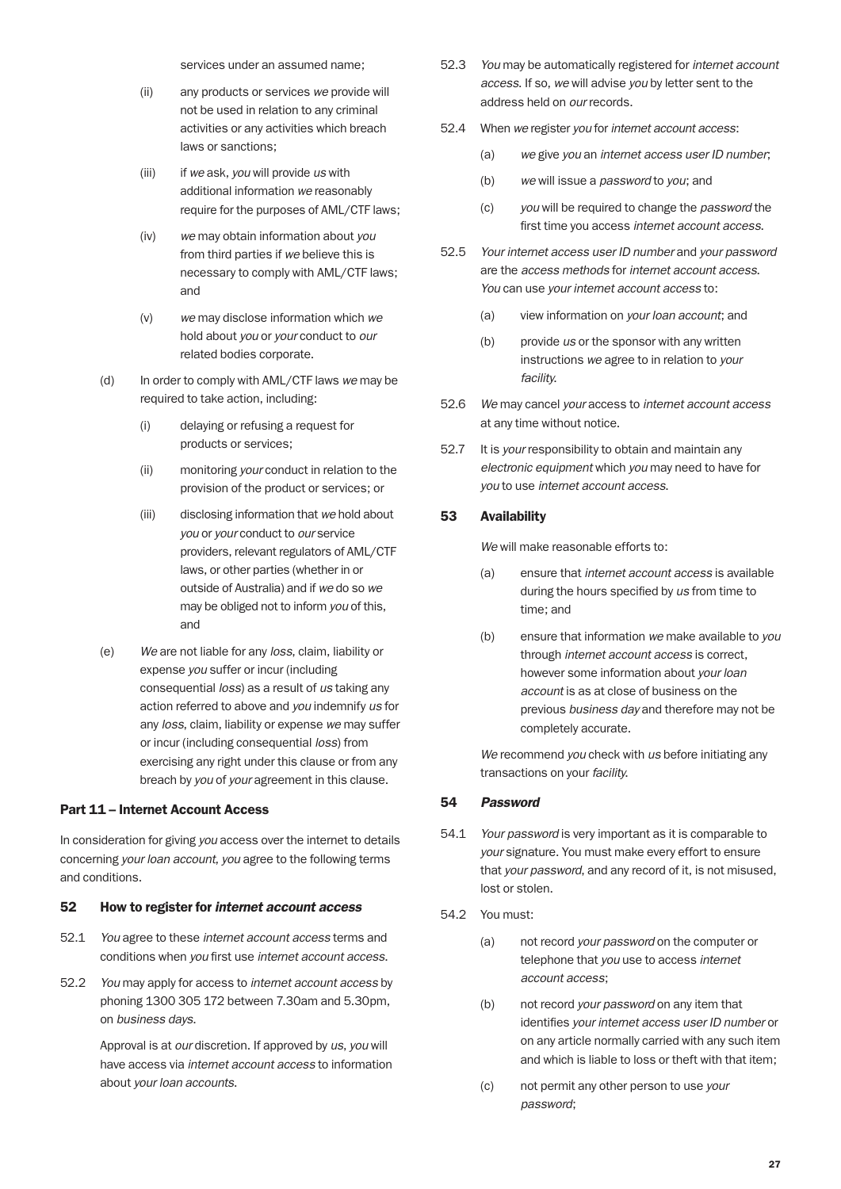services under an assumed name;

- (ii) any products or services *we* provide will not be used in relation to any criminal activities or any activities which breach laws or sanctions;
- (iii) if *we* ask, *you* will provide *us* with additional information *we* reasonably require for the purposes of AML/CTF laws;
- (iv) *we* may obtain information about *you* from third parties if *we* believe this is necessary to comply with AML/CTF laws; and
- (v) *we* may disclose information which *we* hold about *you* or *your* conduct to *our* related bodies corporate.
- (d) In order to comply with AML/CTF laws *we* may be required to take action, including:
	- (i) delaying or refusing a request for products or services;
	- (ii) monitoring *your* conduct in relation to the provision of the product or services; or
	- (iii) disclosing information that *we* hold about *you* or *your* conduct to *our* service providers, relevant regulators of AML/CTF laws, or other parties (whether in or outside of Australia) and if *we* do so *we* may be obliged not to inform *you* of this, and
- (e) *We* are not liable for any *loss*, claim, liability or expense *you* suffer or incur (including consequential *loss*) as a result of *us* taking any action referred to above and *you* indemnify *us* for any *loss*, claim, liability or expense *we* may suffer or incur (including consequential *loss*) from exercising any right under this clause or from any breach by *you* of *your* agreement in this clause.

#### Part 11 – Internet Account Access

In consideration for giving *you* access over the internet to details concerning *your loan account*, *you* agree to the following terms and conditions.

#### 52 How to register for *internet account access*

- 52.1 *You* agree to these *internet account access* terms and conditions when *you* first use *internet account access*.
- 52.2 *You* may apply for access to *internet account access* by phoning 1300 305 172 between 7.30am and 5.30pm, on *business days*.

 Approval is at *our* discretion. If approved by *us*, *you* will have access via *internet account access* to information about *your loan accounts*.

- 52.3 *You* may be automatically registered for *internet account access*. If so, *we* will advise *you* by letter sent to the address held on *our* records.
- 52.4 When *we* register *you* for *internet account access*:
	- (a) *we* give *you* an *internet access user ID number*;
	- (b) *we* will issue a *password* to *you*; and
	- (c) *you* will be required to change the *password* the first time you access *internet account access*.
- 52.5 *Your internet access user ID number* and *your password* are the *access methods* for *internet account access*. *You* can use *your internet account access* to:
	- (a) view information on *your loan account*; and
	- (b) provide *us* or the sponsor with any written instructions *we* agree to in relation to *your facility*.
- 52.6 *We* may cancel *your* access to *internet account access* at any time without notice.
- 52.7 It is *your* responsibility to obtain and maintain any *electronic equipment* which *you* may need to have for *you* to use *internet account access*.

#### 53 Availability

*We* will make reasonable efforts to:

- (a) ensure that *internet account access* is available during the hours specified by *us* from time to time; and
- (b) ensure that information *we* make available to *you* through *internet account access* is correct, however some information about *your loan account* is as at close of business on the previous *business day* and therefore may not be completely accurate.

 *We* recommend *you* check with *us* before initiating any transactions on your *facility*.

#### 54 *Password*

- 54.1 *Your password* is very important as it is comparable to *your* signature. You must make every effort to ensure that *your password*, and any record of it, is not misused, lost or stolen.
- 54.2 You must:
	- (a) not record *your password* on the computer or telephone that *you* use to access *internet account access*;
	- (b) not record *your password* on any item that identifies *your internet access user ID number* or on any article normally carried with any such item and which is liable to loss or theft with that item;
	- (c) not permit any other person to use *your password*;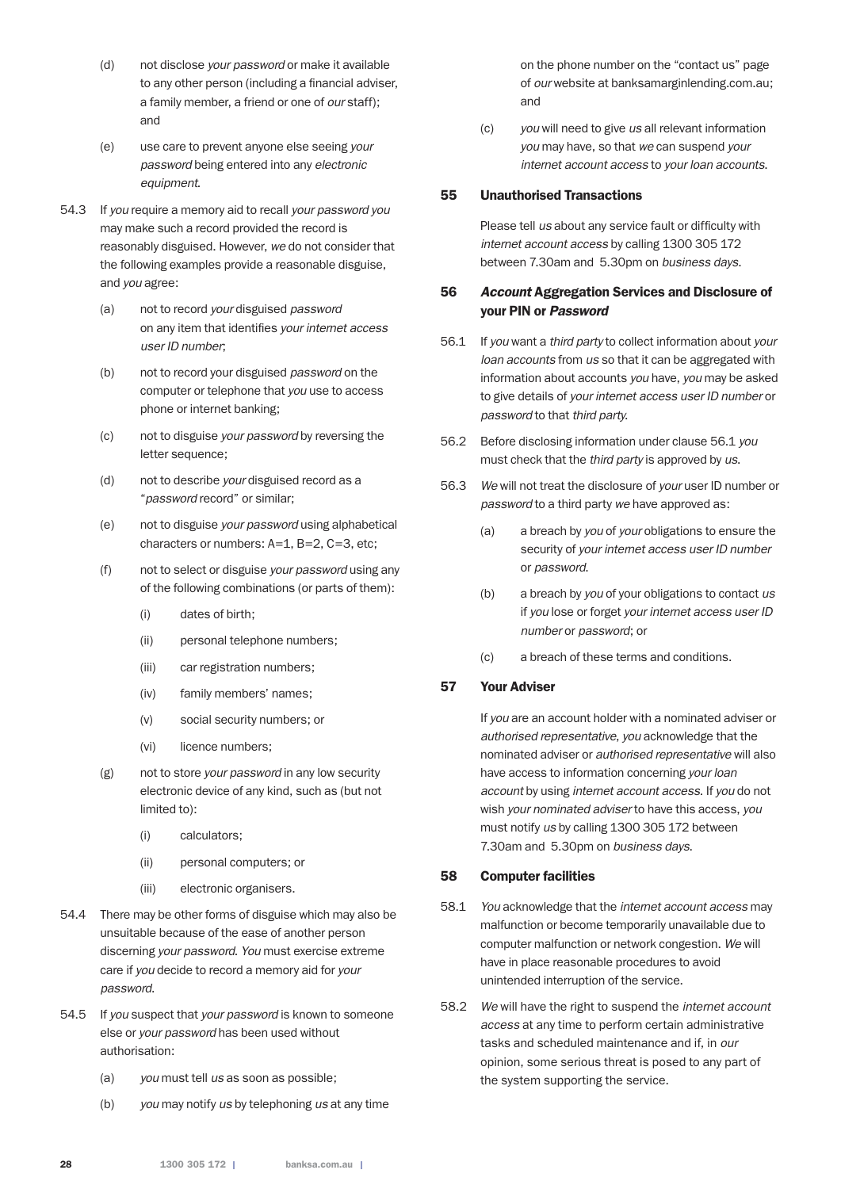- (d) not disclose *your password* or make it available to any other person (including a financial adviser, a family member, a friend or one of *our* staff); and
- (e) use care to prevent anyone else seeing *your password* being entered into any *electronic equipment*.
- 54.3 If *you* require a memory aid to recall *your password you* may make such a record provided the record is reasonably disguised. However, *we* do not consider that the following examples provide a reasonable disguise, and *you* agree:
	- (a) not to record *your* disguised *password* on any item that identifies *your internet access user ID number*;
	- (b) not to record your disguised *password* on the computer or telephone that *you* use to access phone or internet banking;
	- (c) not to disguise *your password* by reversing the letter sequence;
	- (d) not to describe *your* disguised record as a "*password* record" or similar;
	- (e) not to disguise *your password* using alphabetical characters or numbers: A=1, B=2, C=3, etc;
	- (f) not to select or disguise *your password* using any of the following combinations (or parts of them):
		- (i) dates of birth;
		- (ii) personal telephone numbers;
		- (iii) car registration numbers;
		- (iv) family members' names;
		- (v) social security numbers; or
		- (vi) licence numbers;
	- (g) not to store *your password* in any low security electronic device of any kind, such as (but not limited to):
		- (i) calculators;
		- (ii) personal computers; or
		- (iii) electronic organisers.
- 54.4 There may be other forms of disguise which may also be unsuitable because of the ease of another person discerning *your password*. *You* must exercise extreme care if *you* decide to record a memory aid for *your password*.
- 54.5 If *you* suspect that *your password* is known to someone else or *your password* has been used without authorisation:
	- (a) *you* must tell *us* as soon as possible;
	- (b) *you* may notify *us* by telephoning *us* at any time

on the phone number on the "contact us" page of *our* website at banksamarginlending.com.au; and

(c) *you* will need to give *us* all relevant information *you* may have, so that *we* can suspend *your internet account access* to *your loan accounts*.

## 55 Unauthorised Transactions

 Please tell *us* about any service fault or difficulty with *internet account access* by calling 1300 305 172 between 7.30am and 5.30pm on *business days*.

## 56 *Account* Aggregation Services and Disclosure of your PIN or *Password*

- 56.1 If *you* want a *third party* to collect information about *your loan accounts* from *us* so that it can be aggregated with information about accounts *you* have, *you* may be asked to give details of *your internet access user ID number* or *password* to that *third party*.
- 56.2 Before disclosing information under clause 56.1 *you* must check that the *third party* is approved by *us*.
- 56.3 *We* will not treat the disclosure of *your* user ID number or *password* to a third party *we* have approved as:
	- (a) a breach by *you* of *your* obligations to ensure the security of *your internet access user ID number* or *password*.
	- (b) a breach by *you* of your obligations to contact *us* if *you* lose or forget *your internet access user ID number* or *password*; or
	- (c) a breach of these terms and conditions.

## 57 Your Adviser

 If *you* are an account holder with a nominated adviser or *authorised representative*, *you* acknowledge that the nominated adviser or *authorised representative* will also have access to information concerning *your loan account* by using *internet account access*. If *you* do not wish *your nominated adviser* to have this access, *you* must notify *us* by calling 1300 305 172 between 7.30am and 5.30pm on *business days*.

## 58 Computer facilities

- 58.1 *You* acknowledge that the *internet account access* may malfunction or become temporarily unavailable due to computer malfunction or network congestion. *We* will have in place reasonable procedures to avoid unintended interruption of the service.
- 58.2 *We* will have the right to suspend the *internet account access* at any time to perform certain administrative tasks and scheduled maintenance and if, in *our* opinion, some serious threat is posed to any part of the system supporting the service.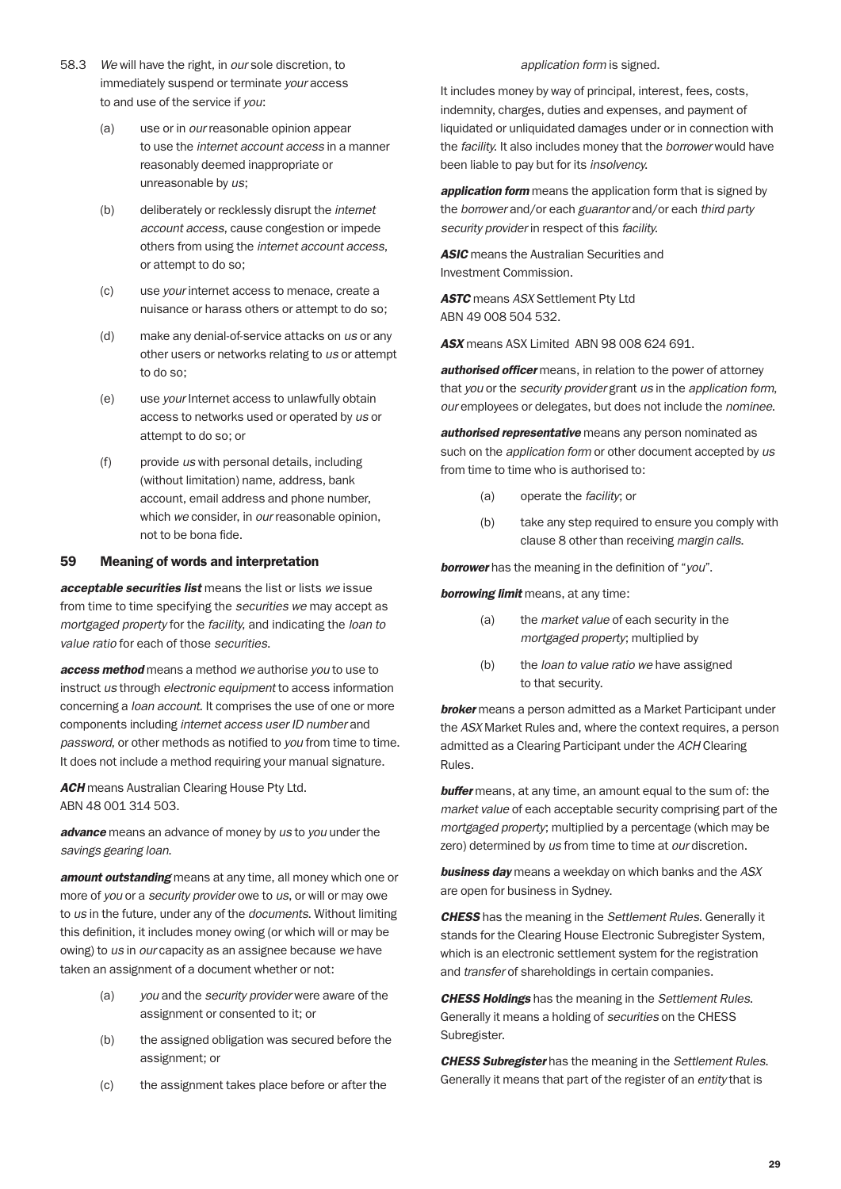- 58.3 *We* will have the right, in *our* sole discretion, to immediately suspend or terminate *your* access to and use of the service if *you*:
	- (a) use or in *our* reasonable opinion appear to use the *internet account access* in a manner reasonably deemed inappropriate or unreasonable by *us*;
	- (b) deliberately or recklessly disrupt the *internet account access*, cause congestion or impede others from using the *internet account access*, or attempt to do so;
	- (c) use *your* internet access to menace, create a nuisance or harass others or attempt to do so;
	- (d) make any denial-of-service attacks on *us* or any other users or networks relating to *us* or attempt to do so;
	- (e) use *your* Internet access to unlawfully obtain access to networks used or operated by *us* or attempt to do so; or
	- (f) provide *us* with personal details, including (without limitation) name, address, bank account, email address and phone number, which *we* consider, in *our* reasonable opinion, not to be bona fide.

#### 59 Meaning of words and interpretation

*acceptable securities list* means the list or lists *we* issue from time to time specifying the *securities we* may accept as *mortgaged property* for the *facility*, and indicating the *loan to value ratio* for each of those *securities*.

*access method* means a method *we* authorise *you* to use to instruct *us* through *electronic equipment* to access information concerning a *loan account*. It comprises the use of one or more components including *internet access user ID number* and *password*, or other methods as notified to *you* from time to time. It does not include a method requiring your manual signature.

*ACH* means Australian Clearing House Pty Ltd. ABN 48 001 314 503.

*advance* means an advance of money by *us* to *you* under the *savings gearing loan*.

*amount outstanding* means at any time, all money which one or more of *you* or a *security provider* owe to *us*, or will or may owe to *us* in the future, under any of the *documents*. Without limiting this definition, it includes money owing (or which will or may be owing) to *us* in *our* capacity as an assignee because *we* have taken an assignment of a document whether or not:

- (a) *you* and the *security provider* were aware of the assignment or consented to it; or
- (b) the assigned obligation was secured before the assignment; or
- (c) the assignment takes place before or after the

#### *application form* is signed.

It includes money by way of principal, interest, fees, costs, indemnity, charges, duties and expenses, and payment of liquidated or unliquidated damages under or in connection with the *facility*. It also includes money that the *borrower* would have been liable to pay but for its *insolvency*.

*application form* means the application form that is signed by the *borrower* and/or each *guarantor* and/or each *third party security provider* in respect of this *facility*.

*ASIC* means the Australian Securities and Investment Commission.

*ASTC* means *ASX* Settlement Pty Ltd ABN 49 008 504 532.

*ASX* means ASX Limited ABN 98 008 624 691.

*authorised officer* means, in relation to the power of attorney that *you* or the *security provider* grant *us* in the *application form*, *our* employees or delegates, but does not include the *nominee*.

*authorised representative* means any person nominated as such on the *application form* or other document accepted by *us* from time to time who is authorised to:

- (a) operate the *facility*; or
- (b) take any step required to ensure you comply with clause 8 other than receiving *margin calls*.

*borrower* has the meaning in the definition of "*you*".

*borrowing limit* means, at any time:

- (a) the *market value* of each security in the *mortgaged property*; multiplied by
- (b) the *loan to value ratio we* have assigned to that security.

*broker* means a person admitted as a Market Participant under the *ASX* Market Rules and, where the context requires, a person admitted as a Clearing Participant under the *ACH* Clearing Rules.

*buffer* means, at any time, an amount equal to the sum of: the *market value* of each acceptable security comprising part of the *mortgaged property*; multiplied by a percentage (which may be zero) determined by *us* from time to time at *our* discretion.

*business day* means a weekday on which banks and the *ASX* are open for business in Sydney.

*CHESS* has the meaning in the *Settlement Rules*. Generally it stands for the Clearing House Electronic Subregister System, which is an electronic settlement system for the registration and *transfer* of shareholdings in certain companies.

*CHESS Holdings* has the meaning in the *Settlement Rules*. Generally it means a holding of *securities* on the CHESS Subregister.

*CHESS Subregister* has the meaning in the *Settlement Rules*. Generally it means that part of the register of an *entity* that is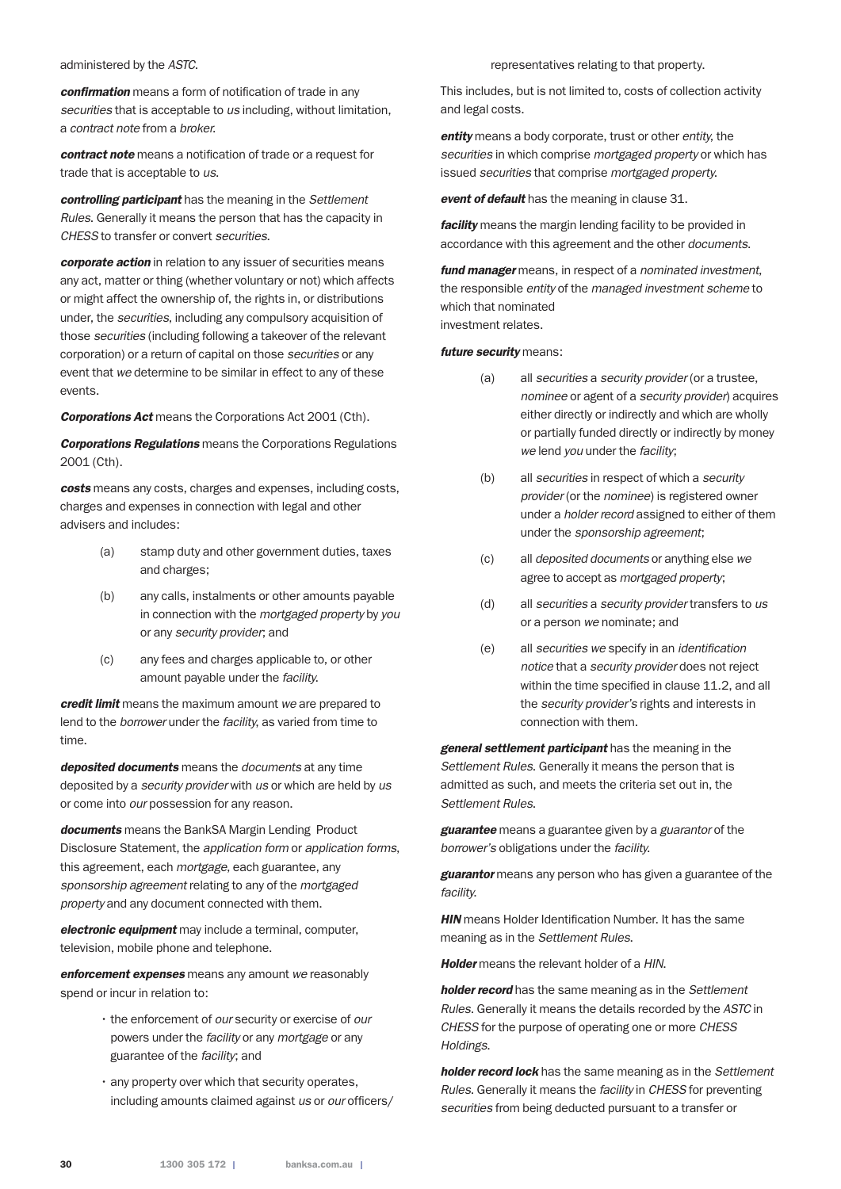#### administered by the *ASTC*.

*confirmation* means a form of notification of trade in any *securities* that is acceptable to *us* including, without limitation, a *contract note* from a *broker*.

*contract note* means a notification of trade or a request for trade that is acceptable to *us*.

*controlling participant* has the meaning in the *Settlement Rules*. Generally it means the person that has the capacity in *CHESS* to transfer or convert *securities*.

*corporate action* in relation to any issuer of securities means any act, matter or thing (whether voluntary or not) which affects or might affect the ownership of, the rights in, or distributions under, the *securities*, including any compulsory acquisition of those *securities* (including following a takeover of the relevant corporation) or a return of capital on those *securities* or any event that *we* determine to be similar in effect to any of these events.

*Corporations Act* means the Corporations Act 2001 (Cth).

*Corporations Regulations* means the Corporations Regulations 2001 (Cth).

*costs* means any costs, charges and expenses, including costs, charges and expenses in connection with legal and other advisers and includes:

- (a) stamp duty and other government duties, taxes and charges;
- (b) any calls, instalments or other amounts payable in connection with the *mortgaged property* by *you* or any *security provider*; and
- (c) any fees and charges applicable to, or other amount payable under the *facility*.

*credit limit* means the maximum amount *we* are prepared to lend to the *borrower* under the *facility*, as varied from time to time.

*deposited documents* means the *documents* at any time deposited by a *security provider* with *us* or which are held by *us* or come into *our* possession for any reason.

*documents* means the BankSA Margin Lending Product Disclosure Statement, the *application form* or *application forms*, this agreement, each *mortgage*, each guarantee, any *sponsorship agreement* relating to any of the *mortgaged property* and any document connected with them.

*electronic equipment* may include a terminal, computer, television, mobile phone and telephone.

*enforcement expenses* means any amount *we* reasonably spend or incur in relation to:

- the enforcement of *our* security or exercise of *our* powers under the *facility* or any *mortgage* or any guarantee of the *facility*; and
- any property over which that security operates, including amounts claimed against *us* or *our* officers/

representatives relating to that property.

This includes, but is not limited to, costs of collection activity and legal costs.

*entity* means a body corporate, trust or other *entity*, the *securities* in which comprise *mortgaged property* or which has issued *securities* that comprise *mortgaged property*.

*event of default* has the meaning in clause 31.

*facility* means the margin lending facility to be provided in accordance with this agreement and the other *documents*.

*fund manager* means, in respect of a *nominated investment*, the responsible *entity* of the *managed investment scheme* to which that nominated investment relates.

#### *future security* means:

- (a) all *securities* a *security provider* (or a trustee, *nominee* or agent of a *security provider*) acquires either directly or indirectly and which are wholly or partially funded directly or indirectly by money *we* lend *you* under the *facility*;
- (b) all *securities* in respect of which a *security provider* (or the *nominee*) is registered owner under a *holder record* assigned to either of them under the *sponsorship agreement*;
- (c) all *deposited documents* or anything else *we* agree to accept as *mortgaged property*;
- (d) all *securities* a *security provider* transfers to *us* or a person *we* nominate; and
- (e) all *securities we* specify in an *identification notice* that a *security provider* does not reject within the time specified in clause 11.2, and all the *security provider's* rights and interests in connection with them.

*general settlement participant* has the meaning in the *Settlement Rules*. Generally it means the person that is admitted as such, and meets the criteria set out in, the *Settlement Rules*.

*guarantee* means a guarantee given by a *guarantor* of the *borrower's* obligations under the *facility*.

*guarantor* means any person who has given a guarantee of the *facility*.

**HIN** means Holder Identification Number. It has the same meaning as in the *Settlement Rules*.

*Holder* means the relevant holder of a *HIN*.

*holder record* has the same meaning as in the *Settlement Rules*. Generally it means the details recorded by the *ASTC* in *CHESS* for the purpose of operating one or more *CHESS Holdings*.

*holder record lock* has the same meaning as in the *Settlement Rules*. Generally it means the *facility* in *CHESS* for preventing *securities* from being deducted pursuant to a transfer or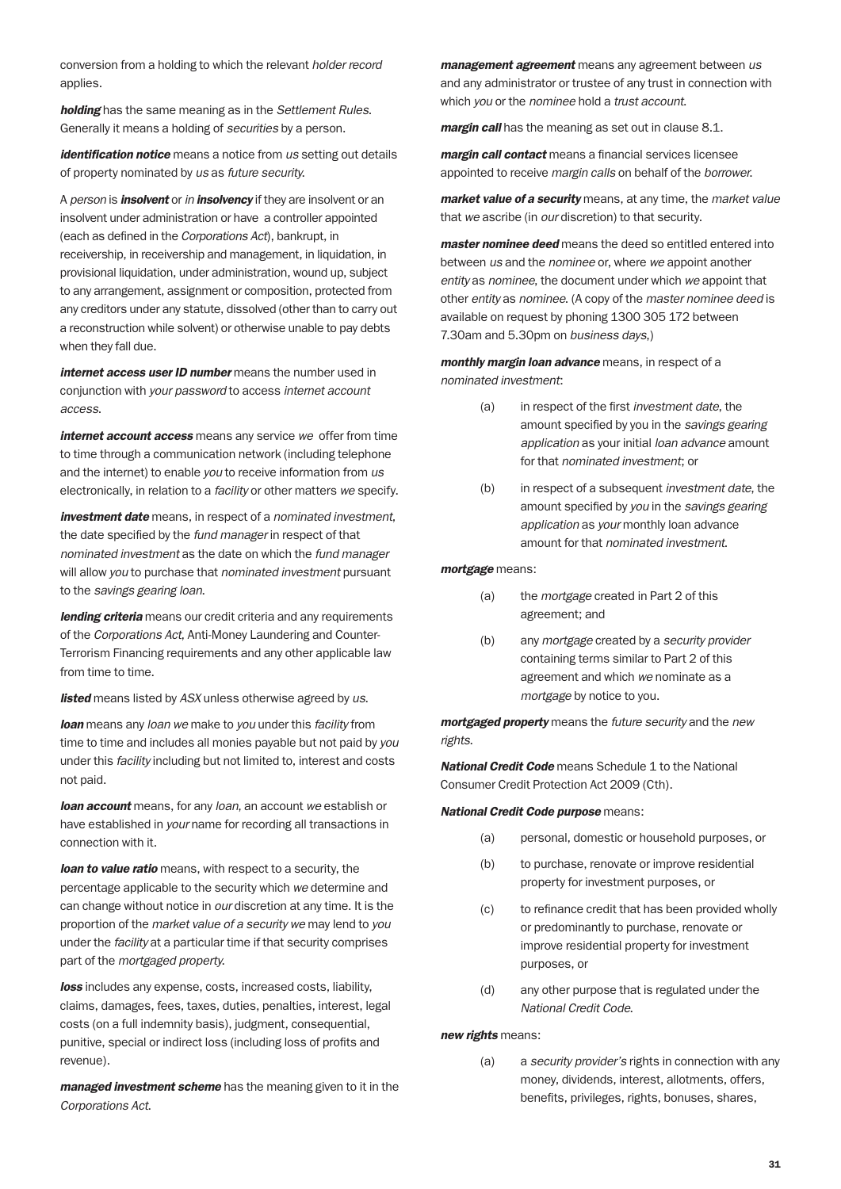conversion from a holding to which the relevant *holder record* applies.

*holding* has the same meaning as in the *Settlement Rules*. Generally it means a holding of *securities* by a person.

*identification notice* means a notice from *us* setting out details of property nominated by *us* as *future security*.

A *person* is *insolvent* or *in insolvency* if they are insolvent or an insolvent under administration or have a controller appointed (each as defined in the *Corporations Act*), bankrupt, in receivership, in receivership and management, in liquidation, in provisional liquidation, under administration, wound up, subject to any arrangement, assignment or composition, protected from any creditors under any statute, dissolved (other than to carry out a reconstruction while solvent) or otherwise unable to pay debts when they fall due.

*internet access user ID number* means the number used in conjunction with *your password* to access *internet account access*.

*internet account access* means any service *we* offer from time to time through a communication network (including telephone and the internet) to enable *you* to receive information from *us* electronically, in relation to a *facility* or other matters *we* specify.

*investment date* means, in respect of a *nominated investment*, the date specified by the *fund manager* in respect of that *nominated investment* as the date on which the *fund manager* will allow *you* to purchase that *nominated investment* pursuant to the *savings gearing loan*.

*lending criteria* means our credit criteria and any requirements of the *Corporations Act*, Anti-Money Laundering and Counter-Terrorism Financing requirements and any other applicable law from time to time.

*listed* means listed by *ASX* unless otherwise agreed by *us*.

*loan* means any *loan we* make to *you* under this *facility* from time to time and includes all monies payable but not paid by *you* under this *facility* including but not limited to, interest and costs not paid.

*loan account* means, for any *loan*, an account *we* establish or have established in *your* name for recording all transactions in connection with it.

*loan to value ratio* means, with respect to a security, the percentage applicable to the security which *we* determine and can change without notice in *our* discretion at any time. It is the proportion of the *market value of a security we* may lend to *you* under the *facility* at a particular time if that security comprises part of the *mortgaged property*.

*loss* includes any expense, costs, increased costs, liability, claims, damages, fees, taxes, duties, penalties, interest, legal costs (on a full indemnity basis), judgment, consequential, punitive, special or indirect loss (including loss of profits and revenue).

*managed investment scheme* has the meaning given to it in the *Corporations Act*.

*management agreement* means any agreement between *us* and any administrator or trustee of any trust in connection with which *you* or the *nominee* hold a *trust account*.

*margin call* has the meaning as set out in clause 8.1.

*margin call contact* means a financial services licensee appointed to receive *margin calls* on behalf of the *borrower*.

*market value of a security* means, at any time, the *market value* that *we* ascribe (in *our* discretion) to that security.

*master nominee deed* means the deed so entitled entered into between *us* and the *nominee* or, where *we* appoint another *entity* as *nominee*, the document under which *we* appoint that other *entity* as *nominee*. (A copy of the *master nominee deed* is available on request by phoning 1300 305 172 between 7.30am and 5.30pm on *business days*,)

*monthly margin loan advance* means, in respect of a *nominated investment*:

- (a) in respect of the first *investment date*, the amount specified by you in the *savings gearing application* as your initial *loan advance* amount for that *nominated investment*; or
- (b) in respect of a subsequent *investment date*, the amount specified by *you* in the *savings gearing application* as *your* monthly loan advance amount for that *nominated investment*.

*mortgage* means:

- (a) the *mortgage* created in Part 2 of this agreement; and
- (b) any *mortgage* created by a *security provider* containing terms similar to Part 2 of this agreement and which *we* nominate as a *mortgage* by notice to you.

*mortgaged property* means the *future security* and the *new rights*.

*National Credit Code* means Schedule 1 to the National Consumer Credit Protection Act 2009 (Cth).

#### *National Credit Code purpose* means:

- (a) personal, domestic or household purposes, or
- (b) to purchase, renovate or improve residential property for investment purposes, or
- (c) to refinance credit that has been provided wholly or predominantly to purchase, renovate or improve residential property for investment purposes, or
- (d) any other purpose that is regulated under the *National Credit Code*.

*new rights* means:

(a) a *security provider's* rights in connection with any money, dividends, interest, allotments, offers, benefits, privileges, rights, bonuses, shares,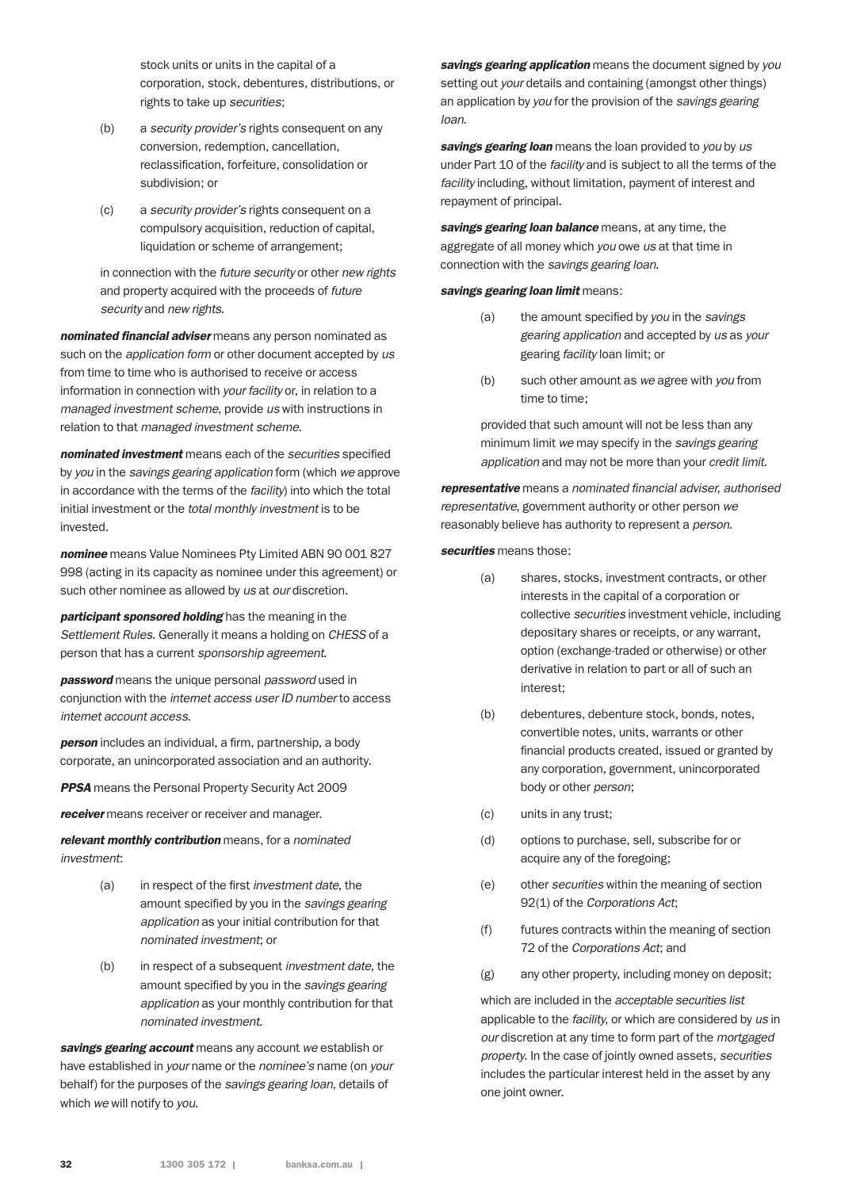stock units or units in the capital of a corporation, stock, debentures, distributions, or rights to take up *securities*;

- (b) a *security provider's* rights consequent on any conversion, redemption, cancellation, reclassification, forfeiture, consolidation or subdivision; or
- (c) a *security provider's* rights consequent on a compulsory acquisition, reduction of capital, liquidation or scheme of arrangement;

 in connection with the *future security* or other *new rights* and property acquired with the proceeds of *future security* and *new rights*.

*nominated financial adviser* means any person nominated as such on the *application form* or other document accepted by *us* from time to time who is authorised to receive or access information in connection with *your facility* or, in relation to a *managed investment scheme*, provide *us* with instructions in relation to that *managed investment scheme*.

*nominated investment* means each of the *securities* specified by *you* in the *savings gearing application* form (which *we* approve in accordance with the terms of the *facility*) into which the total initial investment or the *total monthly investment* is to be invested.

*nominee* means Value Nominees Pty Limited ABN 90 001 827 998 (acting in its capacity as nominee under this agreement) or such other nominee as allowed by *us* at *our* discretion.

*participant sponsored holding* has the meaning in the *Settlement Rules*. Generally it means a holding on *CHESS* of a person that has a current *sponsorship agreement*.

*password* means the unique personal *password* used in conjunction with the *internet access user ID number* to access *internet account access*.

*person* includes an individual, a firm, partnership, a body corporate, an unincorporated association and an authority.

*PPSA* means the Personal Property Security Act 2009

*receiver* means receiver or receiver and manager.

*relevant monthly contribution* means, for a *nominated investment*:

- (a) in respect of the first *investment date*, the amount specified by you in the *savings gearing application* as your initial contribution for that *nominated investment*; or
- (b) in respect of a subsequent *investment date*, the amount specified by you in the *savings gearing application* as your monthly contribution for that *nominated investment*.

*savings gearing account* means any account *we* establish or have established in *your* name or the *nominee's* name (on *your* behalf) for the purposes of the *savings gearing loan*, details of which *we* will notify to *you*.

*savings gearing application* means the document signed by *you* setting out *your* details and containing (amongst other things) an application by *you* for the provision of the *savings gearing loan*.

*savings gearing loan* means the loan provided to *you* by *us* under Part 10 of the *facility* and is subject to all the terms of the *facility* including, without limitation, payment of interest and repayment of principal.

*savings gearing loan balance* means, at any time, the aggregate of all money which *you* owe *us* at that time in connection with the *savings gearing loan*.

#### *savings gearing loan limit* means:

- (a) the amount specified by *you* in the *savings gearing application* and accepted by *us* as *your* gearing *facility* loan limit; or
- (b) such other amount as *we* agree with *you* from time to time;

 provided that such amount will not be less than any minimum limit *we* may specify in the *savings gearing application* and may not be more than your *credit limit*.

*representative* means a *nominated financial adviser*, *authorised representative*, government authority or other person *we* reasonably believe has authority to represent a *person*.

#### *securities* means those:

- (a) shares, stocks, investment contracts, or other interests in the capital of a corporation or collective *securities* investment vehicle, including depositary shares or receipts, or any warrant, option (exchange-traded or otherwise) or other derivative in relation to part or all of such an interest;
- (b) debentures, debenture stock, bonds, notes, convertible notes, units, warrants or other financial products created, issued or granted by any corporation, government, unincorporated body or other *person*;
- (c) units in any trust;
- (d) options to purchase, sell, subscribe for or acquire any of the foregoing;
- (e) other *securities* within the meaning of section 92(1) of the *Corporations Act*;
- (f) futures contracts within the meaning of section 72 of the *Corporations Act*; and
- (g) any other property, including money on deposit;

 which are included in the *acceptable securities list* applicable to the *facility*, or which are considered by *us* in *our* discretion at any time to form part of the *mortgaged property.* In the case of jointly owned assets, *securities* includes the particular interest held in the asset by any one joint owner.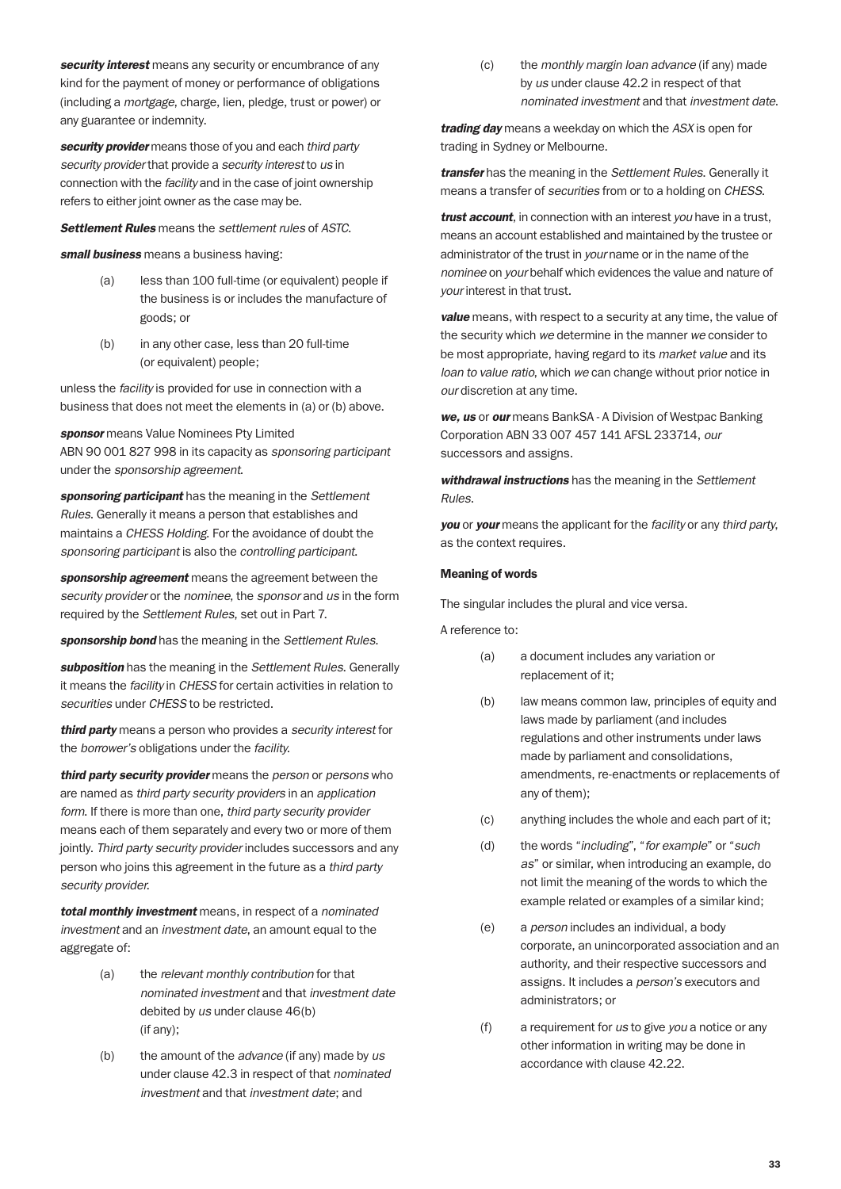*security interest* means any security or encumbrance of any kind for the payment of money or performance of obligations (including a *mortgage*, charge, lien, pledge, trust or power) or any guarantee or indemnity.

*security provider* means those of you and each *third party security provider* that provide a *security interest* to *us* in connection with the *facility* and in the case of joint ownership refers to either joint owner as the case may be.

*Settlement Rules* means the *settlement rules* of *ASTC*.

*small business* means a business having:

- (a) less than 100 full-time (or equivalent) people if the business is or includes the manufacture of goods; or
- (b) in any other case, less than 20 full-time (or equivalent) people;

unless the *facility* is provided for use in connection with a business that does not meet the elements in (a) or (b) above.

*sponsor* means Value Nominees Pty Limited ABN 90 001 827 998 in its capacity as *sponsoring participant* under the *sponsorship agreement*.

*sponsoring participant* has the meaning in the *Settlement Rules*. Generally it means a person that establishes and maintains a *CHESS Holding*. For the avoidance of doubt the *sponsoring participant* is also the *controlling participant*.

*sponsorship agreement* means the agreement between the *security provider* or the *nominee*, the *sponsor* and *us* in the form required by the *Settlement Rules*, set out in Part 7.

*sponsorship bond* has the meaning in the *Settlement Rules*.

*subposition* has the meaning in the *Settlement Rules*. Generally it means the *facility* in *CHESS* for certain activities in relation to *securities* under *CHESS* to be restricted.

*third party* means a person who provides a *security interest* for the *borrower's* obligations under the *facility*.

*third party security provider* means the *person* or *persons* who are named as *third party security providers* in an *application form*. If there is more than one, *third party security provider* means each of them separately and every two or more of them jointly. *Third party security provider* includes successors and any person who joins this agreement in the future as a *third party security provider*.

*total monthly investment* means, in respect of a *nominated investment* and an *investment date*, an amount equal to the aggregate of:

- (a) the *relevant monthly contribution* for that *nominated investment* and that *investment date* debited by *us* under clause 46(b) (if any);
- (b) the amount of the *advance* (if any) made by *us* under clause 42.3 in respect of that *nominated investment* and that *investment date*; and

(c) the *monthly margin loan advance* (if any) made by *us* under clause 42.2 in respect of that *nominated investment* and that *investment date*.

*trading day* means a weekday on which the *ASX* is open for trading in Sydney or Melbourne.

*transfer* has the meaning in the *Settlement Rules*. Generally it means a transfer of *securities* from or to a holding on *CHESS*.

*trust account*, in connection with an interest *you* have in a trust, means an account established and maintained by the trustee or administrator of the trust in *your* name or in the name of the *nominee* on *your* behalf which evidences the value and nature of *your* interest in that trust.

*value* means, with respect to a security at any time, the value of the security which *we* determine in the manner *we* consider to be most appropriate, having regard to its *market value* and its *loan to value ratio*, which *we* can change without prior notice in *our* discretion at any time.

*we, us* or *our* means BankSA - A Division of Westpac Banking Corporation ABN 33 007 457 141 AFSL 233714, *our* successors and assigns.

*withdrawal instructions* has the meaning in the *Settlement Rules*.

*you* or *your* means the applicant for the *facility* or any *third party*, as the context requires.

#### Meaning of words

The singular includes the plural and vice versa.

A reference to:

- (a) a document includes any variation or replacement of it;
- (b) law means common law, principles of equity and laws made by parliament (and includes regulations and other instruments under laws made by parliament and consolidations, amendments, re-enactments or replacements of any of them);
- (c) anything includes the whole and each part of it;
- (d) the words "*including*", "*for example*" or "*such as*" or similar, when introducing an example, do not limit the meaning of the words to which the example related or examples of a similar kind;
- (e) a *person* includes an individual, a body corporate, an unincorporated association and an authority, and their respective successors and assigns. It includes a *person's* executors and administrators; or
- (f) a requirement for *us* to give *you* a notice or any other information in writing may be done in accordance with clause 42.22.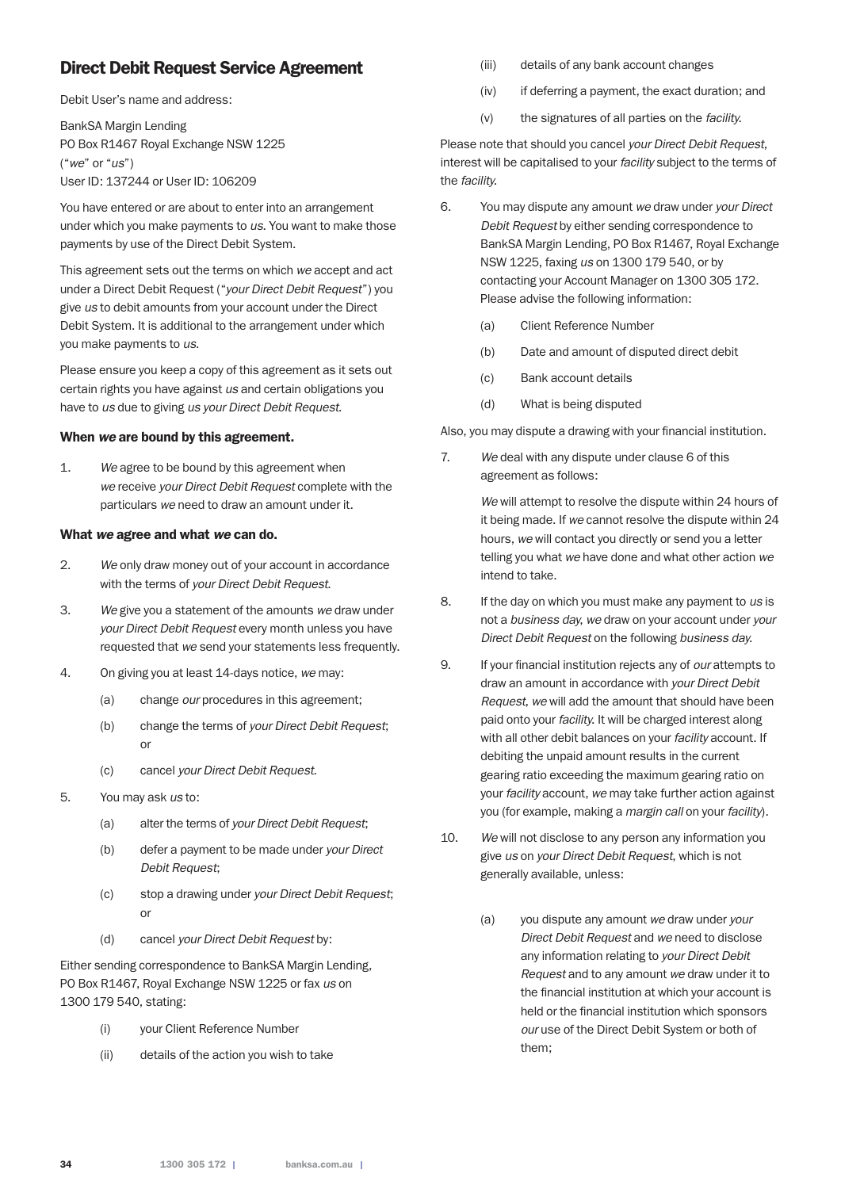# Direct Debit Request Service Agreement

Debit User's name and address:

BankSA Margin Lending PO Box R1467 Royal Exchange NSW 1225 ("*we*" or "*us*") User ID: 137244 or User ID: 106209

You have entered or are about to enter into an arrangement under which you make payments to *us*. You want to make those payments by use of the Direct Debit System.

This agreement sets out the terms on which *we* accept and act under a Direct Debit Request ("*your Direct Debit Request*") you give *us* to debit amounts from your account under the Direct Debit System. It is additional to the arrangement under which you make payments to *us*.

Please ensure you keep a copy of this agreement as it sets out certain rights you have against *us* and certain obligations you have to *us* due to giving *us your Direct Debit Request*.

#### When *we* are bound by this agreement.

1. *We* agree to be bound by this agreement when *we* receive *your Direct Debit Request* complete with the particulars *we* need to draw an amount under it.

#### What *we* agree and what *we* can do.

- 2. *We* only draw money out of your account in accordance with the terms of *your Direct Debit Request*.
- 3. *We* give you a statement of the amounts *we* draw under *your Direct Debit Request* every month unless you have requested that *we* send your statements less frequently.
- 4. On giving you at least 14-days notice, *we* may:
	- (a) change *our* procedures in this agreement;
	- (b) change the terms of *your Direct Debit Request*; or
	- (c) cancel *your Direct Debit Request*.
- 5. You may ask *us* to:
	- (a) alter the terms of *your Direct Debit Request*;
	- (b) defer a payment to be made under *your Direct Debit Request*;
	- (c) stop a drawing under *your Direct Debit Request*; or
	- (d) cancel *your Direct Debit Request* by:

Either sending correspondence to BankSA Margin Lending, PO Box R1467, Royal Exchange NSW 1225 or fax *us* on 1300 179 540, stating:

- (i) your Client Reference Number
- (ii) details of the action you wish to take
- (iii) details of any bank account changes
- (iv) if deferring a payment, the exact duration; and
- (v) the signatures of all parties on the *facility*.

Please note that should you cancel *your Direct Debit Request*, interest will be capitalised to your *facility* subject to the terms of the *facility*.

- 6. You may dispute any amount *we* draw under *your Direct Debit Request* by either sending correspondence to BankSA Margin Lending, PO Box R1467, Royal Exchange NSW 1225, faxing *us* on 1300 179 540, or by contacting your Account Manager on 1300 305 172. Please advise the following information:
	- (a) Client Reference Number
	- (b) Date and amount of disputed direct debit
	- (c) Bank account details
	- (d) What is being disputed

Also, you may dispute a drawing with your financial institution.

7. *We* deal with any dispute under clause 6 of this agreement as follows:

> *We* will attempt to resolve the dispute within 24 hours of it being made. If *we* cannot resolve the dispute within 24 hours, *we* will contact you directly or send you a letter telling you what *we* have done and what other action *we* intend to take.

- 8. If the day on which you must make any payment to *us* is not a *business day*, *we* draw on your account under *your Direct Debit Request* on the following *business day*.
- 9. If your financial institution rejects any of *our* attempts to draw an amount in accordance with *your Direct Debit Request*, *we* will add the amount that should have been paid onto your *facility*. It will be charged interest along with all other debit balances on your *facility* account. If debiting the unpaid amount results in the current gearing ratio exceeding the maximum gearing ratio on your *facility* account, *we* may take further action against you (for example, making a *margin call* on your *facility*).
- 10. *We* will not disclose to any person any information you give *us* on *your Direct Debit Request*, which is not generally available, unless:
	- (a) you dispute any amount *we* draw under *your Direct Debit Request* and *we* need to disclose any information relating to *your Direct Debit Request* and to any amount *we* draw under it to the financial institution at which your account is held or the financial institution which sponsors *our* use of the Direct Debit System or both of them;